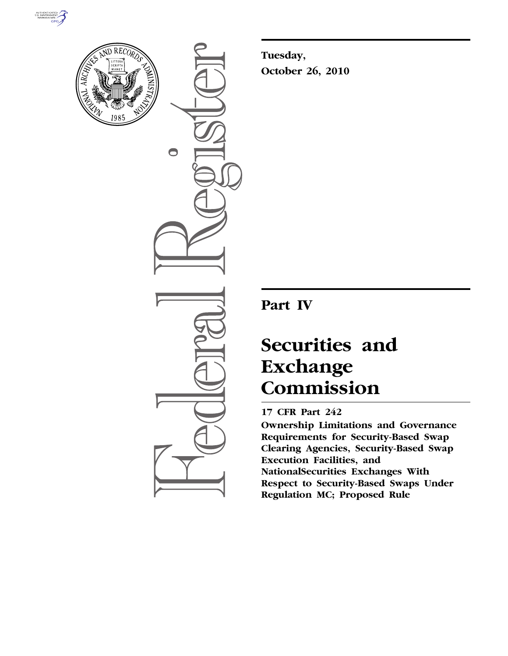



 $\bigcirc$ 

**Tuesday, October 26, 2010** 

## **Part IV**

# **Securities and Exchange Commission**

### **17 CFR Part 242**

**Ownership Limitations and Governance Requirements for Security-Based Swap Clearing Agencies, Security-Based Swap Execution Facilities, and NationalSecurities Exchanges With Respect to Security-Based Swaps Under Regulation MC; Proposed Rule**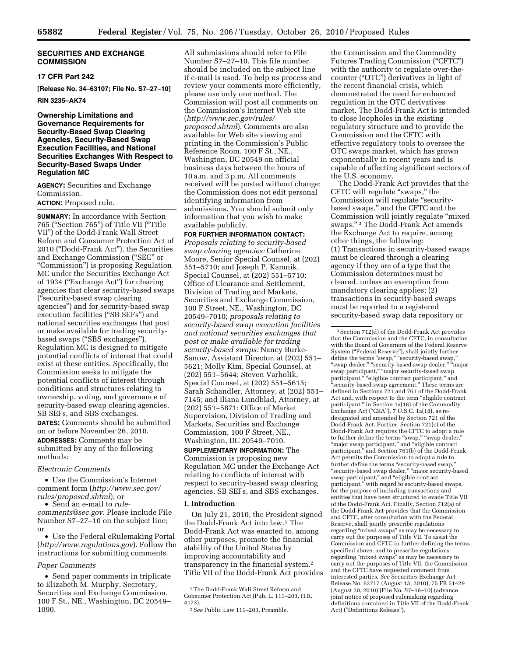#### **SECURITIES AND EXCHANGE COMMISSION**

#### **17 CFR Part 242**

**[Release No. 34–63107; File No. S7–27–10]** 

#### **RIN 3235–AK74**

#### **Ownership Limitations and Governance Requirements for Security-Based Swap Clearing Agencies, Security-Based Swap Execution Facilities, and National Securities Exchanges With Respect to Security-Based Swaps Under Regulation MC**

**AGENCY:** Securities and Exchange Commission.

#### **ACTION:** Proposed rule.

**SUMMARY:** In accordance with Section 765 (''Section 765'') of Title VII (''Title VII'') of the Dodd-Frank Wall Street Reform and Consumer Protection Act of 2010 (''Dodd-Frank Act''), the Securities and Exchange Commission (''SEC'' or ''Commission'') is proposing Regulation MC under the Securities Exchange Act of 1934 (''Exchange Act'') for clearing agencies that clear security-based swaps (''security-based swap clearing agencies'') and for security-based swap execution facilities ("SB SEFs") and national securities exchanges that post or make available for trading securitybased swaps (''SBS exchanges''). Regulation MC is designed to mitigate potential conflicts of interest that could exist at these entities. Specifically, the Commission seeks to mitigate the potential conflicts of interest through conditions and structures relating to ownership, voting, and governance of security-based swap clearing agencies, SB SEFs, and SBS exchanges. **DATES:** Comments should be submitted on or before November 26, 2010. **ADDRESSES:** Comments may be submitted by any of the following methods:

#### *Electronic Comments*

• Use the Commission's Internet comment form (*[http://www.sec.gov/](http://www.sec.gov/rules/proposed.shtml)  [rules/proposed.shtml](http://www.sec.gov/rules/proposed.shtml)*); or

• Send an e-mail to *[rule](mailto:rule-comments@sec.gov)[comments@sec.gov.](mailto:rule-comments@sec.gov)* Please include File Number S7–27–10 on the subject line; or

• Use the Federal eRulemaking Portal (*<http://www.regulations.gov>*). Follow the instructions for submitting comments.

#### *Paper Comments*

• Send paper comments in triplicate to Elizabeth M. Murphy, Secretary, Securities and Exchange Commission, 100 F St., NE., Washington, DC 20549– 1090.

All submissions should refer to File Number S7–27–10. This file number should be included on the subject line if e-mail is used. To help us process and review your comments more efficiently, please use only one method. The Commission will post all comments on the Commission's Internet Web site (*[http://www.sec.gov/rules/](http://www.sec.gov/rules/proposed.shtml) [proposed.shtml](http://www.sec.gov/rules/proposed.shtml)*). Comments are also available for Web site viewing and printing in the Commission's Public Reference Room, 100 F St., NE., Washington, DC 20549 on official business days between the hours of 10 a.m. and 3 p.m. All comments received will be posted without change; the Commission does not edit personal identifying information from submissions. You should submit only information that you wish to make available publicly.

**FOR FURTHER INFORMATION CONTACT:**  *Proposals relating to security-based* 

*swap clearing agencies:* Catherine Moore, Senior Special Counsel, at (202) 551–5710; and Joseph P. Kamnik, Special Counsel, at (202) 551–5710; Office of Clearance and Settlement, Division of Trading and Markets, Securities and Exchange Commission, 100 F Street, NE., Washington, DC 20549–7010; *proposals relating to security-based swap execution facilities and national securities exchanges that post or make available for trading security-based swaps:* Nancy Burke-Sanow, Assistant Director, at (202) 551– 5621; Molly Kim, Special Counsel, at (202) 551–5644; Steven Varholik, Special Counsel, at (202) 551–5615; Sarah Schandler, Attorney, at (202) 551– 7145; and Iliana Lundblad, Attorney, at (202) 551–5871; Office of Market Supervision, Division of Trading and Markets, Securities and Exchange Commission, 100 F Street, NE., Washington, DC 20549–7010.

**SUPPLEMENTARY INFORMATION:** The Commission is proposing new Regulation MC under the Exchange Act relating to conflicts of interest with respect to security-based swap clearing agencies, SB SEFs, and SBS exchanges.

#### **I. Introduction**

On July 21, 2010, the President signed the Dodd-Frank Act into law.1 The Dodd-Frank Act was enacted to, among other purposes, promote the financial stability of the United States by improving accountability and transparency in the financial system.2 Title VII of the Dodd-Frank Act provides

the Commission and the Commodity Futures Trading Commission (''CFTC'') with the authority to regulate over-thecounter (''OTC'') derivatives in light of the recent financial crisis, which demonstrated the need for enhanced regulation in the OTC derivatives market. The Dodd-Frank Act is intended to close loopholes in the existing regulatory structure and to provide the Commission and the CFTC with effective regulatory tools to oversee the OTC swaps market, which has grown exponentially in recent years and is capable of affecting significant sectors of the U.S. economy.

The Dodd-Frank Act provides that the CFTC will regulate ''swaps,'' the Commission will regulate ''securitybased swaps,'' and the CFTC and the Commission will jointly regulate ''mixed swaps.'' 3 The Dodd-Frank Act amends the Exchange Act to require, among other things, the following: (1) Transactions in security-based swaps must be cleared through a clearing agency if they are of a type that the Commission determines must be cleared, unless an exemption from mandatory clearing applies; (2) transactions in security-based swaps must be reported to a registered security-based swap data repository or

3Section 712(d) of the Dodd-Frank Act provides that the Commission and the CFTC, in consultation with the Board of Governors of the Federal Reserve System (''Federal Reserve''), shall jointly further define the terms "swap," "security-based swap," "swap dealer," "security-based swap dealer," "major swap participant," "major security-based swap participant,'' ''eligible contract participant,'' and 'security-based swap agreement." These terms are defined in Sections 721 and 761 of the Dodd-Frank Act and, with respect to the term ''eligible contract participant,'' in Section 1a(18) of the Commodity Exchange Act ("CEA"),  $7 \text{ U.S.C. } 1a(18)$ , as redesignated and amended by Section 721 of the Dodd-Frank Act. Further, Section 721(c) of the Dodd-Frank Act requires the CFTC to adopt a rule to further define the terms "swap," "swap dealer," "major swap participant," and "eligible contract" participant,'' and Section 761(b) of the Dodd-Frank Act permits the Commission to adopt a rule to further define the terms ''security-based swap,'' ''security-based swap dealer,'' ''major security-based swap participant,'' and ''eligible contract participant,'' with regard to security-based swaps, for the purpose of including transactions and entities that have been structured to evade Title VII of the Dodd-Frank Act. Finally, Section 712(a) of the Dodd-Frank Act provides that the Commission and CFTC, after consultation with the Federal Reserve, shall jointly prescribe regulations regarding ''mixed swaps'' as may be necessary to carry out the purposes of Title VII. To assist the Commission and CFTC in further defining the terms specified above, and to prescribe regulations regarding ''mixed swaps'' as may be necessary to carry out the purposes of Title VII, the Commission and the CFTC have requested comment from interested parties. *See* Securities Exchange Act Release No. 62717 (August 13, 2010), 75 FR 51429 (August 20, 2010) (File No. S7–16–10) (advance joint notice of proposed rulemaking regarding definitions contained in Title VII of the Dodd-Frank Act) (''Definitions Release'').

<sup>1</sup>The Dodd-Frank Wall Street Reform and Consumer Protection Act (Pub. L. 111–203, H.R. 4173).

<sup>2</sup>*See* Public Law 111–203, Preamble.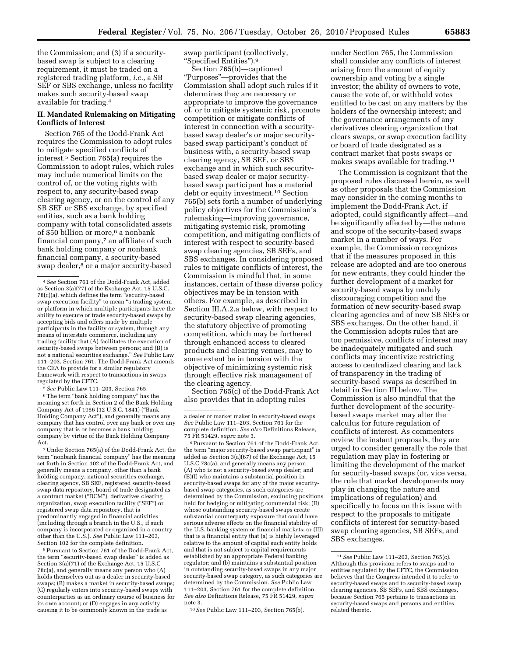the Commission; and (3) if a securitybased swap is subject to a clearing requirement, it must be traded on a registered trading platform, *i.e.,* a SB SEF or SBS exchange, unless no facility makes such security-based swap available for trading.4

#### **II. Mandated Rulemaking on Mitigating Conflicts of Interest**

Section 765 of the Dodd-Frank Act requires the Commission to adopt rules to mitigate specified conflicts of interest.5 Section 765(a) requires the Commission to adopt rules, which rules may include numerical limits on the control of, or the voting rights with respect to, any security-based swap clearing agency, or on the control of any SB SEF or SBS exchange, by specified entities, such as a bank holding company with total consolidated assets of \$50 billion or more,<sup>6</sup> a nonbank financial company,7 an affiliate of such bank holding company or nonbank financial company, a security-based swap dealer,<sup>8</sup> or a major security-based

5*See* Public Law 111–203, Section 765.

<sup>6</sup>The term "bank holding company" has the meaning set forth in Section 2 of the Bank Holding Company Act of 1956 (12 U.S.C. 1841) (''Bank Holding Company Act''), and generally means any company that has control over any bank or over any company that is or becomes a bank holding company by virtue of the Bank Holding Company Act.

7Under Section 765(a) of the Dodd-Frank Act, the term ''nonbank financial company'' has the meaning set forth in Section 102 of the Dodd-Frank Act, and generally means a company, other than a bank holding company, national securities exchange, clearing agency, SB SEF, registered security-based swap data repository, board of trade designated as a contract market (''DCM''), derivatives clearing organization, swap execution facility (''SEF'') or registered swap data repository, that is predominantly engaged in financial activities (including through a branch in the U.S., if such company is incorporated or organized in a country other than the U.S.). *See* Public Law 111–203, Section 102 for the complete definition.

8Pursuant to Section 761 of the Dodd-Frank Act, the term "security-based swap dealer" is added as Section 3(a)(71) of the Exchange Act, 15 U.S.C 78c(a), and generally means any person who (A) holds themselves out as a dealer in security-based swaps; (B) makes a market in security-based swaps; (C) regularly enters into security-based swaps with counterparties as an ordinary course of business for its own account; or (D) engages in any activity causing it to be commonly known in the trade as

swap participant (collectively, ''Specified Entities'').9

Section 765(b)—captioned ''Purposes''—provides that the Commission shall adopt such rules if it determines they are necessary or appropriate to improve the governance of, or to mitigate systemic risk, promote competition or mitigate conflicts of interest in connection with a securitybased swap dealer's or major securitybased swap participant's conduct of business with, a security-based swap clearing agency, SB SEF, or SBS exchange and in which such securitybased swap dealer or major securitybased swap participant has a material debt or equity investment.10 Section 765(b) sets forth a number of underlying policy objectives for the Commission's rulemaking—improving governance, mitigating systemic risk, promoting competition, and mitigating conflicts of interest with respect to security-based swap clearing agencies, SB SEFs, and SBS exchanges. In considering proposed rules to mitigate conflicts of interest, the Commission is mindful that, in some instances, certain of these diverse policy objectives may be in tension with others. For example, as described in Section III.A.2.a below, with respect to security-based swap clearing agencies, the statutory objective of promoting competition, which may be furthered through enhanced access to cleared products and clearing venues, may to some extent be in tension with the objective of minimizing systemic risk through effective risk management of the clearing agency.

Section  $\overline{7}65(c)$  of the Dodd-Frank Act also provides that in adopting rules

9Pursuant to Section 761 of the Dodd-Frank Act, the term "major security-based swap participant" is added as Section 3(a)(67) of the Exchange Act, 15 U.S.C 78c(a), and generally means any person (A) who is not a security-based swap dealer; and (B)(I) who maintains a substantial position in security-based swaps for any of the major securitybased swap categories, as such categories are determined by the Commission, excluding positions held for hedging or mitigating commercial risk; (II) whose outstanding security-based swaps create substantial counterparty exposure that could have serious adverse effects on the financial stability of the U.S. banking system or financial markets; or (III) that is a financial entity that (a) is highly leveraged relative to the amount of capital such entity holds and that is not subject to capital requirements established by an appropriate Federal banking regulator; and (b) maintains a substantial position in outstanding security-based swaps in any major security-based swap category, as such categories are determined by the Commission. *See* Public Law 111–203, Section 761 for the complete definition. *See also* Definitions Release, 75 FR 51429, *supra*  note 3.

10*See* Public Law 111–203, Section 765(b).

under Section 765, the Commission shall consider any conflicts of interest arising from the amount of equity ownership and voting by a single investor; the ability of owners to vote, cause the vote of, or withhold votes entitled to be cast on any matters by the holders of the ownership interest; and the governance arrangements of any derivatives clearing organization that clears swaps, or swap execution facility or board of trade designated as a contract market that posts swaps or makes swaps available for trading.11

The Commission is cognizant that the proposed rules discussed herein, as well as other proposals that the Commission may consider in the coming months to implement the Dodd-Frank Act, if adopted, could significantly affect—and be significantly affected by—the nature and scope of the security-based swaps market in a number of ways. For example, the Commission recognizes that if the measures proposed in this release are adopted and are too onerous for new entrants, they could hinder the further development of a market for security-based swaps by unduly discouraging competition and the formation of new security-based swap clearing agencies and of new SB SEFs or SBS exchanges. On the other hand, if the Commission adopts rules that are too permissive, conflicts of interest may be inadequately mitigated and such conflicts may incentivize restricting access to centralized clearing and lack of transparency in the trading of security-based swaps as described in detail in Section III below. The Commission is also mindful that the further development of the securitybased swaps market may alter the calculus for future regulation of conflicts of interest. As commenters review the instant proposals, they are urged to consider generally the role that regulation may play in fostering or limiting the development of the market for security-based swaps (or, vice versa, the role that market developments may play in changing the nature and implications of regulation) and specifically to focus on this issue with respect to the proposals to mitigate conflicts of interest for security-based swap clearing agencies, SB SEFs, and SBS exchanges.

<sup>4</sup>*See* Section 761 of the Dodd-Frank Act, added as Section 3(a)(77) of the Exchange Act, 15 U.S.C. 78(c)(a), which defines the term ''security-based swap execution facility" to mean "a trading system or platform in which multiple participants have the ability to execute or trade security-based swaps by accepting bids and offers made by multiple participants in the facility or system, through any means of interstate commerce, including any trading facility that (A) facilitates the execution of security-based swaps between persons; and (B) is not a national securities exchange.'' *See* Public Law 111–203, Section 761. The Dodd-Frank Act amends the CEA to provide for a similar regulatory framework with respect to transactions in swaps regulated by the CFTC.

a dealer or market maker in security-based swaps. *See* Public Law 111–203, Section 761 for the complete definition. *See also* Definitions Release, 75 FR 51429, *supra* note 3.

<sup>11</sup>*See* Public Law 111–203, Section 765(c). Although this provision refers to swaps and to entities regulated by the CFTC, the Commission believes that the Congress intended it to refer to security-based swaps and to security-based swap clearing agencies, SB SEFs, and SBS exchanges, because Section 765 pertains to transactions in security-based swaps and persons and entities related thereto.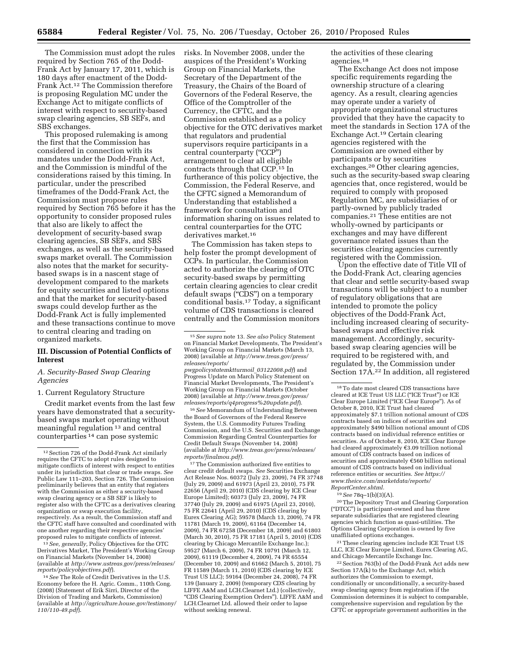The Commission must adopt the rules required by Section 765 of the Dodd-Frank Act by January 17, 2011, which is 180 days after enactment of the Dodd-Frank Act.12 The Commission therefore is proposing Regulation MC under the Exchange Act to mitigate conflicts of interest with respect to security-based swap clearing agencies, SB SEFs, and

SBS exchanges. This proposed rulemaking is among the first that the Commission has considered in connection with its mandates under the Dodd-Frank Act, and the Commission is mindful of the considerations raised by this timing. In particular, under the prescribed timeframes of the Dodd-Frank Act, the Commission must propose rules required by Section 765 before it has the opportunity to consider proposed rules that also are likely to affect the development of security-based swap clearing agencies, SB SEFs, and SBS exchanges, as well as the security-based swaps market overall. The Commission also notes that the market for securitybased swaps is in a nascent stage of development compared to the markets for equity securities and listed options and that the market for security-based swaps could develop further as the Dodd-Frank Act is fully implemented and these transactions continue to move to central clearing and trading on organized markets.

#### **III. Discussion of Potential Conflicts of Interest**

#### *A. Security-Based Swap Clearing Agencies*

1. Current Regulatory Structure

Credit market events from the last few years have demonstrated that a securitybased swaps market operating without meaningful regulation 13 and central counterparties 14 can pose systemic

13*See, generally,* Policy Objectives for the OTC Derivatives Market, The President's Working Group on Financial Markets (November 14, 2008) (available at *[http://www.ustreas.gov/press/releases/](http://www.ustreas.gov/press/releases/reports/policyobjectives.pdf)* 

<sup>14</sup> See The Role of Credit Derivatives in the U.S. Economy before the H. Agric. Comm., 110th Cong. (2008) (Statement of Erik Sirri, Director of the Division of Trading and Markets, Commission) (available at *[http://agriculture.house.gov/testimony/](http://agriculture.house.gov/testimony/110/110-49.pdf) [110/110-49.pdf](http://agriculture.house.gov/testimony/110/110-49.pdf)*).

risks. In November 2008, under the auspices of the President's Working Group on Financial Markets, the Secretary of the Department of the Treasury, the Chairs of the Board of Governors of the Federal Reserve, the Office of the Comptroller of the Currency, the CFTC, and the Commission established as a policy objective for the OTC derivatives market that regulators and prudential supervisors require participants in a central counterparty (''CCP'') arrangement to clear all eligible contracts through that CCP.15 In furtherance of this policy objective, the Commission, the Federal Reserve, and the CFTC signed a Memorandum of Understanding that established a framework for consultation and information sharing on issues related to central counterparties for the OTC derivatives market.16

The Commission has taken steps to help foster the prompt development of CCPs. In particular, the Commission acted to authorize the clearing of OTC security-based swaps by permitting certain clearing agencies to clear credit default swaps ("CDS") on a temporary conditional basis.17 Today, a significant volume of CDS transactions is cleared centrally and the Commission monitors

*[pwgpolicystatemktturmoil](http://www.treas.gov/press/releases/reports/pwgpolicystatemktturmoil_03122008.pdf)*\_*03122008.pdf*) and Progress Update on March Policy Statement on Financial Market Developments, The President's Working Group on Financial Markets (October 2008) (available at *[http://www.treas.gov/press/](http://www.treas.gov/press/releases/reports/q4progress%20update.pdf) [releases/reports/q4progress%20update.pdf](http://www.treas.gov/press/releases/reports/q4progress%20update.pdf)*).

16*See* Memorandum of Understanding Between the Board of Governors of the Federal Reserve System, the U.S. Commodity Futures Trading Commission, and the U.S. Securities and Exchange Commission Regarding Central Counterparties for Credit Default Swaps (November 14, 2008) (available at *[http://www.treas.gov/press/releases/](http://www.treas.gov/press/releases/reports/finalmou.pdf) [reports/finalmou.pdf\).](http://www.treas.gov/press/releases/reports/finalmou.pdf)* 

 $^{\rm 17}\!$  The Commission authorized five entities to clear credit default swaps. *See* Securities Exchange Act Release Nos. 60372 (July 23, 2009), 74 FR 37748 (July 29, 2009) and 61973 (April 23, 2010), 75 FR 22656 (April 29, 2010) (CDS clearing by ICE Clear Europe Limited); 60373 (July 23, 2009), 74 FR 37740 (July 29, 2009) and 61975 (April 23, 2010), 75 FR 22641 (April 29, 2010) (CDS clearing by Eurex Clearing AG); 59578 (March 13, 2009), 74 FR 11781 (March 19, 2009), 61164 (December 14, 2009), 74 FR 67258 (December 18, 2009) and 61803 (March 30, 2010), 75 FR 17181 (April 5, 2010) (CDS clearing by Chicago Mercantile Exchange Inc.); 59527 (March 6, 2009), 74 FR 10791 (March 12, 2009), 61119 (December 4, 2009), 74 FR 65554 (December 10, 2009) and 61662 (March 5, 2010), 75 FR 11589 (March 11, 2010) (CDS clearing by ICE Trust US LLC); 59164 (December 24, 2008), 74 FR 139 (January 2, 2009) (temporary CDS clearing by LIFFE A&M and LCH.Clearnet Ltd.) (collectively, ''CDS Clearing Exemption Orders''). LIFFE A&M and LCH.Clearnet Ltd. allowed their order to lapse without seeking renewal.

the activities of these clearing agencies.18

The Exchange Act does not impose specific requirements regarding the ownership structure of a clearing agency. As a result, clearing agencies may operate under a variety of appropriate organizational structures provided that they have the capacity to meet the standards in Section 17A of the Exchange Act.19 Certain clearing agencies registered with the Commission are owned either by participants or by securities exchanges.20 Other clearing agencies, such as the security-based swap clearing agencies that, once registered, would be required to comply with proposed Regulation MC, are subsidiaries of or partly-owned by publicly traded companies.21 These entities are not wholly-owned by participants or exchanges and may have different governance related issues than the securities clearing agencies currently registered with the Commission.

Upon the effective date of Title VII of the Dodd-Frank Act, clearing agencies that clear and settle security-based swap transactions will be subject to a number of regulatory obligations that are intended to promote the policy objectives of the Dodd-Frank Act, including increased clearing of securitybased swaps and effective risk management. Accordingly, securitybased swap clearing agencies will be required to be registered with, and regulated by, the Commission under Section 17A.22 In addition, all registered

20The Depository Trust and Clearing Corporation (''DTCC'') is participant-owned and has three separate subsidiaries that are registered clearing agencies which function as quasi-utilities. The Options Clearing Corporation is owned by five unaffiliated options exchanges.

21These clearing agencies include ICE Trust US LLC, ICE Clear Europe Limited, Eurex Clearing AG, and Chicago Mercantile Exchange Inc.

22Section 763(b) of the Dodd-Frank Act adds new Section 17A(k) to the Exchange Act, which authorizes the Commission to exempt, conditionally or unconditionally, a security-based swap clearing agency from registration if the Commission determines it is subject to comparable, comprehensive supervision and regulation by the CFTC or appropriate government authorities in the

<sup>12</sup>Section 726 of the Dodd-Frank Act similarly requires the CFTC to adopt rules designed to mitigate conflicts of interest with respect to entities under its jurisdiction that clear or trade swaps. *See*  Public Law 111–203, Section 726. The Commission preliminarily believes that an entity that registers with the Commission as either a security-based swap clearing agency or a SB SEF is likely to register also with the CFTC as a derivatives clearing organization or swap execution facility, respectively. As a result, the Commission staff and the CFTC staff have consulted and coordinated with one another regarding their respective agencies' proposed rules to mitigate conflicts of interest.

<sup>15</sup>*See supra* note 13. *See also* Policy Statement on Financial Market Developments, The President's Working Group on Financial Markets (March 13, 2008) (available at *[http://www.treas.gov/press/](http://www.treas.gov/press/releases/reports/pwgpolicystatemktturmoil_03122008.pdf)  [releases/reports/](http://www.treas.gov/press/releases/reports/pwgpolicystatemktturmoil_03122008.pdf)* 

<sup>18</sup>To date most cleared CDS transactions have cleared at ICE Trust US LLC (''ICE Trust'') or ICE Clear Europe Limited (''ICE Clear Europe''). As of October 8, 2010, ICE Trust had cleared approximately \$7.1 trillion notional amount of CDS contracts based on indices of securities and approximately \$490 billion notional amount of CDS contracts based on individual reference entities or securities. As of October 8, 2010, ICE Clear Europe had cleared approximately  $€3.09$  trillion notional amount of CDS contracts based on indices of securities and approximately  $\mathfrak{E}560$  billion notional amount of CDS contracts based on individual reference entities or securities. *See [https://](https://www.theice.com/marketdata/reports/ReportCenter.shtml) [www.theice.com/marketdata/reports/](https://www.theice.com/marketdata/reports/ReportCenter.shtml) [ReportCenter.shtml.](https://www.theice.com/marketdata/reports/ReportCenter.shtml)* 

<sup>19</sup>*See* 78q–1(b)(3)(A).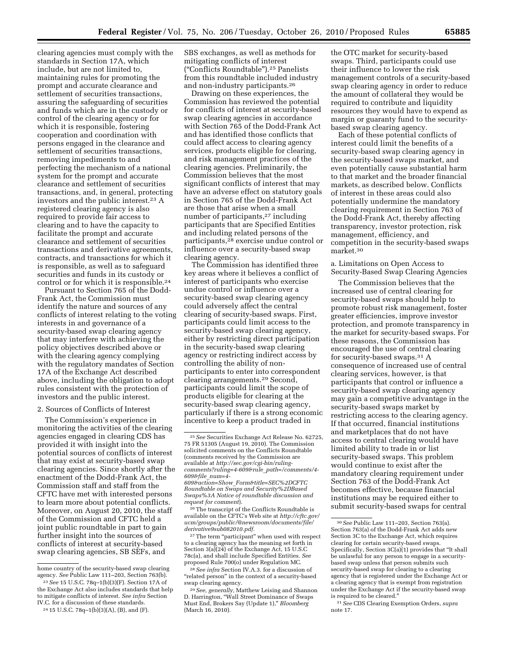clearing agencies must comply with the standards in Section 17A, which include, but are not limited to, maintaining rules for promoting the prompt and accurate clearance and settlement of securities transactions, assuring the safeguarding of securities and funds which are in the custody or control of the clearing agency or for which it is responsible, fostering cooperation and coordination with persons engaged in the clearance and settlement of securities transactions, removing impediments to and perfecting the mechanism of a national system for the prompt and accurate clearance and settlement of securities transactions, and, in general, protecting investors and the public interest.23 A registered clearing agency is also required to provide fair access to clearing and to have the capacity to facilitate the prompt and accurate clearance and settlement of securities transactions and derivative agreements, contracts, and transactions for which it is responsible, as well as to safeguard securities and funds in its custody or control or for which it is responsible.24

Pursuant to Section 765 of the Dodd-Frank Act, the Commission must identify the nature and sources of any conflicts of interest relating to the voting interests in and governance of a security-based swap clearing agency that may interfere with achieving the policy objectives described above or with the clearing agency complying with the regulatory mandates of Section 17A of the Exchange Act described above, including the obligation to adopt rules consistent with the protection of investors and the public interest.

#### 2. Sources of Conflicts of Interest

The Commission's experience in monitoring the activities of the clearing agencies engaged in clearing CDS has provided it with insight into the potential sources of conflicts of interest that may exist at security-based swap clearing agencies. Since shortly after the enactment of the Dodd-Frank Act, the Commission staff and staff from the CFTC have met with interested persons to learn more about potential conflicts. Moreover, on August 20, 2010, the staff of the Commission and CFTC held a joint public roundtable in part to gain further insight into the sources of conflicts of interest at security-based swap clearing agencies, SB SEFs, and

SBS exchanges, as well as methods for mitigating conflicts of interest (''Conflicts Roundtable'').25 Panelists from this roundtable included industry and non-industry participants.26

Drawing on these experiences, the Commission has reviewed the potential for conflicts of interest at security-based swap clearing agencies in accordance with Section 765 of the Dodd-Frank Act and has identified those conflicts that could affect access to clearing agency services, products eligible for clearing, and risk management practices of the clearing agencies. Preliminarily, the Commission believes that the most significant conflicts of interest that may have an adverse effect on statutory goals in Section 765 of the Dodd-Frank Act are those that arise when a small number of participants,27 including participants that are Specified Entities and including related persons of the participants,28 exercise undue control or influence over a security-based swap clearing agency.

The Commission has identified three key areas where it believes a conflict of interest of participants who exercise undue control or influence over a security-based swap clearing agency could adversely affect the central clearing of security-based swaps. First, participants could limit access to the security-based swap clearing agency, either by restricting direct participation in the security-based swap clearing agency or restricting indirect access by controlling the ability of nonparticipants to enter into correspondent clearing arrangements.29 Second, participants could limit the scope of products eligible for clearing at the security-based swap clearing agency, particularly if there is a strong economic incentive to keep a product traded in

*request for comment*). 26The transcript of the Conflicts Roundtable is available on the CFTC's Web site at *http://cftc.gov/ [ucm/groups/public/@newsroom/documents/file/](http://cftc.gov/ucm/groups/public/@newsroom/documents/file/derivative9sub082010.pdf)  derivative9sub082010.pdf.* 

<sup>27</sup>The term "participant" when used with respect to a clearing agency has the meaning set forth in Section 3(a)(24) of the Exchange Act, 15 U.S.C 78c(a), and shall include Specified Entities. *See*  proposed Rule 700(o) under Regulation MC.

28*See infra* Section IV.A.3. for a discussion of "related person" in the context of a security-based swap clearing agency.

the OTC market for security-based swaps. Third, participants could use their influence to lower the risk management controls of a security-based swap clearing agency in order to reduce the amount of collateral they would be required to contribute and liquidity resources they would have to expend as margin or guaranty fund to the securitybased swap clearing agency.

Each of these potential conflicts of interest could limit the benefits of a security-based swap clearing agency in the security-based swaps market, and even potentially cause substantial harm to that market and the broader financial markets, as described below. Conflicts of interest in these areas could also potentially undermine the mandatory clearing requirement in Section 763 of the Dodd-Frank Act, thereby affecting transparency, investor protection, risk management, efficiency, and competition in the security-based swaps market.30

a. Limitations on Open Access to Security-Based Swap Clearing Agencies

The Commission believes that the increased use of central clearing for security-based swaps should help to promote robust risk management, foster greater efficiencies, improve investor protection, and promote transparency in the market for security-based swaps. For these reasons, the Commission has encouraged the use of central clearing for security-based swaps.31 A consequence of increased use of central clearing services, however, is that participants that control or influence a security-based swap clearing agency may gain a competitive advantage in the security-based swaps market by restricting access to the clearing agency. If that occurred, financial institutions and marketplaces that do not have access to central clearing would have limited ability to trade in or list security-based swaps. This problem would continue to exist after the mandatory clearing requirement under Section 763 of the Dodd-Frank Act becomes effective, because financial institutions may be required either to submit security-based swaps for central

home country of the security-based swap clearing agency. *See* Public Law 111–203, Section 763(b). 23*See* 15 U.S.C. 78q–1(b)(3)(F). Section 17A of

the Exchange Act also includes standards that help to mitigate conflicts of interest. *See infra* Section IV.C. for a discussion of these standards.

<sup>24</sup> 15 U.S.C. 78q–1(b)(3)(A), (B), and (F).

<sup>25</sup>*See* Securities Exchange Act Release No. 62725, 75 FR 51305 (August 19, 2010). The Commission solicited comments on the Conflicts Roundtable (comments received by the Commission are available at *http://sec.gov/cgi-bin/rulingcomments?ruling=4-609&rule*\_*path=/comments/4- 609&file*\_*num=4- 609&action=Show*\_*Form&title=SEC%2DCFTC Roundtable on Swaps and Security%2DBased [Swaps%3A Notice of roundtable discussion and](http://sec.gov/cgi-bin/ruling-comments?ruling=4-609&rule_path=/comments/4-609&file_num=4-609&action=Show_Form&title=SEC%2DCFTCRoundtableonSwapsandSecurity%2DBasedSwaps%3)* 

<sup>29</sup>*See, generally,* Matthew Leising and Shannon D. Harrington, ''Wall Street Dominance of Swaps Must End, Brokers Say (Update 1),'' *Bloomberg*  (March 16, 2010).

<sup>30</sup>*See* Public Law 111–203, Section 763(a). Section 763(a) of the Dodd-Frank Act adds new Section 3C to the Exchange Act, which requires clearing for certain security-based swaps. Specifically, Section 3C(a)(1) provides that ''It shall be unlawful for any person to engage in a securitybased swap unless that person submits such security-based swap for clearing to a clearing agency that is registered under the Exchange Act or a clearing agency that is exempt from registration under the Exchange Act if the security-based swap is required to be cleared.''

<sup>31</sup>*See* CDS Clearing Exemption Orders, *supra*  note 17.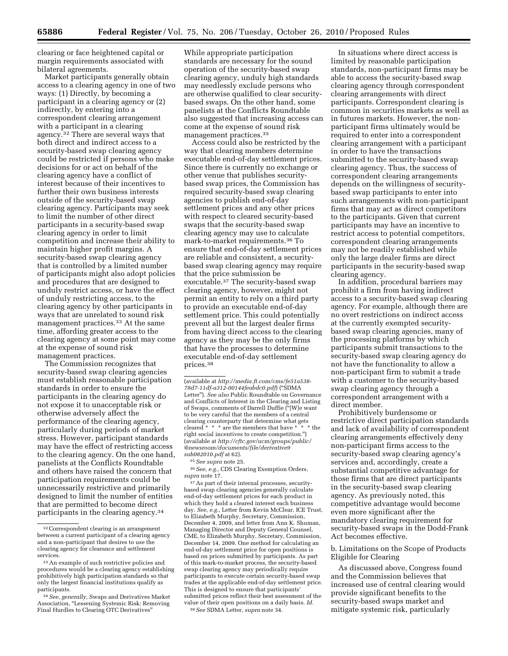clearing or face heightened capital or margin requirements associated with bilateral agreements.

Market participants generally obtain access to a clearing agency in one of two ways: (1) Directly, by becoming a participant in a clearing agency or (2) indirectly, by entering into a correspondent clearing arrangement with a participant in a clearing agency.32 There are several ways that both direct and indirect access to a security-based swap clearing agency could be restricted if persons who make decisions for or act on behalf of the clearing agency have a conflict of interest because of their incentives to further their own business interests outside of the security-based swap clearing agency. Participants may seek to limit the number of other direct participants in a security-based swap clearing agency in order to limit competition and increase their ability to maintain higher profit margins. A security-based swap clearing agency that is controlled by a limited number of participants might also adopt policies and procedures that are designed to unduly restrict access, or have the effect of unduly restricting access, to the clearing agency by other participants in ways that are unrelated to sound risk management practices.33 At the same time, affording greater access to the clearing agency at some point may come at the expense of sound risk management practices.

The Commission recognizes that security-based swap clearing agencies must establish reasonable participation standards in order to ensure the participants in the clearing agency do not expose it to unacceptable risk or otherwise adversely affect the performance of the clearing agency, particularly during periods of market stress. However, participant standards may have the effect of restricting access to the clearing agency. On the one hand, panelists at the Conflicts Roundtable and others have raised the concern that participation requirements could be unnecessarily restrictive and primarily designed to limit the number of entities that are permitted to become direct participants in the clearing agency.34

While appropriate participation standards are necessary for the sound operation of the security-based swap clearing agency, unduly high standards may needlessly exclude persons who are otherwise qualified to clear securitybased swaps. On the other hand, some panelists at the Conflicts Roundtable also suggested that increasing access can come at the expense of sound risk management practices.35

Access could also be restricted by the way that clearing members determine executable end-of-day settlement prices. Since there is currently no exchange or other venue that publishes securitybased swap prices, the Commission has required security-based swap clearing agencies to publish end-of-day settlement prices and any other prices with respect to cleared security-based swaps that the security-based swap clearing agency may use to calculate mark-to-market requirements.36 To ensure that end-of-day settlement prices are reliable and consistent, a securitybased swap clearing agency may require that the price submission be executable.37 The security-based swap clearing agency, however, might not permit an entity to rely on a third party to provide an executable end-of-day settlement price. This could potentially prevent all but the largest dealer firms from having direct access to the clearing agency as they may be the only firms that have the processes to determine executable end-of-day settlement prices.38

35*See supra* note 25.

36*See, e.g.,* CDS Clearing Exemption Orders, *supra* note 17.

37As part of their internal processes, securitybased swap clearing agencies generally calculate end-of-day settlement prices for each product in which they hold a cleared interest each business day. *See, e.g.,* Letter from Kevin McClear, ICE Trust, to Elizabeth Murphy, Secretary, Commission, December 4, 2009, and letter from Ann K. Shuman, Managing Director and Deputy General Counsel, CME, to Elizabeth Murphy, Secretary, Commission, December 14, 2009. One method for calculating an end-of-day settlement price for open positions is based on prices submitted by participants. As part of this mark-to-market process, the security-based swap clearing agency may periodically require participants to execute certain security-based swap trades at the applicable end-of-day settlement price. This is designed to ensure that participants' submitted prices reflect their best assessment of the value of their open positions on a daily basis. *Id.*  38*See* SDMA Letter, *supra* note 34.

In situations where direct access is limited by reasonable participation standards, non-participant firms may be able to access the security-based swap clearing agency through correspondent clearing arrangements with direct participants. Correspondent clearing is common in securities markets as well as in futures markets. However, the nonparticipant firms ultimately would be required to enter into a correspondent clearing arrangement with a participant in order to have the transactions submitted to the security-based swap clearing agency. Thus, the success of correspondent clearing arrangements depends on the willingness of securitybased swap participants to enter into such arrangements with non-participant firms that may act as direct competitors to the participants. Given that current participants may have an incentive to restrict access to potential competitors, correspondent clearing arrangements may not be readily established while only the large dealer firms are direct participants in the security-based swap clearing agency.

In addition, procedural barriers may prohibit a firm from having indirect access to a security-based swap clearing agency. For example, although there are no overt restrictions on indirect access at the currently exempted securitybased swap clearing agencies, many of the processing platforms by which participants submit transactions to the security-based swap clearing agency do not have the functionality to allow a non-participant firm to submit a trade with a customer to the security-based swap clearing agency through a correspondent arrangement with a direct member.

Prohibitively burdensome or restrictive direct participation standards and lack of availability of correspondent clearing arrangements effectively deny non-participant firms access to the security-based swap clearing agency's services and, accordingly, create a substantial competitive advantage for those firms that are direct participants in the security-based swap clearing agency. As previously noted, this competitive advantage would become even more significant after the mandatory clearing requirement for security-based swaps in the Dodd-Frank Act becomes effective.

b. Limitations on the Scope of Products Eligible for Clearing

As discussed above, Congress found and the Commission believes that increased use of central clearing would provide significant benefits to the security-based swaps market and mitigate systemic risk, particularly

<sup>32</sup>Correspondent clearing is an arrangement between a current participant of a clearing agency and a non-participant that desires to use the clearing agency for clearance and settlement services.

<sup>33</sup>An example of such restrictive policies and procedures would be a clearing agency establishing prohibitively high participation standards so that only the largest financial institutions qualify as participants.

<sup>34</sup>*See, generally,* Swaps and Derivatives Market Association, ''Lessening Systemic Risk: Removing Final Hurdles to Clearing OTC Derivatives''

<sup>(</sup>available at *[http://media.ft.com/cms/fe51a538-](http://media.ft.com/cms/fe51a538-78d7-11df-a312-00144feabdc0.pdf)  [78d7-11df-a312-00144feabdc0.pdf](http://media.ft.com/cms/fe51a538-78d7-11df-a312-00144feabdc0.pdf)*) (''SDMA Letter''). *See also* Public Roundtable on Governance and Conflicts of Interest in the Clearing and Listing of Swaps, comments of Darrell Duffie (''[W]e want to be very careful that the members of a central clearing counterparty that determine what gets<br>cleared \*  $*$  \* are the members that have \*  $*$  \* the cleared  $*$   $*$   $*$  are the members that have  $*$ right social incentives to create competition.'') (available at *http://cftc.gov/ucm/groups/public/ [@newsroom/documents/file/derivative9](http://cftc.gov/ucm/groups/public/@newsroom/documents/file/derivative9sub082010.pdf) sub082010.pdf* at 62).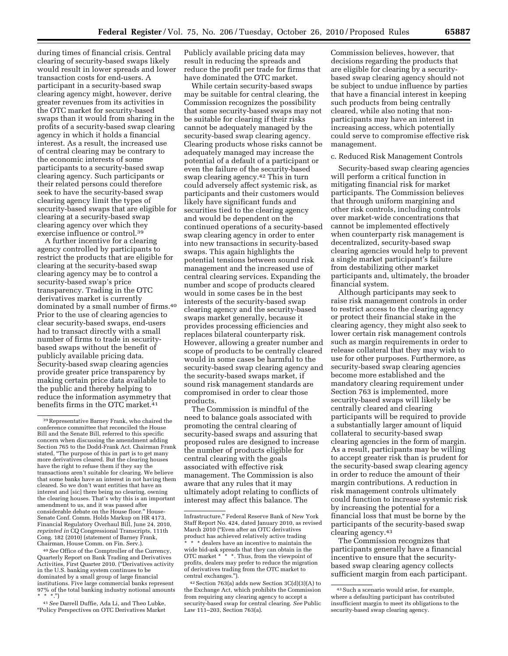during times of financial crisis. Central clearing of security-based swaps likely would result in lower spreads and lower transaction costs for end-users. A participant in a security-based swap clearing agency might, however, derive greater revenues from its activities in the OTC market for security-based swaps than it would from sharing in the profits of a security-based swap clearing agency in which it holds a financial interest. As a result, the increased use of central clearing may be contrary to the economic interests of some participants to a security-based swap clearing agency. Such participants or their related persons could therefore seek to have the security-based swap clearing agency limit the types of security-based swaps that are eligible for clearing at a security-based swap clearing agency over which they exercise influence or control.39

A further incentive for a clearing agency controlled by participants to restrict the products that are eligible for clearing at the security-based swap clearing agency may be to control a security-based swap's price transparency. Trading in the OTC derivatives market is currently dominated by a small number of firms.40 Prior to the use of clearing agencies to clear security-based swaps, end-users had to transact directly with a small number of firms to trade in securitybased swaps without the benefit of publicly available pricing data. Security-based swap clearing agencies provide greater price transparency by making certain price data available to the public and thereby helping to reduce the information asymmetry that benefits firms in the OTC market.<sup>41</sup>

40*See* Office of the Comptroller of the Currency, Quarterly Report on Bank Trading and Derivatives Activities, First Quarter 2010. (''Derivatives activity in the U.S. banking system continues to be dominated by a small group of large financial institutions. Five large commercial banks represent 97% of the total banking industry notional amounts  $* * * \cdot \cdot$ ")

41*See* Darrell Duffie, Ada Li, and Theo Lubke, ''Policy Perspectives on OTC Derivatives Market Publicly available pricing data may result in reducing the spreads and reduce the profit per trade for firms that have dominated the OTC market.

While certain security-based swaps may be suitable for central clearing, the Commission recognizes the possibility that some security-based swaps may not be suitable for clearing if their risks cannot be adequately managed by the security-based swap clearing agency. Clearing products whose risks cannot be adequately managed may increase the potential of a default of a participant or even the failure of the security-based swap clearing agency.42 This in turn could adversely affect systemic risk, as participants and their customers would likely have significant funds and securities tied to the clearing agency and would be dependent on the continued operations of a security-based swap clearing agency in order to enter into new transactions in security-based swaps. This again highlights the potential tensions between sound risk management and the increased use of central clearing services. Expanding the number and scope of products cleared would in some cases be in the best interests of the security-based swap clearing agency and the security-based swaps market generally, because it provides processing efficiencies and replaces bilateral counterparty risk. However, allowing a greater number and scope of products to be centrally cleared would in some cases be harmful to the security-based swap clearing agency and the security-based swaps market, if sound risk management standards are compromised in order to clear those products.

The Commission is mindful of the need to balance goals associated with promoting the central clearing of security-based swaps and assuring that proposed rules are designed to increase the number of products eligible for central clearing with the goals associated with effective risk management. The Commission is also aware that any rules that it may ultimately adopt relating to conflicts of interest may affect this balance. The

Commission believes, however, that decisions regarding the products that are eligible for clearing by a securitybased swap clearing agency should not be subject to undue influence by parties that have a financial interest in keeping such products from being centrally cleared, while also noting that nonparticipants may have an interest in increasing access, which potentially could serve to compromise effective risk management.

#### c. Reduced Risk Management Controls

Security-based swap clearing agencies will perform a critical function in mitigating financial risk for market participants. The Commission believes that through uniform margining and other risk controls, including controls over market-wide concentrations that cannot be implemented effectively when counterparty risk management is decentralized, security-based swap clearing agencies would help to prevent a single market participant's failure from destabilizing other market participants and, ultimately, the broader financial system.

Although participants may seek to raise risk management controls in order to restrict access to the clearing agency or protect their financial stake in the clearing agency, they might also seek to lower certain risk management controls such as margin requirements in order to release collateral that they may wish to use for other purposes. Furthermore, as security-based swap clearing agencies become more established and the mandatory clearing requirement under Section 763 is implemented, more security-based swaps will likely be centrally cleared and clearing participants will be required to provide a substantially larger amount of liquid collateral to security-based swap clearing agencies in the form of margin. As a result, participants may be willing to accept greater risk than is prudent for the security-based swap clearing agency in order to reduce the amount of their margin contributions. A reduction in risk management controls ultimately could function to increase systemic risk by increasing the potential for a financial loss that must be borne by the participants of the security-based swap clearing agency.43

The Commission recognizes that participants generally have a financial incentive to ensure that the securitybased swap clearing agency collects sufficient margin from each participant.

<sup>39</sup>Representative Barney Frank, who chaired the conference committee that reconciled the House Bill and the Senate Bill, referred to this specific concern when discussing the amendment adding Section 765 to the Dodd-Frank Act. Chairman Frank stated, ''The purpose of this in part is to get many more derivatives cleared. But the clearing houses have the right to refuse them if they say the transactions aren't suitable for clearing. We believe that some banks have an interest in not having them cleared. So we don't want entities that have an interest and [sic] there being no clearing, owning the clearing houses. That's why this is an important amendment to us, and it was passed after considerable debate on the House floor.'' House-Senate Conf. Comm. Holds Markup on HR 4173, Financial Regulatory Overhaul Bill, June 24, 2010, *reprinted in* CQ Congressional Transcripts, 111th Cong. 182 (2010) (statement of Barney Frank, Chairman, House Comm. on Fin. Serv.).

Infrastructure,'' Federal Reserve Bank of New York Staff Report No. 424, dated January 2010, as revised March 2010 (''Even after an OTC derivatives product has achieved relatively active trading

<sup>\*</sup> dealers have an incentive to maintain the wide bid-ask spreads that they can obtain in the OTC market \* \* \*. Thus, from the viewpoint of profits, dealers may prefer to reduce the migration of derivatives trading from the OTC market to central exchanges.'').

<sup>42</sup>Section 763(a) adds new Section 3C(d)(3)(A) to the Exchange Act, which prohibits the Commission from requiring any clearing agency to accept a security-based swap for central clearing. *See* Public Law 111–203, Section 763(a).

<sup>43</sup>Such a scenario would arise, for example, where a defaulting participant has contributed insufficient margin to meet its obligations to the security-based swap clearing agency.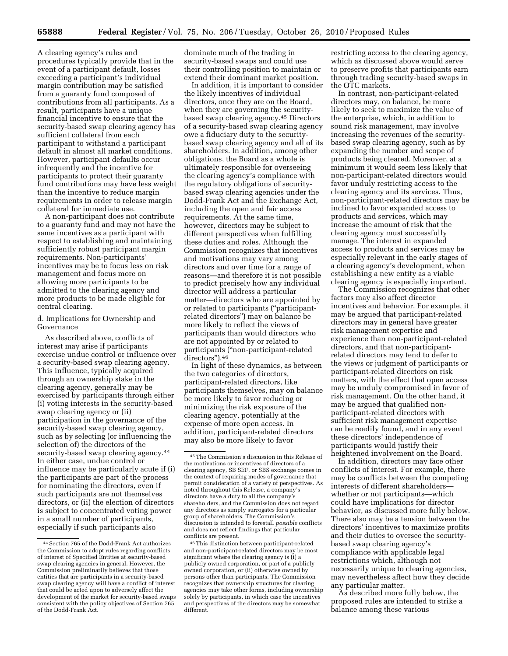A clearing agency's rules and procedures typically provide that in the event of a participant default, losses exceeding a participant's individual margin contribution may be satisfied from a guaranty fund composed of contributions from all participants. As a result, participants have a unique financial incentive to ensure that the security-based swap clearing agency has sufficient collateral from each participant to withstand a participant default in almost all market conditions. However, participant defaults occur infrequently and the incentive for participants to protect their guaranty fund contributions may have less weight than the incentive to reduce margin requirements in order to release margin collateral for immediate use.

A non-participant does not contribute to a guaranty fund and may not have the same incentives as a participant with respect to establishing and maintaining sufficiently robust participant margin requirements. Non-participants' incentives may be to focus less on risk management and focus more on allowing more participants to be admitted to the clearing agency and more products to be made eligible for central clearing.

d. Implications for Ownership and Governance

As described above, conflicts of interest may arise if participants exercise undue control or influence over a security-based swap clearing agency. This influence, typically acquired through an ownership stake in the clearing agency, generally may be exercised by participants through either (i) voting interests in the security-based swap clearing agency or (ii) participation in the governance of the security-based swap clearing agency, such as by selecting (or influencing the selection of) the directors of the security-based swap clearing agency.<sup>44</sup> In either case, undue control or influence may be particularly acute if (i) the participants are part of the process for nominating the directors, even if such participants are not themselves directors, or (ii) the election of directors is subject to concentrated voting power in a small number of participants, especially if such participants also

dominate much of the trading in security-based swaps and could use their controlling position to maintain or extend their dominant market position.

In addition, it is important to consider the likely incentives of individual directors, once they are on the Board, when they are governing the securitybased swap clearing agency.45 Directors of a security-based swap clearing agency owe a fiduciary duty to the securitybased swap clearing agency and all of its shareholders. In addition, among other obligations, the Board as a whole is ultimately responsible for overseeing the clearing agency's compliance with the regulatory obligations of securitybased swap clearing agencies under the Dodd-Frank Act and the Exchange Act, including the open and fair access requirements. At the same time, however, directors may be subject to different perspectives when fulfilling these duties and roles. Although the Commission recognizes that incentives and motivations may vary among directors and over time for a range of reasons—and therefore it is not possible to predict precisely how any individual director will address a particular matter—directors who are appointed by or related to participants (''participantrelated directors'') may on balance be more likely to reflect the views of participants than would directors who are not appointed by or related to participants (''non-participant-related directors'').46

In light of these dynamics, as between the two categories of directors, participant-related directors, like participants themselves, may on balance be more likely to favor reducing or minimizing the risk exposure of the clearing agency, potentially at the expense of more open access. In addition, participant-related directors may also be more likely to favor

46This distinction between participant-related and non-participant-related directors may be most significant where the clearing agency is (i) a publicly owned corporation, or part of a publicly owned corporation, or (ii) otherwise owned by persons other than participants. The Commission recognizes that ownership structures for clearing agencies may take other forms, including ownership solely by participants, in which case the incentives and perspectives of the directors may be somewhat different.

restricting access to the clearing agency, which as discussed above would serve to preserve profits that participants earn through trading security-based swaps in the OTC markets.

In contrast, non-participant-related directors may, on balance, be more likely to seek to maximize the value of the enterprise, which, in addition to sound risk management, may involve increasing the revenues of the securitybased swap clearing agency, such as by expanding the number and scope of products being cleared. Moreover, at a minimum it would seem less likely that non-participant-related directors would favor unduly restricting access to the clearing agency and its services. Thus, non-participant-related directors may be inclined to favor expanded access to products and services, which may increase the amount of risk that the clearing agency must successfully manage. The interest in expanded access to products and services may be especially relevant in the early stages of a clearing agency's development, when establishing a new entity as a viable clearing agency is especially important.

The Commission recognizes that other factors may also affect director incentives and behavior. For example, it may be argued that participant-related directors may in general have greater risk management expertise and experience than non-participant-related directors, and that non-participantrelated directors may tend to defer to the views or judgment of participants or participant-related directors on risk matters, with the effect that open access may be unduly compromised in favor of risk management. On the other hand, it may be argued that qualified nonparticipant-related directors with sufficient risk management expertise can be readily found, and in any event these directors' independence of participants would justify their heightened involvement on the Board.

In addition, directors may face other conflicts of interest. For example, there may be conflicts between the competing interests of different shareholders whether or not participants—which could have implications for director behavior, as discussed more fully below. There also may be a tension between the directors' incentives to maximize profits and their duties to oversee the securitybased swap clearing agency's compliance with applicable legal restrictions which, although not necessarily unique to clearing agencies, may nevertheless affect how they decide any particular matter.

As described more fully below, the proposed rules are intended to strike a balance among these various

<sup>44</sup>Section 765 of the Dodd-Frank Act authorizes the Commission to adopt rules regarding conflicts of interest of Specified Entities at security-based swap clearing agencies in general. However, the Commission preliminarily believes that those entities that are participants in a security-based swap clearing agency will have a conflict of interest that could be acted upon to adversely affect the development of the market for security-based swaps consistent with the policy objectives of Section 765 of the Dodd-Frank Act.

<sup>45</sup>The Commission's discussion in this Release of the motivations or incentives of directors of a clearing agency, SB SEF, or SBS exchange comes in the context of requiring modes of governance that permit consideration of a variety of perspectives. As noted throughout this Release, a company's directors have a duty to all the company's shareholders, and the Commission does not regard any directors as simply surrogates for a particular group of shareholders. The Commission's discussion is intended to forestall *possible* conflicts and does not reflect findings that particular conflicts are present.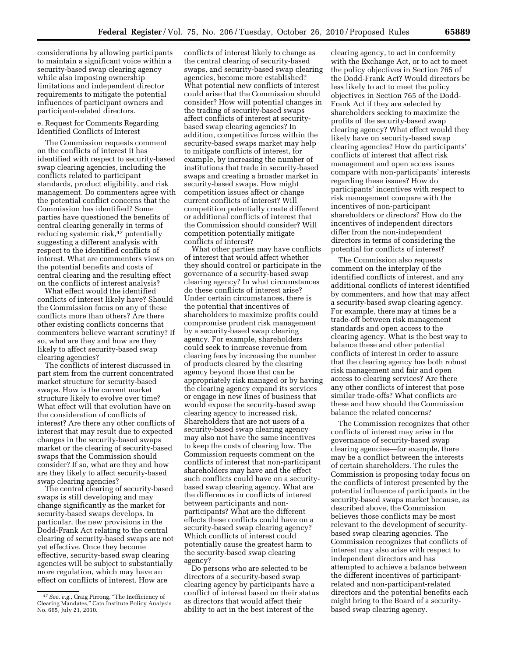considerations by allowing participants to maintain a significant voice within a security-based swap clearing agency while also imposing ownership limitations and independent director requirements to mitigate the potential influences of participant owners and participant-related directors.

#### e. Request for Comments Regarding Identified Conflicts of Interest

The Commission requests comment on the conflicts of interest it has identified with respect to security-based swap clearing agencies, including the conflicts related to participant standards, product eligibility, and risk management. Do commenters agree with the potential conflict concerns that the Commission has identified? Some parties have questioned the benefits of central clearing generally in terms of reducing systemic risk,<sup>47</sup> potentially suggesting a different analysis with respect to the identified conflicts of interest. What are commenters views on the potential benefits and costs of central clearing and the resulting effect on the conflicts of interest analysis?

What effect would the identified conflicts of interest likely have? Should the Commission focus on any of these conflicts more than others? Are there other existing conflicts concerns that commenters believe warrant scrutiny? If so, what are they and how are they likely to affect security-based swap clearing agencies?

The conflicts of interest discussed in part stem from the current concentrated market structure for security-based swaps. How is the current market structure likely to evolve over time? What effect will that evolution have on the consideration of conflicts of interest? Are there any other conflicts of interest that may result due to expected changes in the security-based swaps market or the clearing of security-based swaps that the Commission should consider? If so, what are they and how are they likely to affect security-based swap clearing agencies?

The central clearing of security-based swaps is still developing and may change significantly as the market for security-based swaps develops. In particular, the new provisions in the Dodd-Frank Act relating to the central clearing of security-based swaps are not yet effective. Once they become effective, security-based swap clearing agencies will be subject to substantially more regulation, which may have an effect on conflicts of interest. How are

conflicts of interest likely to change as the central clearing of security-based swaps, and security-based swap clearing agencies, become more established? What potential new conflicts of interest could arise that the Commission should consider? How will potential changes in the trading of security-based swaps affect conflicts of interest at securitybased swap clearing agencies? In addition, competitive forces within the security-based swaps market may help to mitigate conflicts of interest, for example, by increasing the number of institutions that trade in security-based swaps and creating a broader market in security-based swaps. How might competition issues affect or change current conflicts of interest? Will competition potentially create different or additional conflicts of interest that the Commission should consider? Will competition potentially mitigate conflicts of interest?

What other parties may have conflicts of interest that would affect whether they should control or participate in the governance of a security-based swap clearing agency? In what circumstances do these conflicts of interest arise? Under certain circumstances, there is the potential that incentives of shareholders to maximize profits could compromise prudent risk management by a security-based swap clearing agency. For example, shareholders could seek to increase revenue from clearing fees by increasing the number of products cleared by the clearing agency beyond those that can be appropriately risk managed or by having the clearing agency expand its services or engage in new lines of business that would expose the security-based swap clearing agency to increased risk. Shareholders that are not users of a security-based swap clearing agency may also not have the same incentives to keep the costs of clearing low. The Commission requests comment on the conflicts of interest that non-participant shareholders may have and the effect such conflicts could have on a securitybased swap clearing agency. What are the differences in conflicts of interest between participants and nonparticipants? What are the different effects these conflicts could have on a security-based swap clearing agency? Which conflicts of interest could potentially cause the greatest harm to the security-based swap clearing agency?

Do persons who are selected to be directors of a security-based swap clearing agency by participants have a conflict of interest based on their status as directors that would affect their ability to act in the best interest of the

clearing agency, to act in conformity with the Exchange Act, or to act to meet the policy objectives in Section 765 of the Dodd-Frank Act? Would directors be less likely to act to meet the policy objectives in Section 765 of the Dodd-Frank Act if they are selected by shareholders seeking to maximize the profits of the security-based swap clearing agency? What effect would they likely have on security-based swap clearing agencies? How do participants' conflicts of interest that affect risk management and open access issues compare with non-participants' interests regarding these issues? How do participants' incentives with respect to risk management compare with the incentives of non-participant shareholders or directors? How do the incentives of independent directors differ from the non-independent directors in terms of considering the potential for conflicts of interest?

The Commission also requests comment on the interplay of the identified conflicts of interest, and any additional conflicts of interest identified by commenters, and how that may affect a security-based swap clearing agency. For example, there may at times be a trade-off between risk management standards and open access to the clearing agency. What is the best way to balance these and other potential conflicts of interest in order to assure that the clearing agency has both robust risk management and fair and open access to clearing services? Are there any other conflicts of interest that pose similar trade-offs? What conflicts are these and how should the Commission balance the related concerns?

The Commission recognizes that other conflicts of interest may arise in the governance of security-based swap clearing agencies—for example, there may be a conflict between the interests of certain shareholders. The rules the Commission is proposing today focus on the conflicts of interest presented by the potential influence of participants in the security-based swaps market because, as described above, the Commission believes those conflicts may be most relevant to the development of securitybased swap clearing agencies. The Commission recognizes that conflicts of interest may also arise with respect to independent directors and has attempted to achieve a balance between the different incentives of participantrelated and non-participant-related directors and the potential benefits each might bring to the Board of a securitybased swap clearing agency.

<sup>47</sup>*See, e.g.,* Craig Pirrong, ''The Inefficiency of Clearing Mandates,'' Cato Institute Policy Analysis No. 665, July 21, 2010.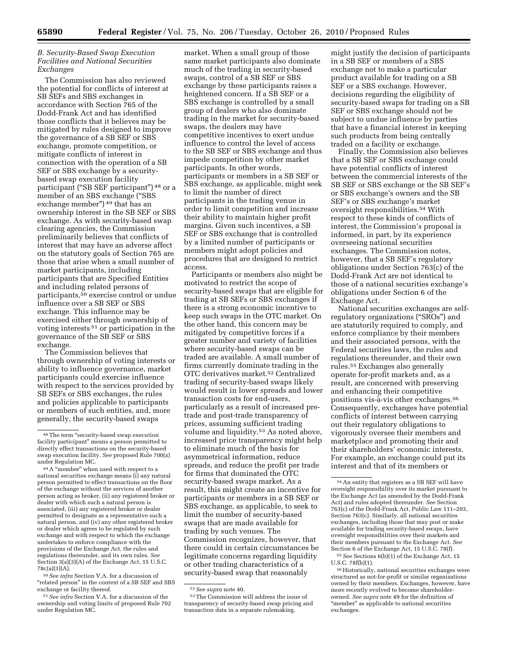#### *B. Security-Based Swap Execution Facilities and National Securities Exchanges*

The Commission has also reviewed the potential for conflicts of interest at SB SEFs and SBS exchanges in accordance with Section 765 of the Dodd-Frank Act and has identified those conflicts that it believes may be mitigated by rules designed to improve the governance of a SB SEF or SBS exchange, promote competition, or mitigate conflicts of interest in connection with the operation of a SB SEF or SBS exchange by a securitybased swap execution facility participant (''SB SEF participant'') 48 or a member of an SBS exchange (''SBS exchange member") <sup>49</sup> that has an ownership interest in the SB SEF or SBS exchange. As with security-based swap clearing agencies, the Commission preliminarily believes that conflicts of interest that may have an adverse affect on the statutory goals of Section 765 are those that arise when a small number of market participants, including participants that are Specified Entities and including related persons of participants,50 exercise control or undue influence over a SB SEF or SBS exchange. This influence may be exercised either through ownership of voting interests  $51$  or participation in the governance of the SB SEF or SBS exchange.

The Commission believes that through ownership of voting interests or ability to influence governance, market participants could exercise influence with respect to the services provided by SB SEFs or SBS exchanges, the rules and policies applicable to participants or members of such entities, and, more generally, the security-based swaps

50*See infra* Section V.A. for a discussion of "related person" in the context of a SB SEF and SBS exchange or facility thereof.

market. When a small group of those same market participants also dominate much of the trading in security-based swaps, control of a SB SEF or SBS exchange by these participants raises a heightened concern. If a SB SEF or a SBS exchange is controlled by a small group of dealers who also dominate trading in the market for security-based swaps, the dealers may have competitive incentives to exert undue influence to control the level of access to the SB SEF or SBS exchange and thus impede competition by other market participants. In other words, participants or members in a SB SEF or SBS exchange, as applicable, might seek to limit the number of direct participants in the trading venue in order to limit competition and increase their ability to maintain higher profit margins. Given such incentives, a SB SEF or SBS exchange that is controlled by a limited number of participants or members might adopt policies and procedures that are designed to restrict access.

Participants or members also might be motivated to restrict the scope of security-based swaps that are eligible for trading at SB SEFs or SBS exchanges if there is a strong economic incentive to keep such swaps in the OTC market. On the other hand, this concern may be mitigated by competitive forces if a greater number and variety of facilities where security-based swaps can be traded are available. A small number of firms currently dominate trading in the OTC derivatives market.52 Centralized trading of security-based swaps likely would result in lower spreads and lower transaction costs for end-users, particularly as a result of increased pretrade and post-trade transparency of prices, assuming sufficient trading volume and liquidity.<sup>53</sup> As noted above, increased price transparency might help to eliminate much of the basis for asymmetrical information, reduce spreads, and reduce the profit per trade for firms that dominated the OTC security-based swaps market. As a result, this might create an incentive for participants or members in a SB SEF or SBS exchange, as applicable, to seek to limit the number of security-based swaps that are made available for trading by such venues. The Commission recognizes, however, that there could in certain circumstances be legitimate concerns regarding liquidity or other trading characteristics of a security-based swap that reasonably

might justify the decision of participants in a SB SEF or members of a SBS exchange not to make a particular product available for trading on a SB SEF or a SBS exchange. However, decisions regarding the eligibility of security-based swaps for trading on a SB SEF or SBS exchange should not be subject to undue influence by parties that have a financial interest in keeping such products from being centrally traded on a facility or exchange.

Finally, the Commission also believes that a SB SEF or SBS exchange could have potential conflicts of interest between the commercial interests of the SB SEF or SBS exchange or the SB SEF's or SBS exchange's owners and the SB SEF's or SBS exchange's market oversight responsibilities.54 With respect to these kinds of conflicts of interest, the Commission's proposal is informed, in part, by its experience overseeing national securities exchanges. The Commission notes, however, that a SB SEF's regulatory obligations under Section 763(c) of the Dodd-Frank Act are not identical to those of a national securities exchange's obligations under Section 6 of the Exchange Act.

National securities exchanges are selfregulatory organizations (''SROs'') and are statutorily required to comply, and enforce compliance by their members and their associated persons, with the Federal securities laws, the rules and regulations thereunder, and their own rules.55 Exchanges also generally operate for-profit markets and, as a result, are concerned with preserving and enhancing their competitive positions vis-à-vis other exchanges.<sup>56</sup> Consequently, exchanges have potential conflicts of interest between carrying out their regulatory obligations to vigorously oversee their members and marketplace and promoting their and their shareholders' economic interests. For example, an exchange could put its interest and that of its members or

55*See* Sections 6(b)(1) of the Exchange Act, 15 U.S.C. 78f(b)(1).

<sup>48</sup>The term ''security-based swap execution facility participant'' means a person permitted to directly effect transactions on the security-based swap execution facility. *See* proposed Rule 700(z) under Regulation MC.

<sup>49</sup> A "member" when used with respect to a national securities exchange means (i) any natural person permitted to effect transactions on the floor of the exchange without the services of another person acting as broker, (ii) any registered broker or dealer with which such a natural person is associated, (iii) any registered broker or dealer permitted to designate as a representative such a natural person, and (iv) any other registered broker or dealer which agrees to be regulated by such exchange and with respect to which the exchange undertakes to enforce compliance with the provisions of the Exchange Act, the rules and regulations thereunder, and its own rules. *See*  Section 3(a)(3)(A) of the Exchange Act, 15 U.S.C. 78c(a)(3)(A).

<sup>51</sup>*See infra* Section V.A. for a discussion of the ownership and voting limits of proposed Rule 702 under Regulation MC.

<sup>52</sup>*See supra* note 40.

<sup>53</sup>The Commission will address the issue of transparency of security-based swap pricing and transaction data in a separate rulemaking.

 $^{\rm 54}$  An entity that registers as a SB SEF will have oversight responsibility over its market pursuant to the Exchange Act (as amended by the Dodd-Frank Act) and rules adopted thereunder. *See* Section 763(c) of the Dodd-Frank Act, Public Law 111–203, Section 763(c). Similarly, all national securities exchanges, including those that may post or make available for trading security-based swaps, have oversight responsibilities over their markets and their members pursuant to the Exchange Act. *See*  Section 6 of the Exchange Act, 15 U.S.C. 78(f).

<sup>56</sup>Historically, national securities exchanges were structured as not-for-profit or similar organizations owned by their members. Exchanges, however, have more recently evolved to become shareholderowned. *See supra* note 49 for the definition of "member" as applicable to national securities exchanges.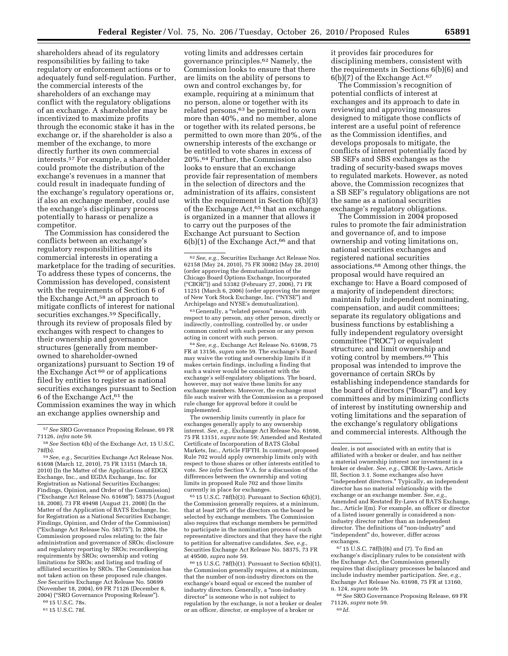shareholders ahead of its regulatory responsibilities by failing to take regulatory or enforcement actions or to adequately fund self-regulation. Further, the commercial interests of the shareholders of an exchange may conflict with the regulatory obligations of an exchange. A shareholder may be incentivized to maximize profits through the economic stake it has in the exchange or, if the shareholder is also a member of the exchange, to more directly further its own commercial interests.57 For example, a shareholder could promote the distribution of the exchange's revenues in a manner that could result in inadequate funding of the exchange's regulatory operations or, if also an exchange member, could use the exchange's disciplinary process potentially to harass or penalize a competitor.

The Commission has considered the conflicts between an exchange's regulatory responsibilities and its commercial interests in operating a marketplace for the trading of securities. To address these types of concerns, the Commission has developed, consistent with the requirements of Section 6 of the Exchange Act,58 an approach to mitigate conflicts of interest for national securities exchanges.<sup>59</sup> Specifically, through its review of proposals filed by exchanges with respect to changes to their ownership and governance structures (generally from memberowned to shareholder-owned organizations) pursuant to Section 19 of the Exchange  $\bar{A}$ ct<sup>60</sup> or of applications filed by entities to register as national securities exchanges pursuant to Section 6 of the Exchange Act,61 the Commission examines the way in which an exchange applies ownership and

59*See, e.g.,* Securities Exchange Act Release Nos. 61698 (March 12, 2010), 75 FR 13151 (March 18, 2010) (In the Matter of the Applications of EDGX Exchange, Inc., and EGDA Exchange, Inc. for Registration as National Securities Exchanges; Findings, Opinion, and Order of the Commission) (''Exchange Act Release No. 61698''); 58375 (August 18, 2008), 73 FR 49498 (August 21, 2008) (In the Matter of the Application of BATS Exchange, Inc. for Registration as a National Securities Exchange; Findings, Opinion, and Order of the Commission) (''Exchange Act Release No. 58375''). In 2004, the Commission proposed rules relating to: the fair administration and governance of SROs; disclosure and regulatory reporting by SROs; recordkeeping requirements by SROs; ownership and voting limitations for SROs; and listing and trading of affiliated securities by SROs. The Commission has not taken action on these proposed rule changes. *See* Securities Exchange Act Release No. 50699 (November 18, 2004), 69 FR 71126 (December 8, 2004) (''SRO Governance Proposing Release'').

60 15 U.S.C. 78s.

61 15 U.S.C. 78f.

voting limits and addresses certain governance principles.62 Namely, the Commission looks to ensure that there are limits on the ability of persons to own and control exchanges by, for example, requiring at a minimum that no person, alone or together with its related persons,63 be permitted to own more than 40%, and no member, alone or together with its related persons, be permitted to own more than 20%, of the ownership interests of the exchange or be entitled to vote shares in excess of 20%.64 Further, the Commission also looks to ensure that an exchange provide fair representation of members in the selection of directors and the administration of its affairs, consistent with the requirement in Section 6(b)(3) of the Exchange Act,<sup>65</sup> that an exchange is organized in a manner that allows it to carry out the purposes of the Exchange Act pursuant to Section  $6(b)(1)$  of the Exchange Act,<sup>66</sup> and that

63 Generally, a ''related person'' means, with respect to any person, any other person, directly or indirectly, controlling, controlled by, or under common control with such person or any person acting in concert with such person.

64*See, e.g.,* Exchange Act Release No. 61698, 75 FR at 13156, *supra* note 59. The exchange's Board may waive the voting and ownership limits if it makes certain findings, including a finding that such a waiver would be consistent with the exchange's self-regulatory obligations. The board, however, may not waive these limits for any exchange members. Moreover, the exchange must file such waiver with the Commission as a proposed rule change for approval before it could be implemented.

The ownership limits currently in place for exchanges generally apply to any ownership interest. *See, e.g.,* Exchange Act Release No. 61698, 75 FR 13151, *supra* note 59; Amended and Restated Certificate of Incorporation of BATS Global Markets, Inc., Article FIFTH. In contrast, proposed Rule 702 would apply ownership limits only with respect to those shares or other interests entitled to vote. *See infra* Section V.A. for a discussion of the differences between the ownership and voting limits in proposed Rule 702 and those limits currently in place for exchanges.

 $65$  15 U.S.C. 78f(b)(3). Pursuant to Section 6(b)(3), the Commission generally requires, at a minimum, that at least 20% of the directors on the board be selected by exchange members. The Commission also requires that exchange members be permitted to participate in the nomination process of such representative directors and that they have the right to petition for alternative candidates. *See, e.g.,*  Securities Exchange Act Release No. 58375, 73 FR at 49500, *supra* note 59.

66 15 U.S.C. 78f(b)(1). Pursuant to Section 6(b)(1), the Commission generally requires, at a minimum, that the number of non-industry directors on the exchange's board equal or exceed the number of industry directors. Generally, a ''non-industry director'' is someone who is not subject to regulation by the exchange, is not a broker or dealer or an officer, director, or employee of a broker or

it provides fair procedures for disciplining members, consistent with the requirements in Sections 6(b)(6) and 6(b)(7) of the Exchange Act.67

The Commission's recognition of potential conflicts of interest at exchanges and its approach to date in reviewing and approving measures designed to mitigate those conflicts of interest are a useful point of reference as the Commission identifies, and develops proposals to mitigate, the conflicts of interest potentially faced by SB SEFs and SBS exchanges as the trading of security-based swaps moves to regulated markets. However, as noted above, the Commission recognizes that a SB SEF's regulatory obligations are not the same as a national securities exchange's regulatory obligations.

The Commission in 2004 proposed rules to promote the fair administration and governance of, and to impose ownership and voting limitations on, national securities exchanges and registered national securities associations.68 Among other things, the proposal would have required an exchange to: Have a Board composed of a majority of independent directors; maintain fully independent nominating, compensation, and audit committees; separate its regulatory obligations and business functions by establishing a fully independent regulatory oversight committee (''ROC'') or equivalent structure; and limit ownership and voting control by members.69 This proposal was intended to improve the governance of certain SROs by establishing independence standards for the board of directors (''Board'') and key committees and by minimizing conflicts of interest by instituting ownership and voting limitations and the separation of the exchange's regulatory obligations and commercial interests. Although the

67 15 U.S.C. 78f(b)(6) and (7). To find an exchange's disciplinary rules to be consistent with the Exchange Act, the Commission generally requires that disciplinary processes be balanced and include industry member participation. *See, e.g.,*  Exchange Act Release No. 61698, 75 FR at 13160, n. 124, *supra* note 59.

68*See* SRO Governance Proposing Release, 69 FR 71126, *supra* note 59. 69 *Id.* 

<sup>57</sup>*See* SRO Governance Proposing Release, 69 FR 71126, *infra* note 59.

<sup>58</sup>*See* Section 6(b) of the Exchange Act, 15 U.S.C. 78f(b).

<sup>62</sup>*See, e.g.,* Securities Exchange Act Release Nos. 62158 (May 24, 2010), 75 FR 30082 (May 28, 2010) (order approving the demutualization of the Chicago Board Options Exchange, Incorporated (''CBOE'')) and 53382 (February 27, 2006), 71 FR 11251 (March 6, 2006) (order approving the merger of New York Stock Exchange, Inc. (''NYSE'') and Archipelago and NYSE's demutualization).

dealer, is not associated with an entity that is affiliated with a broker or dealer, and has neither a material ownership interest nor investment in a broker or dealer. *See, e.g.,* CBOE By-Laws, Article III, Section 3.1. Some exchanges also have ''independent directors.'' Typically, an independent director has no material relationship with the exchange or an exchange member. See, e.g. Amended and Restated By-Laws of BATS Exchange, Inc., Article I(m). For example, an officer or director of a listed issuer generally is considered a nonindustry director rather than an independent director. The definitions of ''non-industry'' and "independent" do, however, differ across exchanges.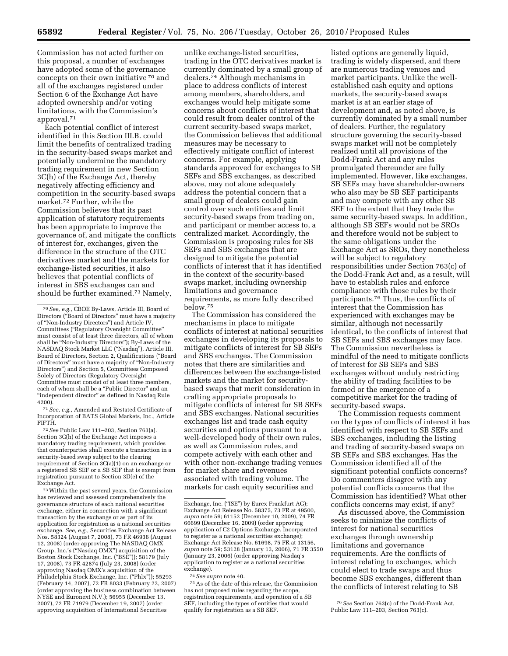Commission has not acted further on this proposal, a number of exchanges have adopted some of the governance concepts on their own initiative 70 and all of the exchanges registered under Section 6 of the Exchange Act have adopted ownership and/or voting limitations, with the Commission's approval.71

Each potential conflict of interest identified in this Section III.B. could limit the benefits of centralized trading in the security-based swaps market and potentially undermine the mandatory trading requirement in new Section 3C(h) of the Exchange Act, thereby negatively affecting efficiency and competition in the security-based swaps market.72 Further, while the Commission believes that its past application of statutory requirements has been appropriate to improve the governance of, and mitigate the conflicts of interest for, exchanges, given the difference in the structure of the OTC derivatives market and the markets for exchange-listed securities, it also believes that potential conflicts of interest in SBS exchanges can and should be further examined.73 Namely,

71*See, e.g.,* Amended and Restated Certificate of Incorporation of BATS Global Markets, Inc., Article FIFTH.

72*See* Public Law 111–203, Section 763(a). Section 3C(h) of the Exchange Act imposes a mandatory trading requirement, which provides that counterparties shall execute a transaction in a security-based swap subject to the clearing requirement of Section 3C(a)(1) on an exchange or a registered SB SEF or a SB SEF that is exempt from registration pursuant to Section 3D(e) of the Exchange Act.

73Within the past several years, the Commission has reviewed and assessed comprehensively the governance structure of each national securities exchange, either in connection with a significant transaction by the exchange or as part of its application for registration as a national securities exchange. *See, e.g.,* Securities Exchange Act Release Nos. 58324 (August 7, 2008), 73 FR 46936 (August 12, 2008) (order approving The NASDAQ OMX Group, Inc.'s (''Nasdaq OMX'') acquisition of the Boston Stock Exchange, Inc. ("BSE")); 58179 (July 17, 2008), 73 FR 42874 (July 23, 2008) (order approving Nasdaq OMX's acquisition of the Philadelphia Stock Exchange, Inc. (''Phlx'')); 55293 (February 14, 2007), 72 FR 8033 (February 22, 2007) (order approving the business combination between NYSE and Euronext N.V.); 56955 (December 13, 2007), 72 FR 71979 (December 19, 2007) (order approving acquisition of International Securities

unlike exchange-listed securities, trading in the OTC derivatives market is currently dominated by a small group of dealers.74 Although mechanisms in place to address conflicts of interest among members, shareholders, and exchanges would help mitigate some concerns about conflicts of interest that could result from dealer control of the current security-based swaps market, the Commission believes that additional measures may be necessary to effectively mitigate conflict of interest concerns. For example, applying standards approved for exchanges to SB SEFs and SBS exchanges, as described above, may not alone adequately address the potential concern that a small group of dealers could gain control over such entities and limit security-based swaps from trading on, and participant or member access to, a centralized market. Accordingly, the Commission is proposing rules for SB SEFs and SBS exchanges that are designed to mitigate the potential conflicts of interest that it has identified in the context of the security-based swaps market, including ownership limitations and governance requirements, as more fully described below.75

The Commission has considered the mechanisms in place to mitigate conflicts of interest at national securities exchanges in developing its proposals to mitigate conflicts of interest for SB SEFs and SBS exchanges. The Commission notes that there are similarities and differences between the exchange-listed markets and the market for securitybased swaps that merit consideration in crafting appropriate proposals to mitigate conflicts of interest for SB SEFs and SBS exchanges. National securities exchanges list and trade cash equity securities and options pursuant to a well-developed body of their own rules, as well as Commission rules, and compete actively with each other and with other non-exchange trading venues for market share and revenues associated with trading volume. The markets for cash equity securities and

74*See supra* note 40.

75As of the date of this release, the Commission has not proposed rules regarding the scope, registration requirements, and operation of a SB SEF, including the types of entities that would qualify for registration as a SB SEF.

listed options are generally liquid, trading is widely dispersed, and there are numerous trading venues and market participants. Unlike the wellestablished cash equity and options markets, the security-based swaps market is at an earlier stage of development and, as noted above, is currently dominated by a small number of dealers. Further, the regulatory structure governing the security-based swaps market will not be completely realized until all provisions of the Dodd-Frank Act and any rules promulgated thereunder are fully implemented. However, like exchanges, SB SEFs may have shareholder-owners who also may be SB SEF participants and may compete with any other SB SEF to the extent that they trade the same security-based swaps. In addition, although SB SEFs would not be SROs and therefore would not be subject to the same obligations under the Exchange Act as SROs, they nonetheless will be subject to regulatory responsibilities under Section 763(c) of the Dodd-Frank Act and, as a result, will have to establish rules and enforce compliance with those rules by their participants.76 Thus, the conflicts of interest that the Commission has experienced with exchanges may be similar, although not necessarily identical, to the conflicts of interest that SB SEFs and SBS exchanges may face. The Commission nevertheless is mindful of the need to mitigate conflicts of interest for SB SEFs and SBS exchanges without unduly restricting the ability of trading facilities to be formed or the emergence of a competitive market for the trading of security-based swaps.

The Commission requests comment on the types of conflicts of interest it has identified with respect to SB SEFs and SBS exchanges, including the listing and trading of security-based swaps on SB SEFs and SBS exchanges. Has the Commission identified all of the significant potential conflicts concerns? Do commenters disagree with any potential conflicts concerns that the Commission has identified? What other conflicts concerns may exist, if any?

As discussed above, the Commission seeks to minimize the conflicts of interest for national securities exchanges through ownership limitations and governance requirements. Are the conflicts of interest relating to exchanges, which could elect to trade swaps and thus become SBS exchanges, different than the conflicts of interest relating to SB

<sup>70</sup>*See, e.g.,* CBOE By-Laws, Article III, Board of Directors (''Board of Directors'' must have a majority of ''Non-Industry Directors'') and Article IV, Committees (''Regulatory Oversight Committee'' must consist of at least three directors, all of whom shall be ''Non-Industry Directors''); By-Laws of the NASDAQ Stock Market LLC (''Nasdaq''), Article III, Board of Directors, Section 2, Qualifications (''Board of Directors'' must have a majority of ''Non-Industry Directors'') and Section 5, Committees Composed Solely of Directors (Regulatory Oversight Committee must consist of at least three members, each of whom shall be a "Public Director" and an ''independent director'' as defined in Nasdaq Rule 4200).

Exchange, Inc. ("ISE") by Eurex Frankfurt AG); Exchange Act Release No. 58375, 73 FR at 49500, *supra* note 59; 61152 (December 10, 2009), 74 FR 66699 (December 16, 2009) (order approving application of C2 Options Exchange, Incorporated to register as a national securities exchange); Exchange Act Release No. 61698, 75 FR at 13156, *supra* note 59; 53128 (January 13, 2006), 71 FR 3550 (January 23, 2006) (order approving Nasdaq's application to register as a national securities exchange).

<sup>76</sup>*See* Section 763(c) of the Dodd-Frank Act, Public Law 111–203, Section 763(c).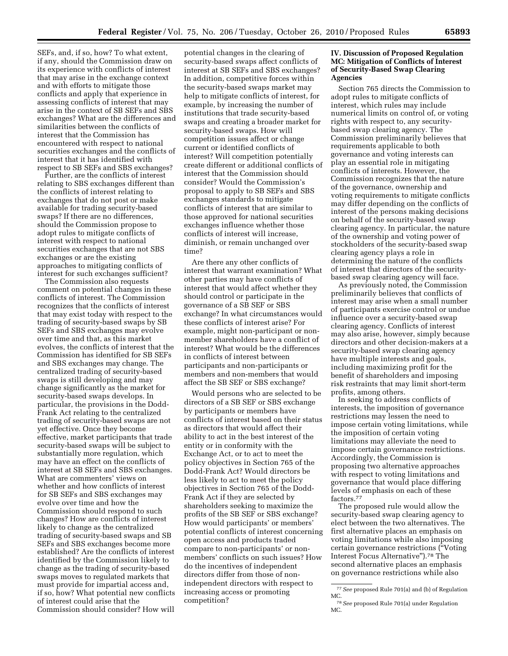SEFs, and, if so, how? To what extent, if any, should the Commission draw on its experience with conflicts of interest that may arise in the exchange context and with efforts to mitigate those conflicts and apply that experience in assessing conflicts of interest that may arise in the context of SB SEFs and SBS exchanges? What are the differences and similarities between the conflicts of interest that the Commission has encountered with respect to national securities exchanges and the conflicts of interest that it has identified with respect to SB SEFs and SBS exchanges?

Further, are the conflicts of interest relating to SBS exchanges different than the conflicts of interest relating to exchanges that do not post or make available for trading security-based swaps? If there are no differences, should the Commission propose to adopt rules to mitigate conflicts of interest with respect to national securities exchanges that are not SBS exchanges or are the existing approaches to mitigating conflicts of interest for such exchanges sufficient?

The Commission also requests comment on potential changes in these conflicts of interest. The Commission recognizes that the conflicts of interest that may exist today with respect to the trading of security-based swaps by SB SEFs and SBS exchanges may evolve over time and that, as this market evolves, the conflicts of interest that the Commission has identified for SB SEFs and SBS exchanges may change. The centralized trading of security-based swaps is still developing and may change significantly as the market for security-based swaps develops. In particular, the provisions in the Dodd-Frank Act relating to the centralized trading of security-based swaps are not yet effective. Once they become effective, market participants that trade security-based swaps will be subject to substantially more regulation, which may have an effect on the conflicts of interest at SB SEFs and SBS exchanges. What are commenters' views on whether and how conflicts of interest for SB SEFs and SBS exchanges may evolve over time and how the Commission should respond to such changes? How are conflicts of interest likely to change as the centralized trading of security-based swaps and SB SEFs and SBS exchanges become more established? Are the conflicts of interest identified by the Commission likely to change as the trading of security-based swaps moves to regulated markets that must provide for impartial access and, if so, how? What potential new conflicts of interest could arise that the Commission should consider? How will

potential changes in the clearing of security-based swaps affect conflicts of interest at SB SEFs and SBS exchanges? In addition, competitive forces within the security-based swaps market may help to mitigate conflicts of interest, for example, by increasing the number of institutions that trade security-based swaps and creating a broader market for security-based swaps. How will competition issues affect or change current or identified conflicts of interest? Will competition potentially create different or additional conflicts of interest that the Commission should consider? Would the Commission's proposal to apply to SB SEFs and SBS exchanges standards to mitigate conflicts of interest that are similar to those approved for national securities exchanges influence whether those conflicts of interest will increase, diminish, or remain unchanged over time?

Are there any other conflicts of interest that warrant examination? What other parties may have conflicts of interest that would affect whether they should control or participate in the governance of a SB SEF or SBS exchange? In what circumstances would these conflicts of interest arise? For example, might non-participant or nonmember shareholders have a conflict of interest? What would be the differences in conflicts of interest between participants and non-participants or members and non-members that would affect the SB SEF or SBS exchange?

Would persons who are selected to be directors of a SB SEF or SBS exchange by participants or members have conflicts of interest based on their status as directors that would affect their ability to act in the best interest of the entity or in conformity with the Exchange Act, or to act to meet the policy objectives in Section 765 of the Dodd-Frank Act? Would directors be less likely to act to meet the policy objectives in Section 765 of the Dodd-Frank Act if they are selected by shareholders seeking to maximize the profits of the SB SEF or SBS exchange? How would participants' or members' potential conflicts of interest concerning open access and products traded compare to non-participants' or nonmembers' conflicts on such issues? How do the incentives of independent directors differ from those of nonindependent directors with respect to increasing access or promoting competition?

#### **IV. Discussion of Proposed Regulation MC: Mitigation of Conflicts of Interest of Security-Based Swap Clearing Agencies**

Section 765 directs the Commission to adopt rules to mitigate conflicts of interest, which rules may include numerical limits on control of, or voting rights with respect to, any securitybased swap clearing agency. The Commission preliminarily believes that requirements applicable to both governance and voting interests can play an essential role in mitigating conflicts of interests. However, the Commission recognizes that the nature of the governance, ownership and voting requirements to mitigate conflicts may differ depending on the conflicts of interest of the persons making decisions on behalf of the security-based swap clearing agency. In particular, the nature of the ownership and voting power of stockholders of the security-based swap clearing agency plays a role in determining the nature of the conflicts of interest that directors of the securitybased swap clearing agency will face.

As previously noted, the Commission preliminarily believes that conflicts of interest may arise when a small number of participants exercise control or undue influence over a security-based swap clearing agency. Conflicts of interest may also arise, however, simply because directors and other decision-makers at a security-based swap clearing agency have multiple interests and goals, including maximizing profit for the benefit of shareholders and imposing risk restraints that may limit short-term profits, among others.

In seeking to address conflicts of interests, the imposition of governance restrictions may lessen the need to impose certain voting limitations, while the imposition of certain voting limitations may alleviate the need to impose certain governance restrictions. Accordingly, the Commission is proposing two alternative approaches with respect to voting limitations and governance that would place differing levels of emphasis on each of these factors.77

The proposed rule would allow the security-based swap clearing agency to elect between the two alternatives. The first alternative places an emphasis on voting limitations while also imposing certain governance restrictions (''Voting Interest Focus Alternative'').78 The second alternative places an emphasis on governance restrictions while also

<sup>77</sup>*See* proposed Rule 701(a) and (b) of Regulation MC.

<sup>78</sup>*See* proposed Rule 701(a) under Regulation MC.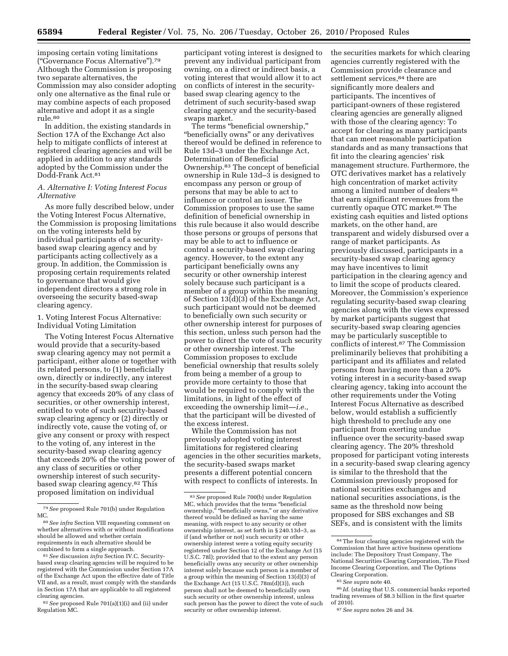imposing certain voting limitations (''Governance Focus Alternative'').79 Although the Commission is proposing two separate alternatives, the Commission may also consider adopting only one alternative as the final rule or may combine aspects of each proposed alternative and adopt it as a single rule.80

In addition, the existing standards in Section 17A of the Exchange Act also help to mitigate conflicts of interest at registered clearing agencies and will be applied in addition to any standards adopted by the Commission under the Dodd-Frank Act.81

#### *A. Alternative I: Voting Interest Focus Alternative*

As more fully described below, under the Voting Interest Focus Alternative, the Commission is proposing limitations on the voting interests held by individual participants of a securitybased swap clearing agency and by participants acting collectively as a group. In addition, the Commission is proposing certain requirements related to governance that would give independent directors a strong role in overseeing the security based-swap clearing agency.

#### 1. Voting Interest Focus Alternative: Individual Voting Limitation

The Voting Interest Focus Alternative would provide that a security-based swap clearing agency may not permit a participant, either alone or together with its related persons, to (1) beneficially own, directly or indirectly, any interest in the security-based swap clearing agency that exceeds 20% of any class of securities, or other ownership interest, entitled to vote of such security-based swap clearing agency or (2) directly or indirectly vote, cause the voting of, or give any consent or proxy with respect to the voting of, any interest in the security-based swap clearing agency that exceeds 20% of the voting power of any class of securities or other ownership interest of such securitybased swap clearing agency.82 This proposed limitation on individual

82*See* proposed Rule 701(a)(1)(i) and (ii) under Regulation MC.

participant voting interest is designed to prevent any individual participant from owning, on a direct or indirect basis, a voting interest that would allow it to act on conflicts of interest in the securitybased swap clearing agency to the detriment of such security-based swap clearing agency and the security-based swaps market.

The terms "beneficial ownership," ''beneficially owns'' or any derivatives thereof would be defined in reference to Rule 13d–3 under the Exchange Act, Determination of Beneficial Ownership.83 The concept of beneficial ownership in Rule 13d–3 is designed to encompass any person or group of persons that may be able to act to influence or control an issuer. The Commission proposes to use the same definition of beneficial ownership in this rule because it also would describe those persons or groups of persons that may be able to act to influence or control a security-based swap clearing agency. However, to the extent any participant beneficially owns any security or other ownership interest solely because such participant is a member of a group within the meaning of Section 13(d)(3) of the Exchange Act, such participant would not be deemed to beneficially own such security or other ownership interest for purposes of this section, unless such person had the power to direct the vote of such security or other ownership interest. The Commission proposes to exclude beneficial ownership that results solely from being a member of a group to provide more certainty to those that would be required to comply with the limitations, in light of the effect of exceeding the ownership limit—*i.e.*, that the participant will be divested of the excess interest.

While the Commission has not previously adopted voting interest limitations for registered clearing agencies in the other securities markets, the security-based swaps market presents a different potential concern with respect to conflicts of interests. In

the securities markets for which clearing agencies currently registered with the Commission provide clearance and settlement services,<sup>84</sup> there are significantly more dealers and participants. The incentives of participant-owners of these registered clearing agencies are generally aligned with those of the clearing agency: To accept for clearing as many participants that can meet reasonable participation standards and as many transactions that fit into the clearing agencies' risk management structure. Furthermore, the OTC derivatives market has a relatively high concentration of market activity among a limited number of dealers 85 that earn significant revenues from the currently opaque OTC market.86 The existing cash equities and listed options markets, on the other hand, are transparent and widely disbursed over a range of market participants. As previously discussed, participants in a security-based swap clearing agency may have incentives to limit participation in the clearing agency and to limit the scope of products cleared. Moreover, the Commission's experience regulating security-based swap clearing agencies along with the views expressed by market participants suggest that security-based swap clearing agencies may be particularly susceptible to conflicts of interest.87 The Commission preliminarily believes that prohibiting a participant and its affiliates and related persons from having more than a 20% voting interest in a security-based swap clearing agency, taking into account the other requirements under the Voting Interest Focus Alternative as described below, would establish a sufficiently high threshold to preclude any one participant from exerting undue influence over the security-based swap clearing agency. The 20% threshold proposed for participant voting interests in a security-based swap clearing agency is similar to the threshold that the Commission previously proposed for national securities exchanges and national securities associations, is the same as the threshold now being proposed for SBS exchanges and SB SEFs, and is consistent with the limits

<sup>79</sup>*See* proposed Rule 701(b) under Regulation MC.

<sup>80</sup>*See infra* Section VIII requesting comment on whether alternatives with or without modifications should be allowed and whether certain requirements in each alternative should be combined to form a single approach.

<sup>81</sup>*See* discussion *infra* Section IV.C. Securitybased swap clearing agencies will be required to be registered with the Commission under Section 17A of the Exchange Act upon the effective date of Title VII and, as a result, must comply with the standards in Section 17A that are applicable to all registered clearing agencies.

<sup>83</sup>*See* proposed Rule 700(b) under Regulation MC, which provides that the terms ''beneficial ownership,'' ''beneficially owns,'' or any derivative thereof would be defined as having the same meaning, with respect to any security or other ownership interest, as set forth in § 240.13d–3, as if (and whether or not) such security or other ownership interest were a voting equity security registered under Section 12 of the Exchange Act (15 U.S.C. 78l); provided that to the extent any person beneficially owns any security or other ownership interest solely because such person is a member of a group within the meaning of Section 13(d)(3) of the Exchange Act (15 U.S.C. 78m(d)(3)), such person shall not be deemed to beneficially own such security or other ownership interest, unless such person has the power to direct the vote of such security or other ownership interest.

<sup>84</sup>The four clearing agencies registered with the Commission that have active business operations include: The Depository Trust Company, The National Securities Clearing Corporation, The Fixed Income Clearing Corporation, and The Options Clearing Corporation.

<sup>85</sup>*See supra* note 40.

<sup>86</sup> *Id*. (stating that U.S. commercial banks reported trading revenues of \$8.3 billion in the first quarter of 2010).

<sup>87</sup>*See supra* notes 26 and 34.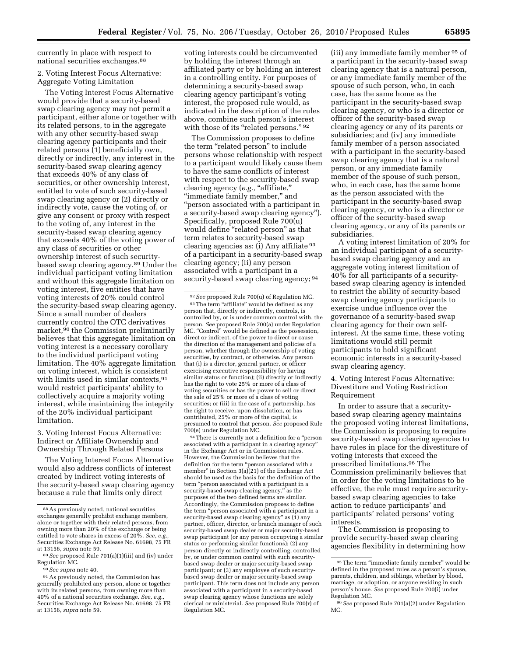currently in place with respect to national securities exchanges.88

#### 2. Voting Interest Focus Alternative: Aggregate Voting Limitation

The Voting Interest Focus Alternative would provide that a security-based swap clearing agency may not permit a participant, either alone or together with its related persons, to in the aggregate with any other security-based swap clearing agency participants and their related persons (1) beneficially own, directly or indirectly, any interest in the security-based swap clearing agency that exceeds 40% of any class of securities, or other ownership interest, entitled to vote of such security-based swap clearing agency or (2) directly or indirectly vote, cause the voting of, or give any consent or proxy with respect to the voting of, any interest in the security-based swap clearing agency that exceeds 40% of the voting power of any class of securities or other ownership interest of such securitybased swap clearing agency.89 Under the individual participant voting limitation and without this aggregate limitation on voting interest, five entities that have voting interests of 20% could control the security-based swap clearing agency. Since a small number of dealers currently control the OTC derivatives market,<sup>90</sup> the Commission preliminarily believes that this aggregate limitation on voting interest is a necessary corollary to the individual participant voting limitation. The 40% aggregate limitation on voting interest, which is consistent with limits used in similar contexts, 91 would restrict participants' ability to collectively acquire a majority voting interest, while maintaining the integrity of the 20% individual participant limitation.

3. Voting Interest Focus Alternative: Indirect or Affiliate Ownership and Ownership Through Related Persons

The Voting Interest Focus Alternative would also address conflicts of interest created by indirect voting interests of the security-based swap clearing agency because a rule that limits only direct

voting interests could be circumvented by holding the interest through an affiliated party or by holding an interest in a controlling entity. For purposes of determining a security-based swap clearing agency participant's voting interest, the proposed rule would, as indicated in the description of the rules above, combine such person's interest with those of its "related persons." 92

The Commission proposes to define the term "related person" to include persons whose relationship with respect to a participant would likely cause them to have the same conflicts of interest with respect to the security-based swap clearing agency (e.g., "affiliate," ''immediate family member,'' and ''person associated with a participant in a security-based swap clearing agency''). Specifically, proposed Rule 700(u) would define "related person" as that term relates to security-based swap clearing agencies as: (i) Any affiliate 93 of a participant in a security-based swap clearing agency; (ii) any person associated with a participant in a security-based swap clearing agency; <sup>94</sup>

94There is currently not a definition for a ''person associated with a participant in a clearing agency'' in the Exchange Act or in Commission rules. However, the Commission believes that the definition for the term ''person associated with a member'' in Section 3(a)(21) of the Exchange Act should be used as the basis for the definition of the term "person associated with a participant in a security-based swap clearing agency,'' as the purposes of the two defined terms are similar. Accordingly, the Commission proposes to define the term "person associated with a participant in a security-based swap clearing agency'' as (1) any partner, officer, director, or branch manager of such security-based swap dealer or major security-based swap participant (or any person occupying a similar status or performing similar functions); (2) any person directly or indirectly controlling, controlled by, or under common control with such securitybased swap dealer or major security-based swap participant; or (3) any employee of such securitybased swap dealer or major security-based swap participant. This term does not include any person associated with a participant in a security-based swap clearing agency whose functions are solely clerical or ministerial. *See* proposed Rule 700(r) of Regulation MC.

(iii) any immediate family member 95 of a participant in the security-based swap clearing agency that is a natural person, or any immediate family member of the spouse of such person, who, in each case, has the same home as the participant in the security-based swap clearing agency, or who is a director or officer of the security-based swap clearing agency or any of its parents or subsidiaries; and (iv) any immediate family member of a person associated with a participant in the security-based swap clearing agency that is a natural person, or any immediate family member of the spouse of such person, who, in each case, has the same home as the person associated with the participant in the security-based swap clearing agency, or who is a director or officer of the security-based swap clearing agency, or any of its parents or subsidiaries.

A voting interest limitation of 20% for an individual participant of a securitybased swap clearing agency and an aggregate voting interest limitation of 40% for all participants of a securitybased swap clearing agency is intended to restrict the ability of security-based swap clearing agency participants to exercise undue influence over the governance of a security-based swap clearing agency for their own selfinterest. At the same time, these voting limitations would still permit participants to hold significant economic interests in a security-based swap clearing agency.

4. Voting Interest Focus Alternative: Divestiture and Voting Restriction Requirement

In order to assure that a securitybased swap clearing agency maintains the proposed voting interest limitations, the Commission is proposing to require security-based swap clearing agencies to have rules in place for the divestiture of voting interests that exceed the prescribed limitations.96 The Commission preliminarily believes that in order for the voting limitations to be effective, the rule must require securitybased swap clearing agencies to take action to reduce participants' and participants' related persons' voting interests.

The Commission is proposing to provide security-based swap clearing agencies flexibility in determining how

<sup>88</sup>As previously noted, national securities exchanges generally prohibit exchange members, alone or together with their related persons, from owning more than 20% of the exchange or being entitled to vote shares in excess of 20%. See, e.g. Securities Exchange Act Release No. 61698, 75 FR at 13156, *supra* note 59.

<sup>89</sup>*See* proposed Rule 701(a)(1)(iii) and (iv) under Regulation MC.

<sup>90</sup>*See supra* note 40.

<sup>91</sup>As previously noted, the Commission has generally prohibited any person, alone or together with its related persons, from owning more than 40% of a national securities exchange. *See, e.g.,*  Securities Exchange Act Release No. 61698, 75 FR at 13156, *supra* note 59.

<sup>92</sup>*See* proposed Rule 700(u) of Regulation MC. 93 The term "affiliate" would be defined as any person that, directly or indirectly, controls, is controlled by, or is under common control with, the person. *See* proposed Rule 700(a) under Regulation MC. ''Control'' would be defined as the possession, direct or indirect, of the power to direct or cause the direction of the management and policies of a person, whether through the ownership of voting securities, by contract, or otherwise. Any person that (i) is a director, general partner, or officer exercising executive responsibility (or having similar status or function); (ii) directly or indirectly has the right to vote 25% or more of a class of voting securities or has the power to sell or direct the sale of 25% or more of a class of voting securities; or (iii) in the case of a partnership, has the right to receive, upon dissolution, or has contributed, 25% or more of the capital, is presumed to control that person. *See* proposed Rule 700(e) under Regulation MC.

<sup>95</sup> The term "immediate family member" would be defined in the proposed rules as a person's spouse, parents, children, and siblings, whether by blood, marriage, or adoption, or anyone residing in such person's house. *See* proposed Rule 700(i) under Regulation MC.

<sup>96</sup>*See* proposed Rule 701(a)(2) under Regulation MC.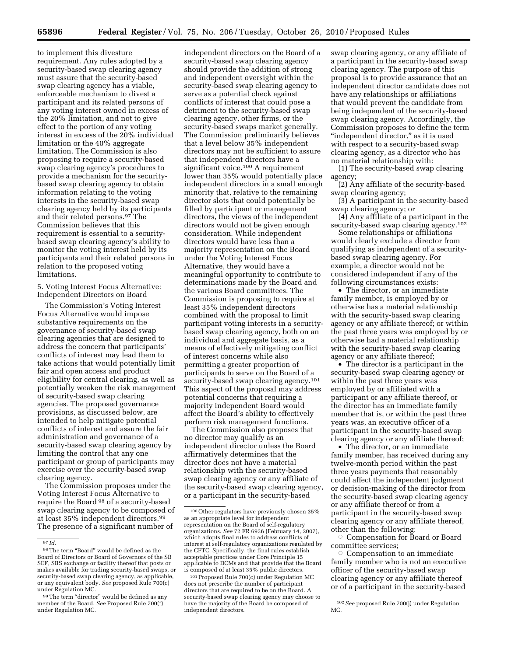to implement this divesture requirement. Any rules adopted by a security-based swap clearing agency must assure that the security-based swap clearing agency has a viable, enforceable mechanism to divest a participant and its related persons of any voting interest owned in excess of the 20% limitation, and not to give effect to the portion of any voting interest in excess of the 20% individual limitation or the 40% aggregate limitation. The Commission is also proposing to require a security-based swap clearing agency's procedures to provide a mechanism for the securitybased swap clearing agency to obtain information relating to the voting interests in the security-based swap clearing agency held by its participants and their related persons.97 The Commission believes that this requirement is essential to a securitybased swap clearing agency's ability to monitor the voting interest held by its participants and their related persons in relation to the proposed voting limitations.

5. Voting Interest Focus Alternative: Independent Directors on Board

The Commission's Voting Interest Focus Alternative would impose substantive requirements on the governance of security-based swap clearing agencies that are designed to address the concern that participants' conflicts of interest may lead them to take actions that would potentially limit fair and open access and product eligibility for central clearing, as well as potentially weaken the risk management of security-based swap clearing agencies. The proposed governance provisions, as discussed below, are intended to help mitigate potential conflicts of interest and assure the fair administration and governance of a security-based swap clearing agency by limiting the control that any one participant or group of participants may exercise over the security-based swap clearing agency.

The Commission proposes under the Voting Interest Focus Alternative to require the Board 98 of a security-based swap clearing agency to be composed of at least 35% independent directors.99 The presence of a significant number of

independent directors on the Board of a security-based swap clearing agency should provide the addition of strong and independent oversight within the security-based swap clearing agency to serve as a potential check against conflicts of interest that could pose a detriment to the security-based swap clearing agency, other firms, or the security-based swaps market generally. The Commission preliminarily believes that a level below 35% independent directors may not be sufficient to assure that independent directors have a significant voice.<sup>100</sup> A requirement lower than 35% would potentially place independent directors in a small enough minority that, relative to the remaining director slots that could potentially be filled by participant or management directors, the views of the independent directors would not be given enough consideration. While independent directors would have less than a majority representation on the Board under the Voting Interest Focus Alternative, they would have a meaningful opportunity to contribute to determinations made by the Board and the various Board committees. The Commission is proposing to require at least 35% independent directors combined with the proposal to limit participant voting interests in a securitybased swap clearing agency, both on an individual and aggregate basis, as a means of effectively mitigating conflict of interest concerns while also permitting a greater proportion of participants to serve on the Board of a security-based swap clearing agency.<sup>101</sup> This aspect of the proposal may address potential concerns that requiring a majority independent Board would affect the Board's ability to effectively perform risk management functions.

The Commission also proposes that no director may qualify as an independent director unless the Board affirmatively determines that the director does not have a material relationship with the security-based swap clearing agency or any affiliate of the security-based swap clearing agency, or a participant in the security-based

swap clearing agency, or any affiliate of a participant in the security-based swap clearing agency. The purpose of this proposal is to provide assurance that an independent director candidate does not have any relationships or affiliations that would prevent the candidate from being independent of the security-based swap clearing agency. Accordingly, the Commission proposes to define the term "independent director," as it is used with respect to a security-based swap clearing agency, as a director who has no material relationship with:

(1) The security-based swap clearing agency;

(2) Any affiliate of the security-based swap clearing agency;

(3) A participant in the security-based swap clearing agency; or

(4) Any affiliate of a participant in the security-based swap clearing agency.<sup>102</sup>

Some relationships or affiliations would clearly exclude a director from qualifying as independent of a securitybased swap clearing agency. For example, a director would not be considered independent if any of the following circumstances exists:

• The director, or an immediate family member, is employed by or otherwise has a material relationship with the security-based swap clearing agency or any affiliate thereof; or within the past three years was employed by or otherwise had a material relationship with the security-based swap clearing agency or any affiliate thereof;

• The director is a participant in the security-based swap clearing agency or within the past three years was employed by or affiliated with a participant or any affiliate thereof, or the director has an immediate family member that is, or within the past three years was, an executive officer of a participant in the security-based swap clearing agency or any affiliate thereof;

• The director, or an immediate family member, has received during any twelve-month period within the past three years payments that reasonably could affect the independent judgment or decision-making of the director from the security-based swap clearing agency or any affiliate thereof or from a participant in the security-based swap clearing agency or any affiliate thereof, other than the following: Æ

 Compensation for Board or Board committee services;

 $\circ$  Compensation to an immediate family member who is not an executive officer of the security-based swap clearing agency or any affiliate thereof or of a participant in the security-based

<sup>97</sup> *Id.* 

 $^{98}\mathrm{The\ term}$  "Board" would be defined as the Board of Directors or Board of Governors of the SB SEF, SBS exchange or facility thereof that posts or makes available for trading security-based swaps, or security-based swap clearing agency, as applicable, or any equivalent body. *See* proposed Rule 700(c) under Regulation MC.

<sup>99</sup> The term "director" would be defined as any member of the Board. *See* Proposed Rule 700(f) under Regulation MC.

<sup>100</sup>Other regulators have previously chosen 35% as an appropriate level for independent representation on the Board of self-regulatory organizations. *See* 72 FR 6936 (February 14, 2007), which adopts final rules to address conflicts of interest at self-regulatory organizations regulated by the CFTC. Specifically, the final rules establish acceptable practices under Core Principle 15 applicable to DCMs and that provide that the Board is composed of at least 35% public directors.

<sup>101</sup>Proposed Rule 700(c) under Regulation MC does not prescribe the number of participant directors that are required to be on the Board. A security-based swap clearing agency may choose to have the majority of the Board be composed of independent directors.

<sup>102</sup>*See* proposed Rule 700(j) under Regulation MC.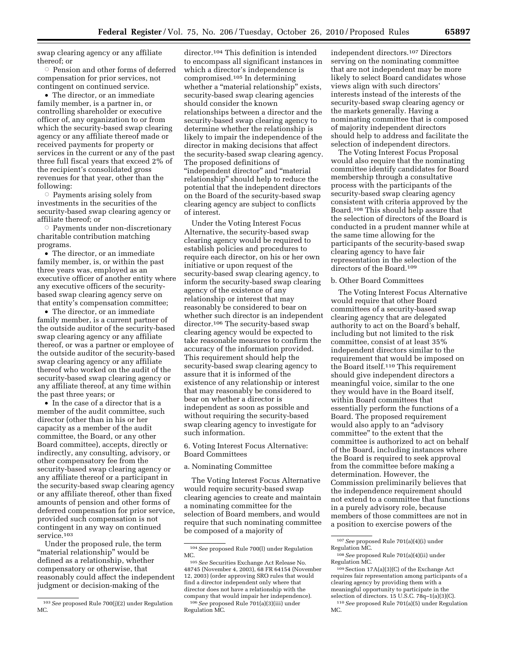swap clearing agency or any affiliate thereof; or

 $\circ$  Pension and other forms of deferred compensation for prior services, not contingent on continued service.

• The director, or an immediate family member, is a partner in, or controlling shareholder or executive officer of, any organization to or from which the security-based swap clearing agency or any affiliate thereof made or received payments for property or services in the current or any of the past three full fiscal years that exceed 2% of the recipient's consolidated gross revenues for that year, other than the following:

 $\circ$  Payments arising solely from investments in the securities of the security-based swap clearing agency or affiliate thereof; or

 $\circ$  Payments under non-discretionary charitable contribution matching programs.

• The director, or an immediate family member, is, or within the past three years was, employed as an executive officer of another entity where any executive officers of the securitybased swap clearing agency serve on that entity's compensation committee;

• The director, or an immediate family member, is a current partner of the outside auditor of the security-based swap clearing agency or any affiliate thereof, or was a partner or employee of the outside auditor of the security-based swap clearing agency or any affiliate thereof who worked on the audit of the security-based swap clearing agency or any affiliate thereof, at any time within the past three years; or

• In the case of a director that is a member of the audit committee, such director (other than in his or her capacity as a member of the audit committee, the Board, or any other Board committee), accepts, directly or indirectly, any consulting, advisory, or other compensatory fee from the security-based swap clearing agency or any affiliate thereof or a participant in the security-based swap clearing agency or any affiliate thereof, other than fixed amounts of pension and other forms of deferred compensation for prior service, provided such compensation is not contingent in any way on continued service.103

Under the proposed rule, the term "material relationship" would be defined as a relationship, whether compensatory or otherwise, that reasonably could affect the independent judgment or decision-making of the

director.104 This definition is intended to encompass all significant instances in which a director's independence is compromised.105 In determining whether a "material relationship" exists, security-based swap clearing agencies should consider the known relationships between a director and the security-based swap clearing agency to determine whether the relationship is likely to impair the independence of the director in making decisions that affect the security-based swap clearing agency. The proposed definitions of ''independent director'' and ''material relationship'' should help to reduce the potential that the independent directors on the Board of the security-based swap clearing agency are subject to conflicts of interest.

Under the Voting Interest Focus Alternative, the security-based swap clearing agency would be required to establish policies and procedures to require each director, on his or her own initiative or upon request of the security-based swap clearing agency, to inform the security-based swap clearing agency of the existence of any relationship or interest that may reasonably be considered to bear on whether such director is an independent director.106 The security-based swap clearing agency would be expected to take reasonable measures to confirm the accuracy of the information provided. This requirement should help the security-based swap clearing agency to assure that it is informed of the existence of any relationship or interest that may reasonably be considered to bear on whether a director is independent as soon as possible and without requiring the security-based swap clearing agency to investigate for such information.

6. Voting Interest Focus Alternative: Board Committees

a. Nominating Committee

The Voting Interest Focus Alternative would require security-based swap clearing agencies to create and maintain a nominating committee for the selection of Board members, and would require that such nominating committee be composed of a majority of

independent directors.107 Directors serving on the nominating committee that are not independent may be more likely to select Board candidates whose views align with such directors' interests instead of the interests of the security-based swap clearing agency or the markets generally. Having a nominating committee that is composed of majority independent directors should help to address and facilitate the selection of independent directors.

The Voting Interest Focus Proposal would also require that the nominating committee identify candidates for Board membership through a consultative process with the participants of the security-based swap clearing agency consistent with criteria approved by the Board.108 This should help assure that the selection of directors of the Board is conducted in a prudent manner while at the same time allowing for the participants of the security-based swap clearing agency to have fair representation in the selection of the directors of the Board.109

#### b. Other Board Committees

The Voting Interest Focus Alternative would require that other Board committees of a security-based swap clearing agency that are delegated authority to act on the Board's behalf, including but not limited to the risk committee, consist of at least 35% independent directors similar to the requirement that would be imposed on the Board itself.110 This requirement should give independent directors a meaningful voice, similar to the one they would have in the Board itself, within Board committees that essentially perform the functions of a Board. The proposed requirement would also apply to an "advisory" committee'' to the extent that the committee is authorized to act on behalf of the Board, including instances where the Board is required to seek approval from the committee before making a determination. However, the Commission preliminarily believes that the independence requirement should not extend to a committee that functions in a purely advisory role, because members of those committees are not in a position to exercise powers of the

<sup>103</sup>*See* proposed Rule 700(j)(2) under Regulation MC.

<sup>104</sup>*See* proposed Rule 700(l) under Regulation MC.

<sup>105</sup>*See* Securities Exchange Act Release No. 48745 (November 4, 2003), 68 FR 64154 (November 12, 2003) (order approving SRO rules that would find a director independent only where that director does not have a relationship with the company that would impair her independence).

<sup>106</sup>*See* proposed Rule 701(a)(3)(iii) under Regulation MC.

<sup>107</sup>*See* proposed Rule 701(a)(4)(i) under Regulation MC.

<sup>108</sup>*See* proposed Rule 701(a)(4)(ii) under Regulation MC.

<sup>109</sup>Section 17A(a)(3)(C) of the Exchange Act requires fair representation among participants of a clearing agency by providing them with a meaningful opportunity to participate in the selection of directors. 15 U.S.C. 78q–1(a)(3)(C). 110*See* proposed Rule 701(a)(5) under Regulation MC.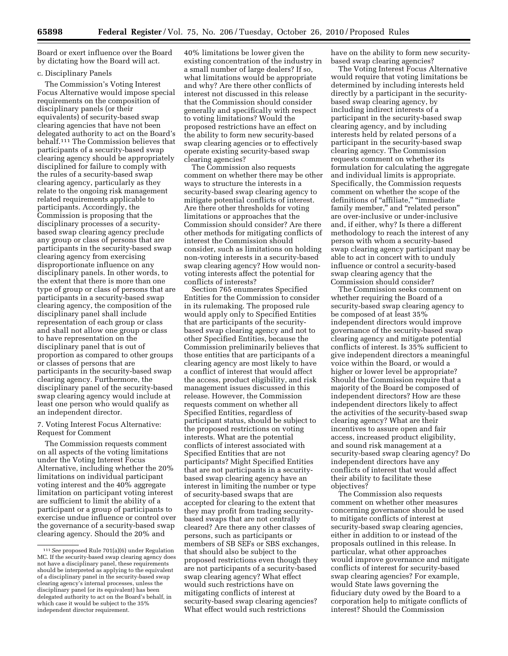Board or exert influence over the Board by dictating how the Board will act.

#### c. Disciplinary Panels

The Commission's Voting Interest Focus Alternative would impose special requirements on the composition of disciplinary panels (or their equivalents) of security-based swap clearing agencies that have not been delegated authority to act on the Board's behalf.111 The Commission believes that participants of a security-based swap clearing agency should be appropriately disciplined for failure to comply with the rules of a security-based swap clearing agency, particularly as they relate to the ongoing risk management related requirements applicable to participants. Accordingly, the Commission is proposing that the disciplinary processes of a securitybased swap clearing agency preclude any group or class of persons that are participants in the security-based swap clearing agency from exercising disproportionate influence on any disciplinary panels. In other words, to the extent that there is more than one type of group or class of persons that are participants in a security-based swap clearing agency, the composition of the disciplinary panel shall include representation of each group or class and shall not allow one group or class to have representation on the disciplinary panel that is out of proportion as compared to other groups or classes of persons that are participants in the security-based swap clearing agency. Furthermore, the disciplinary panel of the security-based swap clearing agency would include at least one person who would qualify as an independent director.

#### 7. Voting Interest Focus Alternative: Request for Comment

The Commission requests comment on all aspects of the voting limitations under the Voting Interest Focus Alternative, including whether the 20% limitations on individual participant voting interest and the 40% aggregate limitation on participant voting interest are sufficient to limit the ability of a participant or a group of participants to exercise undue influence or control over the governance of a security-based swap clearing agency. Should the 20% and

40% limitations be lower given the existing concentration of the industry in a small number of large dealers? If so, what limitations would be appropriate and why? Are there other conflicts of interest not discussed in this release that the Commission should consider generally and specifically with respect to voting limitations? Would the proposed restrictions have an effect on the ability to form new security-based swap clearing agencies or to effectively operate existing security-based swap clearing agencies?

The Commission also requests comment on whether there may be other ways to structure the interests in a security-based swap clearing agency to mitigate potential conflicts of interest. Are there other thresholds for voting limitations or approaches that the Commission should consider? Are there other methods for mitigating conflicts of interest the Commission should consider, such as limitations on holding non-voting interests in a security-based swap clearing agency? How would nonvoting interests affect the potential for conflicts of interests?

Section 765 enumerates Specified Entities for the Commission to consider in its rulemaking. The proposed rule would apply only to Specified Entities that are participants of the securitybased swap clearing agency and not to other Specified Entities, because the Commission preliminarily believes that those entities that are participants of a clearing agency are most likely to have a conflict of interest that would affect the access, product eligibility, and risk management issues discussed in this release. However, the Commission requests comment on whether all Specified Entities, regardless of participant status, should be subject to the proposed restrictions on voting interests. What are the potential conflicts of interest associated with Specified Entities that are not participants? Might Specified Entities that are not participants in a securitybased swap clearing agency have an interest in limiting the number or type of security-based swaps that are accepted for clearing to the extent that they may profit from trading securitybased swaps that are not centrally cleared? Are there any other classes of persons, such as participants or members of SB SEFs or SBS exchanges, that should also be subject to the proposed restrictions even though they are not participants of a security-based swap clearing agency? What effect would such restrictions have on mitigating conflicts of interest at security-based swap clearing agencies? What effect would such restrictions

have on the ability to form new securitybased swap clearing agencies?

The Voting Interest Focus Alternative would require that voting limitations be determined by including interests held directly by a participant in the securitybased swap clearing agency, by including indirect interests of a participant in the security-based swap clearing agency, and by including interests held by related persons of a participant in the security-based swap clearing agency. The Commission requests comment on whether its formulation for calculating the aggregate and individual limits is appropriate. Specifically, the Commission requests comment on whether the scope of the definitions of "affiliate," "immediate family member," and "related person" are over-inclusive or under-inclusive and, if either, why? Is there a different methodology to reach the interest of any person with whom a security-based swap clearing agency participant may be able to act in concert with to unduly influence or control a security-based swap clearing agency that the Commission should consider?

The Commission seeks comment on whether requiring the Board of a security-based swap clearing agency to be composed of at least 35% independent directors would improve governance of the security-based swap clearing agency and mitigate potential conflicts of interest. Is 35% sufficient to give independent directors a meaningful voice within the Board, or would a higher or lower level be appropriate? Should the Commission require that a majority of the Board be composed of independent directors? How are these independent directors likely to affect the activities of the security-based swap clearing agency? What are their incentives to assure open and fair access, increased product eligibility, and sound risk management at a security-based swap clearing agency? Do independent directors have any conflicts of interest that would affect their ability to facilitate these objectives?

The Commission also requests comment on whether other measures concerning governance should be used to mitigate conflicts of interest at security-based swap clearing agencies, either in addition to or instead of the proposals outlined in this release. In particular, what other approaches would improve governance and mitigate conflicts of interest for security-based swap clearing agencies? For example, would State laws governing the fiduciary duty owed by the Board to a corporation help to mitigate conflicts of interest? Should the Commission

<sup>111</sup>*See* proposed Rule 701(a)(6) under Regulation MC. If the security-based swap clearing agency does not have a disciplinary panel, these requirements should be interpreted as applying to the equivalent of a disciplinary panel in the security-based swap clearing agency's internal processes, unless the disciplinary panel (or its equivalent) has been delegated authority to act on the Board's behalf, in which case it would be subject to the 35% independent director requirement.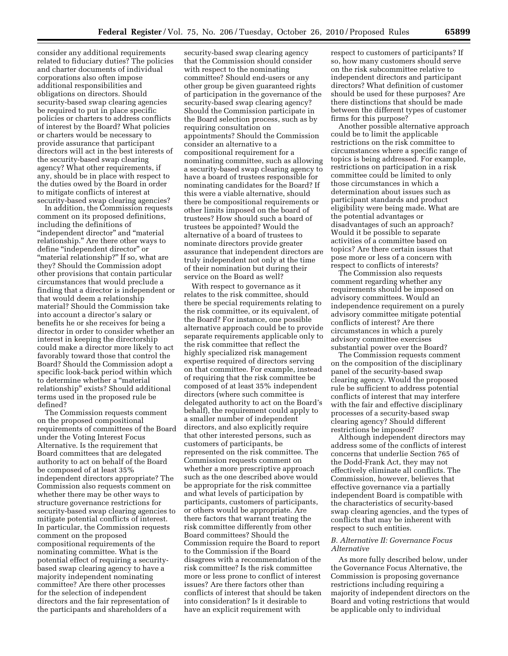consider any additional requirements related to fiduciary duties? The policies and charter documents of individual corporations also often impose additional responsibilities and obligations on directors. Should security-based swap clearing agencies be required to put in place specific policies or charters to address conflicts of interest by the Board? What policies or charters would be necessary to provide assurance that participant directors will act in the best interests of the security-based swap clearing agency? What other requirements, if any, should be in place with respect to the duties owed by the Board in order to mitigate conflicts of interest at security-based swap clearing agencies?

In addition, the Commission requests comment on its proposed definitions, including the definitions of ''independent director'' and ''material relationship.'' Are there other ways to define ''independent director'' or ''material relationship?'' If so, what are they? Should the Commission adopt other provisions that contain particular circumstances that would preclude a finding that a director is independent or that would deem a relationship material? Should the Commission take into account a director's salary or benefits he or she receives for being a director in order to consider whether an interest in keeping the directorship could make a director more likely to act favorably toward those that control the Board? Should the Commission adopt a specific look-back period within which to determine whether a ''material relationship'' exists? Should additional terms used in the proposed rule be defined?

The Commission requests comment on the proposed compositional requirements of committees of the Board under the Voting Interest Focus Alternative. Is the requirement that Board committees that are delegated authority to act on behalf of the Board be composed of at least 35% independent directors appropriate? The Commission also requests comment on whether there may be other ways to structure governance restrictions for security-based swap clearing agencies to mitigate potential conflicts of interest. In particular, the Commission requests comment on the proposed compositional requirements of the nominating committee. What is the potential effect of requiring a securitybased swap clearing agency to have a majority independent nominating committee? Are there other processes for the selection of independent directors and the fair representation of the participants and shareholders of a

security-based swap clearing agency that the Commission should consider with respect to the nominating committee? Should end-users or any other group be given guaranteed rights of participation in the governance of the security-based swap clearing agency? Should the Commission participate in the Board selection process, such as by requiring consultation on appointments? Should the Commission consider an alternative to a compositional requirement for a nominating committee, such as allowing a security-based swap clearing agency to have a board of trustees responsible for nominating candidates for the Board? If this were a viable alternative, should there be compositional requirements or other limits imposed on the board of trustees? How should such a board of trustees be appointed? Would the alternative of a board of trustees to nominate directors provide greater assurance that independent directors are truly independent not only at the time of their nomination but during their service on the Board as well?

With respect to governance as it relates to the risk committee, should there be special requirements relating to the risk committee, or its equivalent, of the Board? For instance, one possible alternative approach could be to provide separate requirements applicable only to the risk committee that reflect the highly specialized risk management expertise required of directors serving on that committee. For example, instead of requiring that the risk committee be composed of at least 35% independent directors (where such committee is delegated authority to act on the Board's behalf), the requirement could apply to a smaller number of independent directors, and also explicitly require that other interested persons, such as customers of participants, be represented on the risk committee. The Commission requests comment on whether a more prescriptive approach such as the one described above would be appropriate for the risk committee and what levels of participation by participants, customers of participants, or others would be appropriate. Are there factors that warrant treating the risk committee differently from other Board committees? Should the Commission require the Board to report to the Commission if the Board disagrees with a recommendation of the risk committee? Is the risk committee more or less prone to conflict of interest issues? Are there factors other than conflicts of interest that should be taken into consideration? Is it desirable to have an explicit requirement with

respect to customers of participants? If so, how many customers should serve on the risk subcommittee relative to independent directors and participant directors? What definition of customer should be used for these purposes? Are there distinctions that should be made between the different types of customer firms for this purpose?

Another possible alternative approach could be to limit the applicable restrictions on the risk committee to circumstances where a specific range of topics is being addressed. For example, restrictions on participation in a risk committee could be limited to only those circumstances in which a determination about issues such as participant standards and product eligibility were being made. What are the potential advantages or disadvantages of such an approach? Would it be possible to separate activities of a committee based on topics? Are there certain issues that pose more or less of a concern with respect to conflicts of interests?

The Commission also requests comment regarding whether any requirements should be imposed on advisory committees. Would an independence requirement on a purely advisory committee mitigate potential conflicts of interest? Are there circumstances in which a purely advisory committee exercises substantial power over the Board?

The Commission requests comment on the composition of the disciplinary panel of the security-based swap clearing agency. Would the proposed rule be sufficient to address potential conflicts of interest that may interfere with the fair and effective disciplinary processes of a security-based swap clearing agency? Should different restrictions be imposed?

Although independent directors may address some of the conflicts of interest concerns that underlie Section 765 of the Dodd-Frank Act, they may not effectively eliminate all conflicts. The Commission, however, believes that effective governance via a partially independent Board is compatible with the characteristics of security-based swap clearing agencies, and the types of conflicts that may be inherent with respect to such entities.

#### *B. Alternative II: Governance Focus Alternative*

As more fully described below, under the Governance Focus Alternative, the Commission is proposing governance restrictions including requiring a majority of independent directors on the Board and voting restrictions that would be applicable only to individual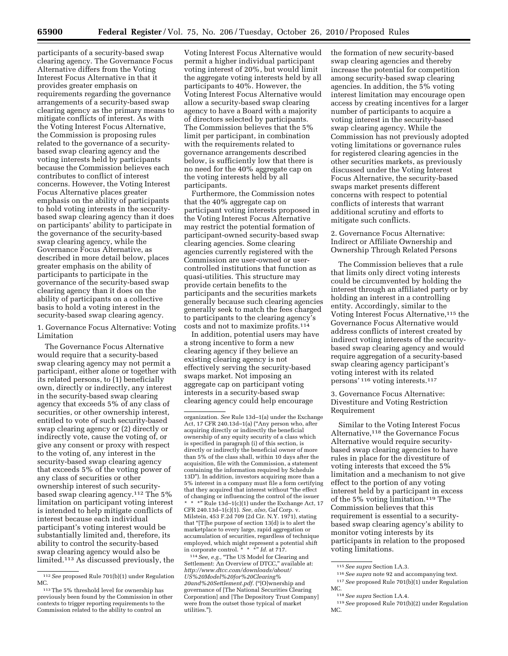participants of a security-based swap clearing agency. The Governance Focus Alternative differs from the Voting Interest Focus Alternative in that it provides greater emphasis on requirements regarding the governance arrangements of a security-based swap clearing agency as the primary means to mitigate conflicts of interest. As with the Voting Interest Focus Alternative, the Commission is proposing rules related to the governance of a securitybased swap clearing agency and the voting interests held by participants because the Commission believes each contributes to conflict of interest concerns. However, the Voting Interest Focus Alternative places greater emphasis on the ability of participants to hold voting interests in the securitybased swap clearing agency than it does on participants' ability to participate in the governance of the security-based swap clearing agency, while the Governance Focus Alternative, as described in more detail below, places greater emphasis on the ability of participants to participate in the governance of the security-based swap clearing agency than it does on the ability of participants on a collective basis to hold a voting interest in the security-based swap clearing agency.

1. Governance Focus Alternative: Voting Limitation

The Governance Focus Alternative would require that a security-based swap clearing agency may not permit a participant, either alone or together with its related persons, to (1) beneficially own, directly or indirectly, any interest in the security-based swap clearing agency that exceeds 5% of any class of securities, or other ownership interest, entitled to vote of such security-based swap clearing agency or (2) directly or indirectly vote, cause the voting of, or give any consent or proxy with respect to the voting of, any interest in the security-based swap clearing agency that exceeds 5% of the voting power of any class of securities or other ownership interest of such securitybased swap clearing agency.112 The 5% limitation on participant voting interest is intended to help mitigate conflicts of interest because each individual participant's voting interest would be substantially limited and, therefore, its ability to control the security-based swap clearing agency would also be limited.113 As discussed previously, the

Voting Interest Focus Alternative would permit a higher individual participant voting interest of 20%, but would limit the aggregate voting interests held by all participants to 40%. However, the Voting Interest Focus Alternative would allow a security-based swap clearing agency to have a Board with a majority of directors selected by participants. The Commission believes that the 5% limit per participant, in combination with the requirements related to governance arrangements described below, is sufficiently low that there is no need for the 40% aggregate cap on the voting interests held by all participants.

Furthermore, the Commission notes that the 40% aggregate cap on participant voting interests proposed in the Voting Interest Focus Alternative may restrict the potential formation of participant-owned security-based swap clearing agencies. Some clearing agencies currently registered with the Commission are user-owned or usercontrolled institutions that function as quasi-utilities. This structure may provide certain benefits to the participants and the securities markets generally because such clearing agencies generally seek to match the fees charged to participants to the clearing agency's costs and not to maximize profits.114

In addition, potential users may have a strong incentive to form a new clearing agency if they believe an existing clearing agency is not effectively serving the security-based swaps market. Not imposing an aggregate cap on participant voting interests in a security-based swap clearing agency could help encourage

<sup>114</sup> See, e.g., "The US Model for Clearing and Settlement: An Overview of DTCC," available at: *[http://www.dtcc.com/downloads/about/](http://www.dtcc.com/downloads/about/US%20Model%20for%20Clearing%20and%20Settlement.pdf) [US%20Model%20for%20Clearing%](http://www.dtcc.com/downloads/about/US%20Model%20for%20Clearing%20and%20Settlement.pdf) [20and%20Settlement.pdf.](http://www.dtcc.com/downloads/about/US%20Model%20for%20Clearing%20and%20Settlement.pdf)* (''[O]wnership and governance of [The National Securities Clearing Corporation] and [The Depository Trust Company] were from the outset those typical of market utilities.'').

the formation of new security-based swap clearing agencies and thereby increase the potential for competition among security-based swap clearing agencies. In addition, the 5% voting interest limitation may encourage open access by creating incentives for a larger number of participants to acquire a voting interest in the security-based swap clearing agency. While the Commission has not previously adopted voting limitations or governance rules for registered clearing agencies in the other securities markets, as previously discussed under the Voting Interest Focus Alternative, the security-based swaps market presents different concerns with respect to potential conflicts of interests that warrant additional scrutiny and efforts to mitigate such conflicts.

2. Governance Focus Alternative: Indirect or Affiliate Ownership and Ownership Through Related Persons

The Commission believes that a rule that limits only direct voting interests could be circumvented by holding the interest through an affiliated party or by holding an interest in a controlling entity. Accordingly, similar to the Voting Interest Focus Alternative,<sup>115</sup> the Governance Focus Alternative would address conflicts of interest created by indirect voting interests of the securitybased swap clearing agency and would require aggregation of a security-based swap clearing agency participant's voting interest with its related persons' 116 voting interests.117

3. Governance Focus Alternative: Divestiture and Voting Restriction Requirement

Similar to the Voting Interest Focus Alternative,118 the Governance Focus Alternative would require securitybased swap clearing agencies to have rules in place for the divestiture of voting interests that exceed the 5% limitation and a mechanism to not give effect to the portion of any voting interest held by a participant in excess of the 5% voting limitation.119 The Commission believes that this requirement is essential to a securitybased swap clearing agency's ability to monitor voting interests by its participants in relation to the proposed voting limitations.

117*See* proposed Rule 701(b)(1) under Regulation MC.

<sup>112</sup>*See* proposed Rule 701(b)(1) under Regulation MC.

<sup>113</sup>The 5% threshold level for ownership has previously been found by the Commission in other contexts to trigger reporting requirements to the Commission related to the ability to control an

organization. *See* Rule 13d–1(a) under the Exchange Act, 17 CFR 240.13d–1(a) (''Any person who, after acquiring directly or indirectly the beneficial ownership of any equity security of a class which is specified in paragraph (i) of this section, is directly or indirectly the beneficial owner of more than 5% of the class shall, within 10 days after the acquisition, file with the Commission, a statement containing the information required by Schedule 13D''). In addition, investors acquiring more than a 5% interest in a company must file a form certifying that they acquired that interest without ''the effect of changing or influencing the control of the issuer \*\*\*'' Rule 13d–1(c)(1) under the Exchange Act, 17 CFR 240.13d–1(c)(1). *See, also,* Gaf Corp. v. Milstein, 453 F.2d 709 (2d Cir. N.Y. 1971), stating that ''[T]he purpose of section 13(d) is to alert the marketplace to every large, rapid aggregation or accumulation of securities, regardless of technique employed, which might represent a potential shift in corporate control. \* \* \*'' *Id.* at 717.

<sup>115</sup>*See supra* Section I.A.3.

<sup>116</sup>*See supra* note 92 and accompanying text.

<sup>118</sup>*See supra* Section I.A.4.

<sup>119</sup>*See* proposed Rule 701(b)(2) under Regulation MC.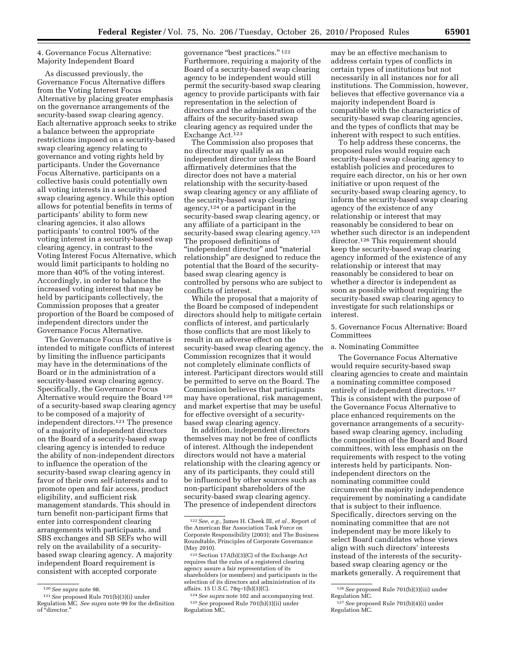4. Governance Focus Alternative: Majority Independent Board

As discussed previously, the Governance Focus Alternative differs from the Voting Interest Focus Alternative by placing greater emphasis on the governance arrangements of the security-based swap clearing agency. Each alternative approach seeks to strike a balance between the appropriate restrictions imposed on a security-based swap clearing agency relating to governance and voting rights held by participants. Under the Governance Focus Alternative, participants on a collective basis could potentially own all voting interests in a security-based swap clearing agency. While this option allows for potential benefits in terms of participants' ability to form new clearing agencies, it also allows participants' to control 100% of the voting interest in a security-based swap clearing agency, in contrast to the Voting Interest Focus Alternative, which would limit participants to holding no more than 40% of the voting interest. Accordingly, in order to balance the increased voting interest that may be held by participants collectively, the Commission proposes that a greater proportion of the Board be composed of independent directors under the Governance Focus Alternative.

The Governance Focus Alternative is intended to mitigate conflicts of interest by limiting the influence participants may have in the determinations of the Board or in the administration of a security-based swap clearing agency. Specifically, the Governance Focus Alternative would require the Board 120 of a security-based swap clearing agency to be composed of a majority of independent directors.121 The presence of a majority of independent directors on the Board of a security-based swap clearing agency is intended to reduce the ability of non-independent directors to influence the operation of the security-based swap clearing agency in favor of their own self-interests and to promote open and fair access, product eligibility, and sufficient risk management standards. This should in turn benefit non-participant firms that enter into correspondent clearing arrangements with participants, and SBS exchanges and SB SEFs who will rely on the availability of a securitybased swap clearing agency. A majority independent Board requirement is consistent with accepted corporate

governance "best practices." 122 Furthermore, requiring a majority of the Board of a security-based swap clearing agency to be independent would still permit the security-based swap clearing agency to provide participants with fair representation in the selection of directors and the administration of the affairs of the security-based swap clearing agency as required under the Exchange Act.123

The Commission also proposes that no director may qualify as an independent director unless the Board affirmatively determines that the director does not have a material relationship with the security-based swap clearing agency or any affiliate of the security-based swap clearing agency,124 or a participant in the security-based swap clearing agency, or any affiliate of a participant in the security-based swap clearing agency.<sup>125</sup> The proposed definitions of ''independent director'' and ''material relationship'' are designed to reduce the potential that the Board of the securitybased swap clearing agency is controlled by persons who are subject to conflicts of interest.

While the proposal that a majority of the Board be composed of independent directors should help to mitigate certain conflicts of interest, and particularly those conflicts that are most likely to result in an adverse effect on the security-based swap clearing agency, the Commission recognizes that it would not completely eliminate conflicts of interest. Participant directors would still be permitted to serve on the Board. The Commission believes that participants may have operational, risk management, and market expertise that may be useful for effective oversight of a securitybased swap clearing agency.

In addition, independent directors themselves may not be free of conflicts of interest. Although the independent directors would not have a material relationship with the clearing agency or any of its participants, they could still be influenced by other sources such as non-participant shareholders of the security-based swap clearing agency. The presence of independent directors

may be an effective mechanism to address certain types of conflicts in certain types of institutions but not necessarily in all instances nor for all institutions. The Commission, however, believes that effective governance via a majority independent Board is compatible with the characteristics of security-based swap clearing agencies, and the types of conflicts that may be inherent with respect to such entities.

To help address these concerns, the proposed rules would require each security-based swap clearing agency to establish policies and procedures to require each director, on his or her own initiative or upon request of the security-based swap clearing agency, to inform the security-based swap clearing agency of the existence of any relationship or interest that may reasonably be considered to bear on whether such director is an independent director.126 This requirement should keep the security-based swap clearing agency informed of the existence of any relationship or interest that may reasonably be considered to bear on whether a director is independent as soon as possible without requiring the security-based swap clearing agency to investigate for such relationships or interest.

5. Governance Focus Alternative: Board **Committees** 

#### a. Nominating Committee

The Governance Focus Alternative would require security-based swap clearing agencies to create and maintain a nominating committee composed entirely of independent directors.127 This is consistent with the purpose of the Governance Focus Alternative to place enhanced requirements on the governance arrangements of a securitybased swap clearing agency, including the composition of the Board and Board committees, with less emphasis on the requirements with respect to the voting interests held by participants. Nonindependent directors on the nominating committee could circumvent the majority independence requirement by nominating a candidate that is subject to their influence. Specifically, directors serving on the nominating committee that are not independent may be more likely to select Board candidates whose views align with such directors' interests instead of the interests of the securitybased swap clearing agency or the markets generally. A requirement that

<sup>120</sup>*See supra* note 98.

<sup>121</sup>*See* proposed Rule 701(b)(3)(i) under Regulation MC. *See supra* note 99 for the definition of ''director.''

<sup>122</sup>*See, e.g.,* James H. Cheek III, *et al.,* Report of the American Bar Association Task Force on Corporate Responsibility (2003); and The Business Roundtable, Principles of Corporate Governance (May 2010).

<sup>123</sup>Section 17A(b)(3)(C) of the Exchange Act requires that the rules of a registered clearing agency assure a fair representation of its shareholders (or members) and participants in the selection of its directors and administration of its affairs. 15 U.S.C. 78q–1(b)(3)(C).

<sup>124</sup>*See supra* note 102 and accompanying text. 125*See* proposed Rule 701(b)(3)(ii) under Regulation MC.

<sup>126</sup>*See* proposed Rule 701(b)(3)(iii) under Regulation MC.

<sup>127</sup>*See* proposed Rule 701(b)(4)(i) under Regulation MC.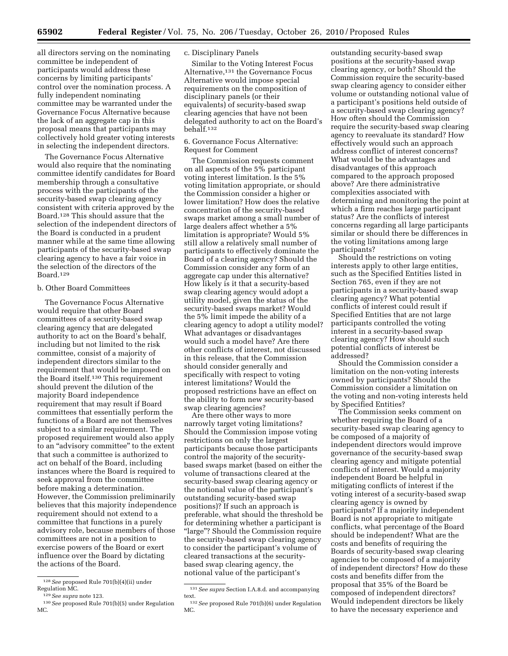all directors serving on the nominating committee be independent of participants would address these concerns by limiting participants' control over the nomination process. A fully independent nominating committee may be warranted under the Governance Focus Alternative because the lack of an aggregate cap in this proposal means that participants may collectively hold greater voting interests in selecting the independent directors.

The Governance Focus Alternative would also require that the nominating committee identify candidates for Board membership through a consultative process with the participants of the security-based swap clearing agency consistent with criteria approved by the Board.128 This should assure that the selection of the independent directors of the Board is conducted in a prudent manner while at the same time allowing participants of the security-based swap clearing agency to have a fair voice in the selection of the directors of the Board.129

#### b. Other Board Committees

The Governance Focus Alternative would require that other Board committees of a security-based swap clearing agency that are delegated authority to act on the Board's behalf, including but not limited to the risk committee, consist of a majority of independent directors similar to the requirement that would be imposed on the Board itself.130 This requirement should prevent the dilution of the majority Board independence requirement that may result if Board committees that essentially perform the functions of a Board are not themselves subject to a similar requirement. The proposed requirement would also apply to an ''advisory committee'' to the extent that such a committee is authorized to act on behalf of the Board, including instances where the Board is required to seek approval from the committee before making a determination. However, the Commission preliminarily believes that this majority independence requirement should not extend to a committee that functions in a purely advisory role, because members of those committees are not in a position to exercise powers of the Board or exert influence over the Board by dictating the actions of the Board.

#### c. Disciplinary Panels

Similar to the Voting Interest Focus Alternative,131 the Governance Focus Alternative would impose special requirements on the composition of disciplinary panels (or their equivalents) of security-based swap clearing agencies that have not been delegated authority to act on the Board's behalf.132

#### 6. Governance Focus Alternative: Request for Comment

The Commission requests comment on all aspects of the 5% participant voting interest limitation. Is the 5% voting limitation appropriate, or should the Commission consider a higher or lower limitation? How does the relative concentration of the security-based swaps market among a small number of large dealers affect whether a 5% limitation is appropriate? Would 5% still allow a relatively small number of participants to effectively dominate the Board of a clearing agency? Should the Commission consider any form of an aggregate cap under this alternative? How likely is it that a security-based swap clearing agency would adopt a utility model, given the status of the security-based swaps market? Would the 5% limit impede the ability of a clearing agency to adopt a utility model? What advantages or disadvantages would such a model have? Are there other conflicts of interest, not discussed in this release, that the Commission should consider generally and specifically with respect to voting interest limitations? Would the proposed restrictions have an effect on the ability to form new security-based swap clearing agencies?

Are there other ways to more narrowly target voting limitations? Should the Commission impose voting restrictions on only the largest participants because those participants control the majority of the securitybased swaps market (based on either the volume of transactions cleared at the security-based swap clearing agency or the notional value of the participant's outstanding security-based swap positions)? If such an approach is preferable, what should the threshold be for determining whether a participant is ''large''? Should the Commission require the security-based swap clearing agency to consider the participant's volume of cleared transactions at the securitybased swap clearing agency, the notional value of the participant's

outstanding security-based swap positions at the security-based swap clearing agency, or both? Should the Commission require the security-based swap clearing agency to consider either volume or outstanding notional value of a participant's positions held outside of a security-based swap clearing agency? How often should the Commission require the security-based swap clearing agency to reevaluate its standard? How effectively would such an approach address conflict of interest concerns? What would be the advantages and disadvantages of this approach compared to the approach proposed above? Are there administrative complexities associated with determining and monitoring the point at which a firm reaches large participant status? Are the conflicts of interest concerns regarding all large participants similar or should there be differences in the voting limitations among large participants?

Should the restrictions on voting interests apply to other large entities, such as the Specified Entities listed in Section 765, even if they are not participants in a security-based swap clearing agency? What potential conflicts of interest could result if Specified Entities that are not large participants controlled the voting interest in a security-based swap clearing agency? How should such potential conflicts of interest be addressed?

Should the Commission consider a limitation on the non-voting interests owned by participants? Should the Commission consider a limitation on the voting and non-voting interests held by Specified Entities?

The Commission seeks comment on whether requiring the Board of a security-based swap clearing agency to be composed of a majority of independent directors would improve governance of the security-based swap clearing agency and mitigate potential conflicts of interest. Would a majority independent Board be helpful in mitigating conflicts of interest if the voting interest of a security-based swap clearing agency is owned by participants? If a majority independent Board is not appropriate to mitigate conflicts, what percentage of the Board should be independent? What are the costs and benefits of requiring the Boards of security-based swap clearing agencies to be composed of a majority of independent directors? How do these costs and benefits differ from the proposal that 35% of the Board be composed of independent directors? Would independent directors be likely to have the necessary experience and

<sup>128</sup>*See* proposed Rule 701(b)(4)(ii) under Regulation MC.

<sup>129</sup>*See supra* note 123.

<sup>130</sup>*See* proposed Rule 701(b)(5) under Regulation MC.

<sup>131</sup>*See supra* Section I.A.8.d. and accompanying text.

<sup>132</sup>*See* proposed Rule 701(b)(6) under Regulation MC.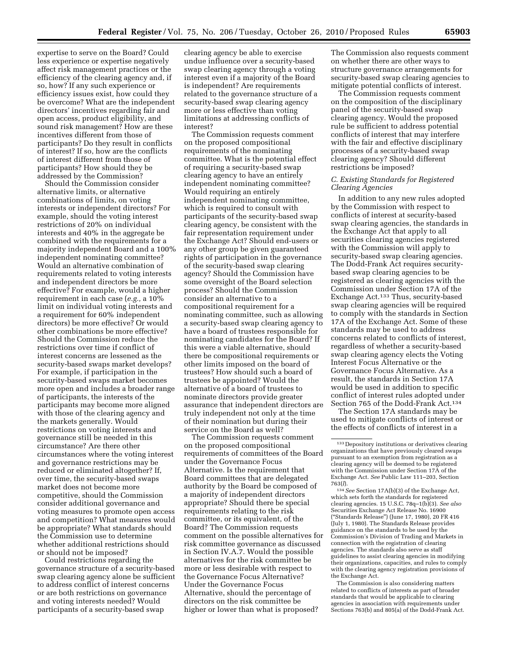expertise to serve on the Board? Could less experience or expertise negatively affect risk management practices or the efficiency of the clearing agency and, if so, how? If any such experience or efficiency issues exist, how could they be overcome? What are the independent directors' incentives regarding fair and open access, product eligibility, and sound risk management? How are these incentives different from those of participants? Do they result in conflicts of interest? If so, how are the conflicts of interest different from those of participants? How should they be addressed by the Commission?

Should the Commission consider alternative limits, or alternative combinations of limits, on voting interests or independent directors? For example, should the voting interest restrictions of 20% on individual interests and 40% in the aggregate be combined with the requirements for a majority independent Board and a 100% independent nominating committee? Would an alternative combination of requirements related to voting interests and independent directors be more effective? For example, would a higher requirement in each case (*e.g.,* a 10% limit on individual voting interests and a requirement for 60% independent directors) be more effective? Or would other combinations be more effective? Should the Commission reduce the restrictions over time if conflict of interest concerns are lessened as the security-based swaps market develops? For example, if participation in the security-based swaps market becomes more open and includes a broader range of participants, the interests of the participants may become more aligned with those of the clearing agency and the markets generally. Would restrictions on voting interests and governance still be needed in this circumstance? Are there other circumstances where the voting interest and governance restrictions may be reduced or eliminated altogether? If, over time, the security-based swaps market does not become more competitive, should the Commission consider additional governance and voting measures to promote open access and competition? What measures would be appropriate? What standards should the Commission use to determine whether additional restrictions should or should not be imposed?

Could restrictions regarding the governance structure of a security-based swap clearing agency alone be sufficient to address conflict of interest concerns or are both restrictions on governance and voting interests needed? Would participants of a security-based swap

clearing agency be able to exercise undue influence over a security-based swap clearing agency through a voting interest even if a majority of the Board is independent? Are requirements related to the governance structure of a security-based swap clearing agency more or less effective than voting limitations at addressing conflicts of interest?

The Commission requests comment on the proposed compositional requirements of the nominating committee. What is the potential effect of requiring a security-based swap clearing agency to have an entirely independent nominating committee? Would requiring an entirely independent nominating committee, which is required to consult with participants of the security-based swap clearing agency, be consistent with the fair representation requirement under the Exchange Act? Should end-users or any other group be given guaranteed rights of participation in the governance of the security-based swap clearing agency? Should the Commission have some oversight of the Board selection process? Should the Commission consider an alternative to a compositional requirement for a nominating committee, such as allowing a security-based swap clearing agency to have a board of trustees responsible for nominating candidates for the Board? If this were a viable alternative, should there be compositional requirements or other limits imposed on the board of trustees? How should such a board of trustees be appointed? Would the alternative of a board of trustees to nominate directors provide greater assurance that independent directors are truly independent not only at the time of their nomination but during their service on the Board as well?

The Commission requests comment on the proposed compositional requirements of committees of the Board under the Governance Focus Alternative. Is the requirement that Board committees that are delegated authority by the Board be composed of a majority of independent directors appropriate? Should there be special requirements relating to the risk committee, or its equivalent, of the Board? The Commission requests comment on the possible alternatives for risk committee governance as discussed in Section IV.A.7. Would the possible alternatives for the risk committee be more or less desirable with respect to the Governance Focus Alternative? Under the Governance Focus Alternative, should the percentage of directors on the risk committee be higher or lower than what is proposed?

The Commission also requests comment on whether there are other ways to structure governance arrangements for security-based swap clearing agencies to mitigate potential conflicts of interest.

The Commission requests comment on the composition of the disciplinary panel of the security-based swap clearing agency. Would the proposed rule be sufficient to address potential conflicts of interest that may interfere with the fair and effective disciplinary processes of a security-based swap clearing agency? Should different restrictions be imposed?

#### *C. Existing Standards for Registered Clearing Agencies*

In addition to any new rules adopted by the Commission with respect to conflicts of interest at security-based swap clearing agencies, the standards in the Exchange Act that apply to all securities clearing agencies registered with the Commission will apply to security-based swap clearing agencies. The Dodd-Frank Act requires securitybased swap clearing agencies to be registered as clearing agencies with the Commission under Section 17A of the Exchange Act.133 Thus, security-based swap clearing agencies will be required to comply with the standards in Section 17A of the Exchange Act. Some of these standards may be used to address concerns related to conflicts of interest, regardless of whether a security-based swap clearing agency elects the Voting Interest Focus Alternative or the Governance Focus Alternative. As a result, the standards in Section 17A would be used in addition to specific conflict of interest rules adopted under Section 765 of the Dodd-Frank Act.134

The Section 17A standards may be used to mitigate conflicts of interest or the effects of conflicts of interest in a

The Commission is also considering matters related to conflicts of interests as part of broader standards that would be applicable to clearing agencies in association with requirements under Sections 763(b) and 805(a) of the Dodd-Frank Act.

<sup>133</sup> Depository institutions or derivatives clearing organizations that have previously cleared swaps pursuant to an exemption from registration as a clearing agency will be deemed to be registered with the Commission under Section 17A of the Exchange Act. *See* Public Law 111–203, Section 763(*l*).

<sup>134</sup>*See* Section 17A(b)(3) of the Exchange Act, which sets forth the standards for registered clearing agencies. 15 U.S.C. 78q–1(b)(3). *See also*  Securities Exchange Act Release No. 16900 (''Standards Release'') (June 17, 1980), 20 FR 416 (July 1, 1980). The Standards Release provides guidance on the standards to be used by the Commission's Division of Trading and Markets in connection with the registration of clearing agencies. The standards also serve as staff guidelines to assist clearing agencies in modifying their organizations, capacities, and rules to comply with the clearing agency registration provisions of the Exchange Act.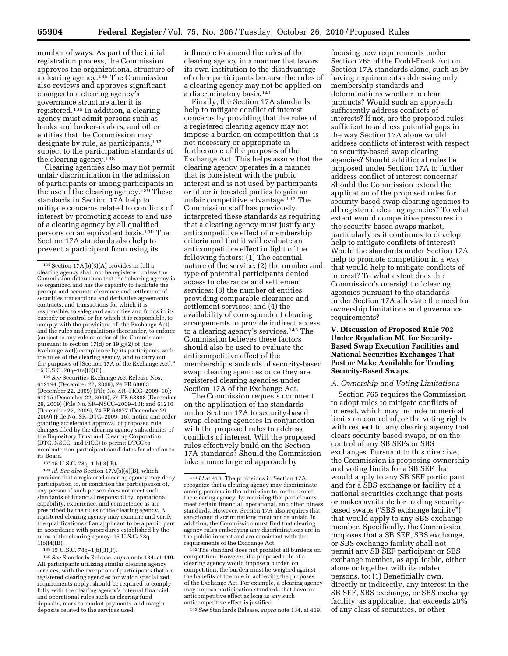number of ways. As part of the initial registration process, the Commission approves the organizational structure of a clearing agency.135 The Commission also reviews and approves significant changes to a clearing agency's governance structure after it is registered.136 In addition, a clearing agency must admit persons such as banks and broker-dealers, and other entities that the Commission may designate by rule, as participants, 137 subject to the participation standards of the clearing agency.138

Clearing agencies also may not permit unfair discrimination in the admission of participants or among participants in the use of the clearing agency.139 These standards in Section 17A help to mitigate concerns related to conflicts of interest by promoting access to and use of a clearing agency by all qualified persons on an equivalent basis.140 The Section 17A standards also help to prevent a participant from using its

136*See* Securities Exchange Act Release Nos. 612194 (December 22, 2009), 74 FR 68883 (December 22, 2009) (File No. SR–FICC–2009–10); 61215 (December 22, 2009), 74 FR 68888 (December 29, 2009) (File No. SR–NSCC–2009–10); and 61216 (December 22, 2009), 74 FR 68877 (December 29, 2009) (File No. SR–DTC–2009–16), notice and order granting accelerated approval of proposed rule changes filed by the clearing agency subsidiaries of the Depository Trust and Clearing Corporation (DTC, NSCC, and FICC) to permit DTCC to nominate non-participant candidates for election to its Board.

137 15 U.S.C. 78q–1(b)(3)(B).

138 *Id. See also* Section 17A(b)(4)(B), which provides that a registered clearing agency may deny participation to, or condition the participation of, any person if such person does not meet such standards of financial responsibility, operational capability, experience, and competence as are prescribed by the rules of the clearing agency. A registered clearing agency may examine and verify the qualifications of an applicant to be a participant in accordance with procedures established by the rules of the clearing agency. 15 U.S.C. 78q– 1(b)(4)(B).

139 15 U.S.C. 78q–1(b)(3)(F).

140*See* Standards Release, *supra* note 134, at 419. All participants utilizing similar clearing agency services, with the exception of participants that are registered clearing agencies for which specialized requirements apply, should be required to comply fully with the clearing agency's internal financial and operational rules such as clearing fund deposits, mark-to-market payments, and margin deposits related to the services used.

influence to amend the rules of the clearing agency in a manner that favors its own institution to the disadvantage of other participants because the rules of a clearing agency may not be applied on a discriminatory basis.141

Finally, the Section 17A standards help to mitigate conflict of interest concerns by providing that the rules of a registered clearing agency may not impose a burden on competition that is not necessary or appropriate in furtherance of the purposes of the Exchange Act. This helps assure that the clearing agency operates in a manner that is consistent with the public interest and is not used by participants or other interested parties to gain an unfair competitive advantage.142 The Commission staff has previously interpreted these standards as requiring that a clearing agency must justify any anticompetitive effect of membership criteria and that it will evaluate an anticompetitive effect in light of the following factors: (1) The essential nature of the service; (2) the number and type of potential participants denied access to clearance and settlement services; (3) the number of entities providing comparable clearance and settlement services; and (4) the availability of correspondent clearing arrangements to provide indirect access to a clearing agency's services.143 The Commission believes these factors should also be used to evaluate the anticompetitive effect of the membership standards of security-based swap clearing agencies once they are registered clearing agencies under Section 17A of the Exchange Act.

The Commission requests comment on the application of the standards under Section 17A to security-based swap clearing agencies in conjunction with the proposed rules to address conflicts of interest. Will the proposed rules effectively build on the Section 17A standards? Should the Commission take a more targeted approach by

142The standard does not prohibit all burdens on competition. However, if a proposed rule of a clearing agency would impose a burden on competition, the burden must be weighed against the benefits of the rule in achieving the purposes of the Exchange Act. For example, a clearing agency may impose participation standards that have an anticompetitive effect as long as any such anticompetitive effect is justified.

143*See* Standards Release, *supra* note 134, at 419.

focusing new requirements under Section 765 of the Dodd-Frank Act on Section 17A standards alone, such as by having requirements addressing only membership standards and determinations whether to clear products? Would such an approach sufficiently address conflicts of interests? If not, are the proposed rules sufficient to address potential gaps in the way Section 17A alone would address conflicts of interest with respect to security-based swap clearing agencies? Should additional rules be proposed under Section 17A to further address conflict of interest concerns? Should the Commission extend the application of the proposed rules for security-based swap clearing agencies to all registered clearing agencies? To what extent would competitive pressures in the security-based swaps market, particularly as it continues to develop, help to mitigate conflicts of interest? Would the standards under Section 17A help to promote competition in a way that would help to mitigate conflicts of interest? To what extent does the Commission's oversight of clearing agencies pursuant to the standards under Section 17A alleviate the need for ownership limitations and governance requirements?

#### **V. Discussion of Proposed Rule 702 Under Regulation MC for Security-Based Swap Execution Facilities and National Securities Exchanges That Post or Make Available for Trading Security-Based Swaps**

#### *A. Ownership and Voting Limitations*

Section 765 requires the Commission to adopt rules to mitigate conflicts of interest, which may include numerical limits on control of, or the voting rights with respect to, any clearing agency that clears security-based swaps, or on the control of any SB SEFs or SBS exchanges. Pursuant to this directive, the Commission is proposing ownership and voting limits for a SB SEF that would apply to any SB SEF participant and for a SBS exchange or facility of a national securities exchange that posts or makes available for trading securitybased swaps (''SBS exchange facility'') that would apply to any SBS exchange member. Specifically, the Commission proposes that a SB SEF, SBS exchange, or SBS exchange facility shall not permit any SB SEF participant or SBS exchange member, as applicable, either alone or together with its related persons, to: (1) Beneficially own, directly or indirectly, any interest in the SB SEF, SBS exchange, or SBS exchange facility, as applicable, that exceeds 20% of any class of securities, or other

<sup>135</sup>Section 17A(b)(3)(A) provides in full a clearing agency shall not be registered unless the Commission determines that the "clearing agency is so organized and has the capacity to facilitate the prompt and accurate clearance and settlement of securities transactions and derivative agreements, contracts, and transactions for which it is responsible, to safeguard securities and funds in its custody or control or for which it is responsible, to comply with the provisions of [the Exchange Act] and the rules and regulations thereunder, to enforce (subject to any rule or order of the Commission pursuant to section 17(d) or 19(g)(2) of [the Exchange Act]) compliance by its participants with the rules of the clearing agency, and to carry out the purposes of [Section 17A of the Exchange Act].'' 15 U.S.C. 78q–1(a)(3)(C).

<sup>141</sup> *Id* at 418. The provisions in Section 17A recognize that a clearing agency may discriminate among persons in the admission to, or the use of, the clearing agency, by requiring that participants meet certain financial, operational, and other fitness standards. However, Section 17A also requires that sanctioned discriminations must not be unfair. In addition, the Commission must find that clearing agency rules embodying any discriminations are in the public interest and are consistent with the requirements of the Exchange Act.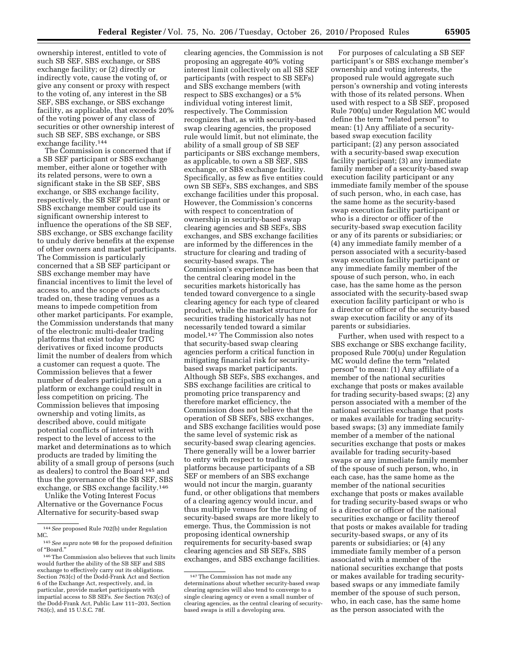ownership interest, entitled to vote of such SB SEF, SBS exchange, or SBS exchange facility; or (2) directly or indirectly vote, cause the voting of, or give any consent or proxy with respect to the voting of, any interest in the SB SEF, SBS exchange, or SBS exchange facility, as applicable, that exceeds 20% of the voting power of any class of securities or other ownership interest of such SB SEF, SBS exchange, or SBS exchange facility.144

The Commission is concerned that if a SB SEF participant or SBS exchange member, either alone or together with its related persons, were to own a significant stake in the SB SEF, SBS exchange, or SBS exchange facility, respectively, the SB SEF participant or SBS exchange member could use its significant ownership interest to influence the operations of the SB SEF, SBS exchange, or SBS exchange facility to unduly derive benefits at the expense of other owners and market participants. The Commission is particularly concerned that a SB SEF participant or SBS exchange member may have financial incentives to limit the level of access to, and the scope of products traded on, these trading venues as a means to impede competition from other market participants. For example, the Commission understands that many of the electronic multi-dealer trading platforms that exist today for OTC derivatives or fixed income products limit the number of dealers from which a customer can request a quote. The Commission believes that a fewer number of dealers participating on a platform or exchange could result in less competition on pricing. The Commission believes that imposing ownership and voting limits, as described above, could mitigate potential conflicts of interest with respect to the level of access to the market and determinations as to which products are traded by limiting the ability of a small group of persons (such as dealers) to control the Board 145 and thus the governance of the SB SEF, SBS exchange, or SBS exchange facility.146

Unlike the Voting Interest Focus Alternative or the Governance Focus Alternative for security-based swap

clearing agencies, the Commission is not proposing an aggregate 40% voting interest limit collectively on all SB SEF participants (with respect to SB SEFs) and SBS exchange members (with respect to SBS exchanges) or a 5% individual voting interest limit, respectively. The Commission recognizes that, as with security-based swap clearing agencies, the proposed rule would limit, but not eliminate, the ability of a small group of SB SEF participants or SBS exchange members, as applicable, to own a SB SEF, SBS exchange, or SBS exchange facility. Specifically, as few as five entities could own SB SEFs, SBS exchanges, and SBS exchange facilities under this proposal. However, the Commission's concerns with respect to concentration of ownership in security-based swap clearing agencies and SB SEFs, SBS exchanges, and SBS exchange facilities are informed by the differences in the structure for clearing and trading of security-based swaps. The Commission's experience has been that the central clearing model in the securities markets historically has tended toward convergence to a single clearing agency for each type of cleared product, while the market structure for securities trading historically has not necessarily tended toward a similar model.147 The Commission also notes that security-based swap clearing agencies perform a critical function in mitigating financial risk for securitybased swaps market participants. Although SB SEFs, SBS exchanges, and SBS exchange facilities are critical to promoting price transparency and therefore market efficiency, the Commission does not believe that the operation of SB SEFs, SBS exchanges, and SBS exchange facilities would pose the same level of systemic risk as security-based swap clearing agencies. There generally will be a lower barrier to entry with respect to trading platforms because participants of a SB SEF or members of an SBS exchange would not incur the margin, guaranty fund, or other obligations that members of a clearing agency would incur, and thus multiple venues for the trading of security-based swaps are more likely to emerge. Thus, the Commission is not proposing identical ownership requirements for security-based swap clearing agencies and SB SEFs, SBS exchanges, and SBS exchange facilities.

For purposes of calculating a SB SEF participant's or SBS exchange member's ownership and voting interests, the proposed rule would aggregate such person's ownership and voting interests with those of its related persons. When used with respect to a SB SEF, proposed Rule 700(u) under Regulation MC would define the term ''related person'' to mean: (1) Any affiliate of a securitybased swap execution facility participant; (2) any person associated with a security-based swap execution facility participant; (3) any immediate family member of a security-based swap execution facility participant or any immediate family member of the spouse of such person, who, in each case, has the same home as the security-based swap execution facility participant or who is a director or officer of the security-based swap execution facility or any of its parents or subsidiaries; or (4) any immediate family member of a person associated with a security-based swap execution facility participant or any immediate family member of the spouse of such person, who, in each case, has the same home as the person associated with the security-based swap execution facility participant or who is a director or officer of the security-based swap execution facility or any of its parents or subsidiaries.

Further, when used with respect to a SBS exchange or SBS exchange facility, proposed Rule 700(u) under Regulation MC would define the term ''related person'' to mean: (1) Any affiliate of a member of the national securities exchange that posts or makes available for trading security-based swaps; (2) any person associated with a member of the national securities exchange that posts or makes available for trading securitybased swaps; (3) any immediate family member of a member of the national securities exchange that posts or makes available for trading security-based swaps or any immediate family member of the spouse of such person, who, in each case, has the same home as the member of the national securities exchange that posts or makes available for trading security-based swaps or who is a director or officer of the national securities exchange or facility thereof that posts or makes available for trading security-based swaps, or any of its parents or subsidiaries; or (4) any immediate family member of a person associated with a member of the national securities exchange that posts or makes available for trading securitybased swaps or any immediate family member of the spouse of such person, who, in each case, has the same home as the person associated with the

<sup>144</sup>*See* proposed Rule 702(b) under Regulation MC.

<sup>145</sup>*See supra* note 98 for the proposed definition of ''Board.''

<sup>146</sup>The Commission also believes that such limits would further the ability of the SB SEF and SBS exchange to effectively carry out its obligations. Section 763(c) of the Dodd-Frank Act and Section 6 of the Exchange Act, respectively, and, in particular, provide market participants with impartial access to SB SEFs. *See* Section 763(c) of the Dodd-Frank Act, Public Law 111–203, Section 763(c), and 15 U.S.C. 78f.

<sup>147</sup>The Commission has not made any determinations about whether security-based swap clearing agencies will also tend to converge to a single clearing agency or even a small number of clearing agencies, as the central clearing of securitybased swaps is still a developing area.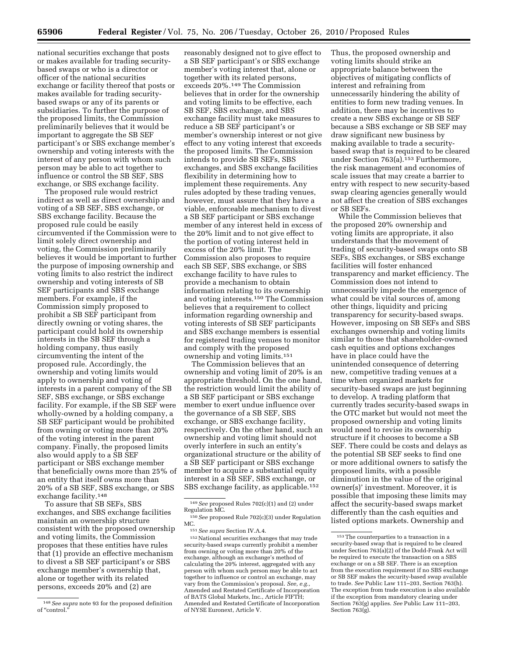national securities exchange that posts or makes available for trading securitybased swaps or who is a director or officer of the national securities exchange or facility thereof that posts or makes available for trading securitybased swaps or any of its parents or subsidiaries. To further the purpose of the proposed limits, the Commission preliminarily believes that it would be important to aggregate the SB SEF participant's or SBS exchange member's ownership and voting interests with the interest of any person with whom such person may be able to act together to influence or control the SB SEF, SBS exchange, or SBS exchange facility.

The proposed rule would restrict indirect as well as direct ownership and voting of a SB SEF, SBS exchange, or SBS exchange facility. Because the proposed rule could be easily circumvented if the Commission were to limit solely direct ownership and voting, the Commission preliminarily believes it would be important to further the purpose of imposing ownership and voting limits to also restrict the indirect ownership and voting interests of SB SEF participants and SBS exchange members. For example, if the Commission simply proposed to prohibit a SB SEF participant from directly owning or voting shares, the participant could hold its ownership interests in the SB SEF through a holding company, thus easily circumventing the intent of the proposed rule. Accordingly, the ownership and voting limits would apply to ownership and voting of interests in a parent company of the SB SEF, SBS exchange, or SBS exchange facility. For example, if the SB SEF were wholly-owned by a holding company, a SB SEF participant would be prohibited from owning or voting more than 20% of the voting interest in the parent company. Finally, the proposed limits also would apply to a SB SEF participant or SBS exchange member that beneficially owns more than 25% of an entity that itself owns more than 20% of a SB SEF, SBS exchange, or SBS exchange facility.148

To assure that SB SEFs, SBS exchanges, and SBS exchange facilities maintain an ownership structure consistent with the proposed ownership and voting limits, the Commission proposes that these entities have rules that (1) provide an effective mechanism to divest a SB SEF participant's or SBS exchange member's ownership that, alone or together with its related persons, exceeds 20% and (2) are

reasonably designed not to give effect to a SB SEF participant's or SBS exchange member's voting interest that, alone or together with its related persons, exceeds 20%.149 The Commission believes that in order for the ownership and voting limits to be effective, each SB SEF, SBS exchange, and SBS exchange facility must take measures to reduce a SB SEF participant's or member's ownership interest or not give effect to any voting interest that exceeds the proposed limits. The Commission intends to provide SB SEFs, SBS exchanges, and SBS exchange facilities flexibility in determining how to implement these requirements. Any rules adopted by these trading venues, however, must assure that they have a viable, enforceable mechanism to divest a SB SEF participant or SBS exchange member of any interest held in excess of the 20% limit and to not give effect to the portion of voting interest held in excess of the 20% limit. The Commission also proposes to require each SB SEF, SBS exchange, or SBS exchange facility to have rules to provide a mechanism to obtain information relating to its ownership and voting interests.150 The Commission believes that a requirement to collect information regarding ownership and voting interests of SB SEF participants and SBS exchange members is essential for registered trading venues to monitor and comply with the proposed ownership and voting limits.151

The Commission believes that an ownership and voting limit of 20% is an appropriate threshold. On the one hand, the restriction would limit the ability of a SB SEF participant or SBS exchange member to exert undue influence over the governance of a SB SEF, SBS exchange, or SBS exchange facility, respectively. On the other hand, such an ownership and voting limit should not overly interfere in such an entity's organizational structure or the ability of a SB SEF participant or SBS exchange member to acquire a substantial equity interest in a SB SEF, SBS exchange, or SBS exchange facility, as applicable.152

Thus, the proposed ownership and voting limits should strike an appropriate balance between the objectives of mitigating conflicts of interest and refraining from unnecessarily hindering the ability of entities to form new trading venues. In addition, there may be incentives to create a new SBS exchange or SB SEF because a SBS exchange or SB SEF may draw significant new business by making available to trade a securitybased swap that is required to be cleared under Section 763(a).153 Furthermore, the risk management and economies of scale issues that may create a barrier to entry with respect to new security-based swap clearing agencies generally would not affect the creation of SBS exchanges or SB SEFs.

While the Commission believes that the proposed 20% ownership and voting limits are appropriate, it also understands that the movement of trading of security-based swaps onto SB SEFs, SBS exchanges, or SBS exchange facilities will foster enhanced transparency and market efficiency. The Commission does not intend to unnecessarily impede the emergence of what could be vital sources of, among other things, liquidity and pricing transparency for security-based swaps. However, imposing on SB SEFs and SBS exchanges ownership and voting limits similar to those that shareholder-owned cash equities and options exchanges have in place could have the unintended consequence of deterring new, competitive trading venues at a time when organized markets for security-based swaps are just beginning to develop. A trading platform that currently trades security-based swaps in the OTC market but would not meet the proposed ownership and voting limits would need to revise its ownership structure if it chooses to become a SB SEF. There could be costs and delays as the potential SB SEF seeks to find one or more additional owners to satisfy the proposed limits, with a possible diminution in the value of the original owner(s)' investment. Moreover, it is possible that imposing these limits may affect the security-based swaps market differently than the cash equities and listed options markets. Ownership and

<sup>148</sup>*See supra* note 93 for the proposed definition of "control.

<sup>&</sup>lt;sup>149</sup> See proposed Rules 702(c)(1) and (2) under<br>Regulation MC.

<sup>&</sup>lt;sup>150</sup> See proposed Rule 702(c)(3) under Regulation MC.

<sup>&</sup>lt;sup>151</sup> See supra Section IV.A.4.<br><sup>152</sup> National securities exchanges that may trade security-based swaps currently prohibit a member from owning or voting more than 20% of the exchange, although an exchange's method of calculating the 20% interest, aggregated with any person with whom such person may be able to act together to influence or control an exchange, may vary from the Commission's proposal. *See, e.g.,*  Amended and Restated Certificate of Incorporation of BATS Global Markets, Inc., Article FIFTH; Amended and Restated Certificate of Incorporation of NYSE Euronext, Article V.

 $^{\rm 153}\rm \, The \, counterparties$  to a transaction in a security-based swap that is required to be cleared under Section 763(a)(2) of the Dodd-Frank Act will be required to execute the transaction on a SBS exchange or on a SB SEF. There is an exception from the execution requirement if no SBS exchange or SB SEF makes the security-based swap available to trade. *See* Public Law 111–203, Section 763(h). The exception from trade execution is also available if the exception from mandatory clearing under Section 763(g) applies. *See* Public Law 111–203, Section 763(g).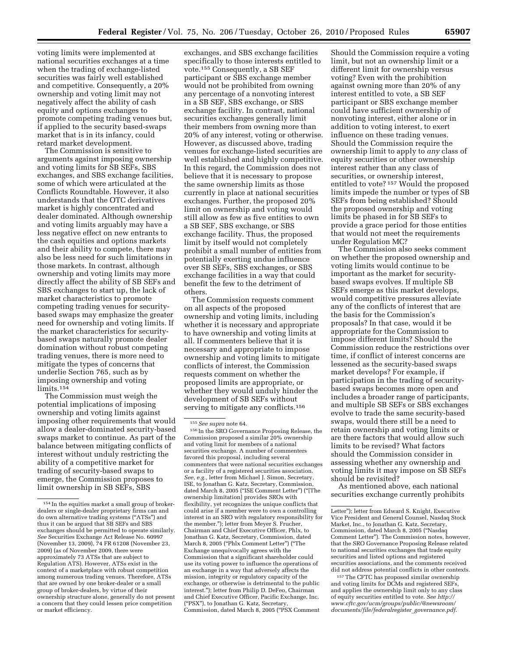voting limits were implemented at national securities exchanges at a time when the trading of exchange-listed securities was fairly well established and competitive. Consequently, a 20% ownership and voting limit may not negatively affect the ability of cash equity and options exchanges to promote competing trading venues but, if applied to the security based-swaps market that is in its infancy, could retard market development.

The Commission is sensitive to arguments against imposing ownership and voting limits for SB SEFs, SBS exchanges, and SBS exchange facilities, some of which were articulated at the Conflicts Roundtable. However, it also understands that the OTC derivatives market is highly concentrated and dealer dominated. Although ownership and voting limits arguably may have a less negative effect on new entrants to the cash equities and options markets and their ability to compete, there may also be less need for such limitations in those markets. In contrast, although ownership and voting limits may more directly affect the ability of SB SEFs and SBS exchanges to start up, the lack of market characteristics to promote competing trading venues for securitybased swaps may emphasize the greater need for ownership and voting limits. If the market characteristics for securitybased swaps naturally promote dealer domination without robust competing trading venues, there is more need to mitigate the types of concerns that underlie Section 765, such as by imposing ownership and voting limits.154

The Commission must weigh the potential implications of imposing ownership and voting limits against imposing other requirements that would allow a dealer-dominated security-based swaps market to continue. As part of the balance between mitigating conflicts of interest without unduly restricting the ability of a competitive market for trading of security-based swaps to emerge, the Commission proposes to limit ownership in SB SEFs, SBS

exchanges, and SBS exchange facilities specifically to those interests entitled to vote.155 Consequently, a SB SEF participant or SBS exchange member would not be prohibited from owning any percentage of a nonvoting interest in a SB SEF, SBS exchange, or SBS exchange facility. In contrast, national securities exchanges generally limit their members from owning more than 20% of any interest, voting or otherwise. However, as discussed above, trading venues for exchange-listed securities are well established and highly competitive. In this regard, the Commission does not believe that it is necessary to propose the same ownership limits as those currently in place at national securities exchanges. Further, the proposed 20% limit on ownership and voting would still allow as few as five entities to own a SB SEF, SBS exchange, or SBS exchange facility. Thus, the proposed limit by itself would not completely prohibit a small number of entities from potentially exerting undue influence over SB SEFs, SBS exchanges, or SBS exchange facilities in a way that could benefit the few to the detriment of others.

The Commission requests comment on all aspects of the proposed ownership and voting limits, including whether it is necessary and appropriate to have ownership and voting limits at all. If commenters believe that it is necessary and appropriate to impose ownership and voting limits to mitigate conflicts of interest, the Commission requests comment on whether the proposed limits are appropriate, or whether they would unduly hinder the development of SB SEFs without serving to mitigate any conflicts.<sup>156</sup>

Should the Commission require a voting limit, but not an ownership limit or a different limit for ownership versus voting? Even with the prohibition against owning more than 20% of any interest entitled to vote, a SB SEF participant or SBS exchange member could have sufficient ownership of nonvoting interest, either alone or in addition to voting interest, to exert influence on these trading venues. Should the Commission require the ownership limit to apply to *any* class of equity securities or other ownership interest rather than any class of securities, or ownership interest, entitled to vote? 157 Would the proposed limits impede the number or types of SB SEFs from being established? Should the proposed ownership and voting limits be phased in for SB SEFs to provide a grace period for those entities that would not meet the requirements under Regulation MC?

The Commission also seeks comment on whether the proposed ownership and voting limits would continue to be important as the market for securitybased swaps evolves. If multiple SB SEFs emerge as this market develops, would competitive pressures alleviate any of the conflicts of interest that are the basis for the Commission's proposals? In that case, would it be appropriate for the Commission to impose different limits? Should the Commission reduce the restrictions over time, if conflict of interest concerns are lessened as the security-based swaps market develops? For example, if participation in the trading of securitybased swaps becomes more open and includes a broader range of participants, and multiple SB SEFs or SBS exchanges evolve to trade the same security-based swaps, would there still be a need to retain ownership and voting limits or are there factors that would allow such limits to be revised? What factors should the Commission consider in assessing whether any ownership and voting limits it may impose on SB SEFs should be revisited?

As mentioned above, each national securities exchange currently prohibits

157The CFTC has proposed similar ownership and voting limits for DCMs and registered SEFs, and applies the ownership limit only to any class of equity securities entitled to vote. *See [http://](http://www.cftc.gov/ucm/groups/public/@newsroom/documents/file/federalregister_governance.pdf) [www.cftc.gov/ucm/groups/public/@newsroom/](http://www.cftc.gov/ucm/groups/public/@newsroom/documents/file/federalregister_governance.pdf)  documents/file/federalregister*\_*governance.pdf.* 

<sup>154</sup> In the equities market a small group of brokerdealers or single-dealer proprietary firms can and do own alternative trading systems (''ATSs'') and thus it can be argued that SB SEFs and SBS exchanges should be permitted to operate similarly. *See* Securities Exchange Act Release No. 60997 (November 13, 2009), 74 FR 61208 (November 23, 2009) (as of November 2009, there were approximately 73 ATSs that are subject to Regulation ATS). However, ATSs exist in the context of a marketplace with robust competition among numerous trading venues. Therefore, ATSs that are owned by one broker-dealer or a small group of broker-dealers, by virtue of their ownership structure alone, generally do not present a concern that they could lessen price competition or market efficiency.

<sup>155</sup>*See supra* note 64.

<sup>156</sup> In the SRO Governance Proposing Release, the Commission proposed a similar 20% ownership and voting limit for members of a national securities exchange. A number of commenters favored this proposal, including several commenters that were national securities exchanges or a facility of a registered securities association. *See, e.g.,* letter from Michael J. Simon, Secretary, ISE, to Jonathan G. Katz, Secretary, Commission, dated March 8, 2005 ("ISE Comment Letter") ("[The ownership limitation] provides SROs with flexibility, yet recognizes the unique conflicts that could arise if a member were to own a controlling interest in an SRO with regulatory responsibility for the member.''); letter from Meyer S. Frucher, Chairman and Chief Executive Officer, Phlx, to Jonathan G. Katz, Secretary, Commission, dated March 8, 2005 (''Phlx Comment Letter'') (''The Exchange unequivocally agrees with the Commission that a significant shareholder could use its voting power to influence the operations of an exchange in a way that adversely affects the mission, integrity or regulatory capacity of the exchange, or otherwise is detrimental to the public interest.''); letter from Philip D. DeFeo, Chairman and Chief Executive Officer, Pacific Exchange, Inc. (''PSX''), to Jonathan G. Katz, Secretary, Commission, dated March 8, 2005 (''PSX Comment

Letter''); letter from Edward S. Knight, Executive Vice President and General Counsel, Nasdaq Stock Market, Inc., to Jonathan G. Katz, Secretary, Commission, dated March 8, 2005 (''Nasdaq Comment Letter''). The Commission notes, however, that the SRO Governance Proposing Release related to national securities exchanges that trade equity securities and listed options and registered securities associations, and the comments received did not address potential conflicts in other contexts.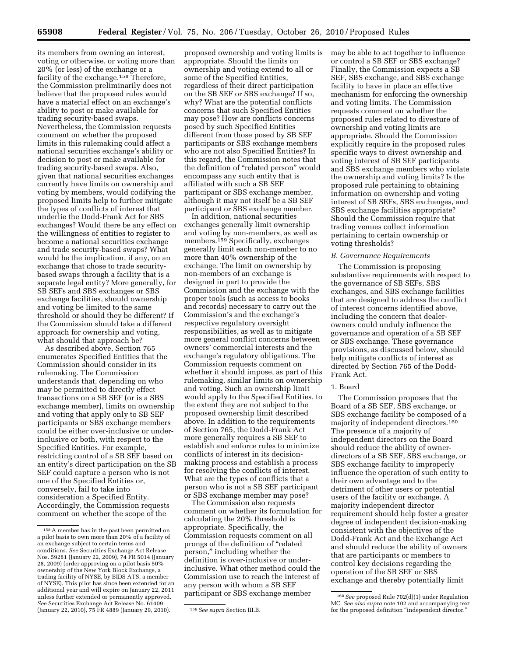its members from owning an interest, voting or otherwise, or voting more than 20% (or less) of the exchange or a facility of the exchange.158 Therefore, the Commission preliminarily does not believe that the proposed rules would have a material effect on an exchange's ability to post or make available for trading security-based swaps. Nevertheless, the Commission requests comment on whether the proposed limits in this rulemaking could affect a national securities exchange's ability or decision to post or make available for trading security-based swaps. Also, given that national securities exchanges currently have limits on ownership and voting by members, would codifying the proposed limits help to further mitigate the types of conflicts of interest that underlie the Dodd-Frank Act for SBS exchanges? Would there be any effect on the willingness of entities to register to become a national securities exchange and trade security-based swaps? What would be the implication, if any, on an exchange that chose to trade securitybased swaps through a facility that is a separate legal entity? More generally, for SB SEFs and SBS exchanges or SBS exchange facilities, should ownership and voting be limited to the same threshold or should they be different? If the Commission should take a different approach for ownership and voting, what should that approach be?

As described above, Section 765 enumerates Specified Entities that the Commission should consider in its rulemaking. The Commission understands that, depending on who may be permitted to directly effect transactions on a SB SEF (or is a SBS exchange member), limits on ownership and voting that apply only to SB SEF participants or SBS exchange members could be either over-inclusive or underinclusive or both, with respect to the Specified Entities. For example, restricting control of a SB SEF based on an entity's direct participation on the SB SEF could capture a person who is not one of the Specified Entities or, conversely, fail to take into consideration a Specified Entity. Accordingly, the Commission requests comment on whether the scope of the

proposed ownership and voting limits is appropriate. Should the limits on ownership and voting extend to all or some of the Specified Entities, regardless of their direct participation on the SB SEF or SBS exchange? If so, why? What are the potential conflicts concerns that such Specified Entities may pose? How are conflicts concerns posed by such Specified Entities different from those posed by SB SEF participants or SBS exchange members who are not also Specified Entities? In this regard, the Commission notes that the definition of ''related person'' would encompass any such entity that is affiliated with such a SB SEF participant or SBS exchange member, although it may not itself be a SB SEF participant or SBS exchange member.

In addition, national securities exchanges generally limit ownership and voting by non-members, as well as members.<sup>159</sup> Specifically, exchanges generally limit each non-member to no more than 40% ownership of the exchange. The limit on ownership by non-members of an exchange is designed in part to provide the Commission and the exchange with the proper tools (such as access to books and records) necessary to carry out the Commission's and the exchange's respective regulatory oversight responsibilities, as well as to mitigate more general conflict concerns between owners' commercial interests and the exchange's regulatory obligations. The Commission requests comment on whether it should impose, as part of this rulemaking, similar limits on ownership and voting. Such an ownership limit would apply to the Specified Entities, to the extent they are not subject to the proposed ownership limit described above. In addition to the requirements of Section 765, the Dodd-Frank Act more generally requires a SB SEF to establish and enforce rules to minimize conflicts of interest in its decisionmaking process and establish a process for resolving the conflicts of interest. What are the types of conflicts that a person who is not a SB SEF participant or SBS exchange member may pose?

The Commission also requests comment on whether its formulation for calculating the 20% threshold is appropriate. Specifically, the Commission requests comment on all prongs of the definition of ''related person,'' including whether the definition is over-inclusive or underinclusive. What other method could the Commission use to reach the interest of any person with whom a SB SEF participant or SBS exchange member

may be able to act together to influence or control a SB SEF or SBS exchange? Finally, the Commission expects a SB SEF, SBS exchange, and SBS exchange facility to have in place an effective mechanism for enforcing the ownership and voting limits. The Commission requests comment on whether the proposed rules related to divesture of ownership and voting limits are appropriate. Should the Commission explicitly require in the proposed rules specific ways to divest ownership and voting interest of SB SEF participants and SBS exchange members who violate the ownership and voting limits? Is the proposed rule pertaining to obtaining information on ownership and voting interest of SB SEFs, SBS exchanges, and SBS exchange facilities appropriate? Should the Commission require that trading venues collect information pertaining to certain ownership or voting thresholds?

#### *B. Governance Requirements*

The Commission is proposing substantive requirements with respect to the governance of SB SEFs, SBS exchanges, and SBS exchange facilities that are designed to address the conflict of interest concerns identified above, including the concern that dealerowners could unduly influence the governance and operation of a SB SEF or SBS exchange. These governance provisions, as discussed below, should help mitigate conflicts of interest as directed by Section 765 of the Dodd-Frank Act.

#### 1. Board

The Commission proposes that the Board of a SB SEF, SBS exchange, or SBS exchange facility be composed of a majority of independent directors.160 The presence of a majority of independent directors on the Board should reduce the ability of ownerdirectors of a SB SEF, SBS exchange, or SBS exchange facility to improperly influence the operation of such entity to their own advantage and to the detriment of other users or potential users of the facility or exchange. A majority independent director requirement should help foster a greater degree of independent decision-making consistent with the objectives of the Dodd-Frank Act and the Exchange Act and should reduce the ability of owners that are participants or members to control key decisions regarding the operation of the SB SEF or SBS exchange and thereby potentially limit

<sup>158</sup>A member has in the past been permitted on a pilot basis to own more than 20% of a facility of an exchange subject to certain terms and conditions. *See* Securities Exchange Act Release Nos. 59281 (January 22, 2009), 74 FR 5014 (January 28, 2009) (order approving on a pilot basis 50% ownership of the New York Block Exchange, a trading facility of NYSE, by BIDS ATS, a member of NYSE). This pilot has since been extended for an additional year and will expire on January 22, 2011 unless further extended or permanently approved. *See* Securities Exchange Act Release No. 61409 (January 22, 2010), 75 FR 4889 (January 29, 2010). 159*See supra* Section III.B.

<sup>160</sup>*See* proposed Rule 702(d)(1) under Regulation MC. *See also supra* note 102 and accompanying text for the proposed definition ''independent director.''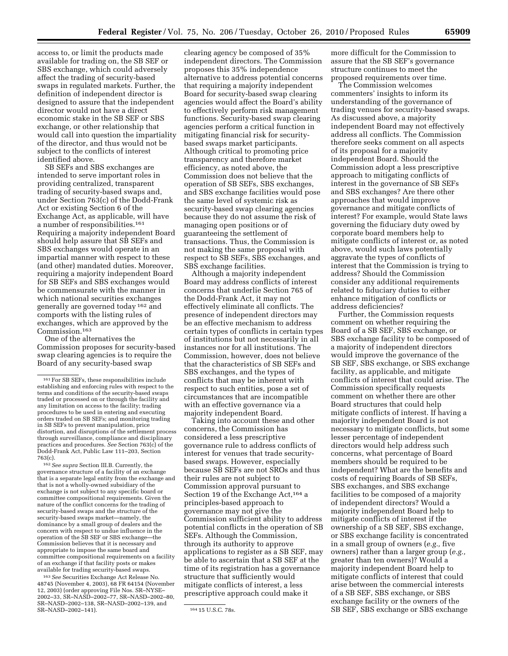access to, or limit the products made available for trading on, the SB SEF or SBS exchange, which could adversely affect the trading of security-based swaps in regulated markets. Further, the definition of independent director is designed to assure that the independent director would not have a direct economic stake in the SB SEF or SBS exchange, or other relationship that would call into question the impartiality of the director, and thus would not be subject to the conflicts of interest identified above.

SB SEFs and SBS exchanges are intended to serve important roles in providing centralized, transparent trading of security-based swaps and, under Section 763(c) of the Dodd-Frank Act or existing Section 6 of the Exchange Act, as applicable, will have a number of responsibilities.161 Requiring a majority independent Board should help assure that SB SEFs and SBS exchanges would operate in an impartial manner with respect to these (and other) mandated duties. Moreover, requiring a majority independent Board for SB SEFs and SBS exchanges would be commensurate with the manner in which national securities exchanges generally are governed today 162 and comports with the listing rules of exchanges, which are approved by the Commission.163

One of the alternatives the Commission proposes for security-based swap clearing agencies is to require the Board of any security-based swap

162*See supra* Section III.B. Currently, the governance structure of a facility of an exchange that is a separate legal entity from the exchange and that is not a wholly-owned subsidiary of the exchange is not subject to any specific board or committee compositional requirements. Given the nature of the conflict concerns for the trading of security-based swaps and the structure of the security-based swaps market—namely, the dominance by a small group of dealers and the concern with respect to undue influence in the operation of the SB SEF or SBS exchange—the Commission believes that it is necessary and appropriate to impose the same board and committee compositional requirements on a facility of an exchange if that facility posts or makes available for trading security-based swaps.

163*See* Securities Exchange Act Release No. 48745 (November 4, 2003), 68 FR 64154 (November 12, 2003) (order approving File Nos. SR–NYSE– 2002–33, SR–NASD–2002–77, SR–NASD–2002–80, SR–NASD–2002–138, SR–NASD–2002–139, and SR-NASD-2002-141). 164 15 U.S.C. 78s.

clearing agency be composed of 35% independent directors. The Commission proposes this 35% independence alternative to address potential concerns that requiring a majority independent Board for security-based swap clearing agencies would affect the Board's ability to effectively perform risk management functions. Security-based swap clearing agencies perform a critical function in mitigating financial risk for securitybased swaps market participants. Although critical to promoting price transparency and therefore market efficiency, as noted above, the Commission does not believe that the operation of SB SEFs, SBS exchanges, and SBS exchange facilities would pose the same level of systemic risk as security-based swap clearing agencies because they do not assume the risk of managing open positions or of guaranteeing the settlement of transactions. Thus, the Commission is not making the same proposal with respect to SB SEFs, SBS exchanges, and SBS exchange facilities.

Although a majority independent Board may address conflicts of interest concerns that underlie Section 765 of the Dodd-Frank Act, it may not effectively eliminate all conflicts. The presence of independent directors may be an effective mechanism to address certain types of conflicts in certain types of institutions but not necessarily in all instances nor for all institutions. The Commission, however, does not believe that the characteristics of SB SEFs and SBS exchanges, and the types of conflicts that may be inherent with respect to such entities, pose a set of circumstances that are incompatible with an effective governance via a majority independent Board.

Taking into account these and other concerns, the Commission has considered a less prescriptive governance rule to address conflicts of interest for venues that trade securitybased swaps. However, especially because SB SEFs are not SROs and thus their rules are not subject to Commission approval pursuant to Section 19 of the Exchange Act,  $164$  a principles-based approach to governance may not give the Commission sufficient ability to address potential conflicts in the operation of SB SEFs. Although the Commission, through its authority to approve applications to register as a SB SEF, may be able to ascertain that a SB SEF at the time of its registration has a governance structure that sufficiently would mitigate conflicts of interest, a less prescriptive approach could make it

more difficult for the Commission to assure that the SB SEF's governance structure continues to meet the proposed requirements over time.

The Commission welcomes commenters' insights to inform its understanding of the governance of trading venues for security-based swaps. As discussed above, a majority independent Board may not effectively address all conflicts. The Commission therefore seeks comment on all aspects of its proposal for a majority independent Board. Should the Commission adopt a less prescriptive approach to mitigating conflicts of interest in the governance of SB SEFs and SBS exchanges? Are there other approaches that would improve governance and mitigate conflicts of interest? For example, would State laws governing the fiduciary duty owed by corporate board members help to mitigate conflicts of interest or, as noted above, would such laws potentially aggravate the types of conflicts of interest that the Commission is trying to address? Should the Commission consider any additional requirements related to fiduciary duties to either enhance mitigation of conflicts or address deficiencies?

Further, the Commission requests comment on whether requiring the Board of a SB SEF, SBS exchange, or SBS exchange facility to be composed of a majority of independent directors would improve the governance of the SB SEF, SBS exchange, or SBS exchange facility, as applicable, and mitigate conflicts of interest that could arise. The Commission specifically requests comment on whether there are other Board structures that could help mitigate conflicts of interest. If having a majority independent Board is not necessary to mitigate conflicts, but some lesser percentage of independent directors would help address such concerns, what percentage of Board members should be required to be independent? What are the benefits and costs of requiring Boards of SB SEFs, SBS exchanges, and SBS exchange facilities to be composed of a majority of independent directors? Would a majority independent Board help to mitigate conflicts of interest if the ownership of a SB SEF, SBS exchange, or SBS exchange facility is concentrated in a small group of owners (*e.g.,* five owners) rather than a larger group (*e.g.,*  greater than ten owners)? Would a majority independent Board help to mitigate conflicts of interest that could arise between the commercial interests of a SB SEF, SBS exchange, or SBS exchange facility or the owners of the SB SEF, SBS exchange or SBS exchange

<sup>161</sup>For SB SEFs, these responsibilities include establishing and enforcing rules with respect to the terms and conditions of the security-based swaps traded or processed on or through the facility and any limitation on access to the facility; trading procedures to be used in entering and executing orders traded on SB SEFs; and monitoring trading in SB SEFs to prevent manipulation, price distortion, and disruptions of the settlement process through surveillance, compliance and disciplinary practices and procedures. *See* Section 763(c) of the Dodd-Frank Act, Public Law 111–203, Section 763(c).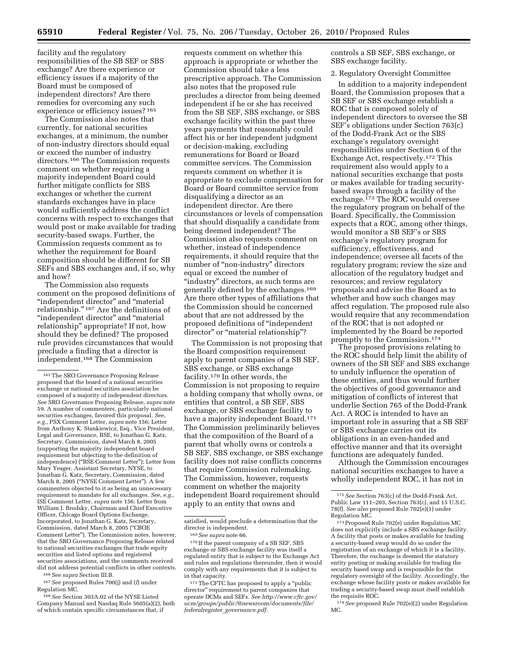facility and the regulatory responsibilities of the SB SEF or SBS exchange? Are there experience or efficiency issues if a majority of the Board must be composed of independent directors? Are there remedies for overcoming any such experience or efficiency issues? 165

The Commission also notes that currently, for national securities exchanges, at a minimum, the number of non-industry directors should equal or exceed the number of industry directors.166 The Commission requests comment on whether requiring a majority independent Board could further mitigate conflicts for SBS exchanges or whether the current standards exchanges have in place would sufficiently address the conflict concerns with respect to exchanges that would post or make available for trading security-based swaps. Further, the Commission requests comment as to whether the requirement for Board composition should be different for SB SEFs and SBS exchanges and, if so, why and how?

The Commission also requests comment on the proposed definitions of ''independent director'' and ''material relationship.'' 167 Are the definitions of "independent director" and "material relationship'' appropriate? If not, how should they be defined? The proposed rule provides circumstances that would preclude a finding that a director is independent.168 The Commission

166*See supra* Section III.B.

167*See* proposed Rules 700(j) and (*l*) under Regulation MC.

168*See* Section 303A.02 of the NYSE Listed Company Manual and Nasdaq Rule 5605(a)(2), both of which contain specific circumstances that, if

requests comment on whether this approach is appropriate or whether the Commission should take a less prescriptive approach. The Commission also notes that the proposed rule precludes a director from being deemed independent if he or she has received from the SB SEF, SBS exchange, or SBS exchange facility within the past three years payments that reasonably could affect his or her independent judgment or decision-making, excluding remunerations for Board or Board committee services. The Commission requests comment on whether it is appropriate to exclude compensation for Board or Board committee service from disqualifying a director as an independent director. Are there circumstances or levels of compensation that should disqualify a candidate from being deemed independent? The Commission also requests comment on whether, instead of independence requirements, it should require that the number of ''non-industry'' directors equal or exceed the number of "industry" directors, as such terms are generally defined by the exchanges.169 Are there other types of affiliations that the Commission should be concerned about that are not addressed by the proposed definitions of ''independent director'' or ''material relationship''?

The Commission is not proposing that the Board composition requirement apply to parent companies of a SB SEF, SBS exchange, or SBS exchange facility.170 In other words, the Commission is not proposing to require a holding company that wholly owns, or entities that control, a SB SEF, SBS exchange, or SBS exchange facility to have a majority independent Board.<sup>171</sup> The Commission preliminarily believes that the composition of the Board of a parent that wholly owns or controls a SB SEF, SBS exchange, or SBS exchange facility does not raise conflicts concerns that require Commission rulemaking. The Commission, however, requests comment on whether the majority independent Board requirement should apply to an entity that owns and

controls a SB SEF, SBS exchange, or SBS exchange facility.

#### 2. Regulatory Oversight Committee

In addition to a majority independent Board, the Commission proposes that a SB SEF or SBS exchange establish a ROC that is composed solely of independent directors to oversee the SB SEF's obligations under Section 763(c) of the Dodd-Frank Act or the SBS exchange's regulatory oversight responsibilities under Section 6 of the Exchange Act, respectively.172 This requirement also would apply to a national securities exchange that posts or makes available for trading securitybased swaps through a facility of the exchange.<sup>173</sup> The ROC would oversee the regulatory program on behalf of the Board. Specifically, the Commission expects that a ROC, among other things, would monitor a SB SEF's or SBS exchange's regulatory program for sufficiency, effectiveness, and independence; oversee all facets of the regulatory program; review the size and allocation of the regulatory budget and resources; and review regulatory proposals and advise the Board as to whether and how such changes may affect regulation. The proposed rule also would require that any recommendation of the ROC that is not adopted or implemented by the Board be reported promptly to the Commission.174

The proposed provisions relating to the ROC should help limit the ability of owners of the SB SEF and SBS exchange to unduly influence the operation of these entities, and thus would further the objectives of good governance and mitigation of conflicts of interest that underlie Section 765 of the Dodd-Frank Act. A ROC is intended to have an important role in assuring that a SB SEF or SBS exchange carries out its obligations in an even-handed and effective manner and that its oversight functions are adequately funded.

Although the Commission encourages national securities exchanges to have a wholly independent ROC, it has not in

174*See* proposed Rule 702(e)(2) under Regulation MC.

<sup>165</sup>The SRO Governance Proposing Release proposed that the board of a national securities exchange or national securities association be composed of a majority of independent directors. *See* SRO Governance Proposing Release, *supra* note 59. A number of commenters, particularly national securities exchanges, favored this proposal. *See, e.g.,* PSX Comment Letter, *supra* note 156; Letter from Anthony K. Stankiewicz, Esq., Vice President, Legal and Governance, BSE, to Jonathan G. Katz, Secretary, Commission, dated March 8, 2005 (supporting the majority independent board requirement but objecting to the definition of independence) (''BSE Comment Letter''); Letter from Mary Yeager, Assistant Secretary, NYSE, to Jonathan G. Katz, Secretary, Commission, dated March 8, 2005 (''NYSE Comment Letter''). A few commenters objected to it as being an unnecessary requirement to mandate for all exchanges. *See, e.g.,*  ISE Comment Letter, *supra* note 156; Letter from William J. Brodsky, Chairman and Chief Executive Officer, Chicago Board Options Exchange, Incorporated, to Jonathan G. Katz, Secretary, Commission, dated March 8, 2005 (''CBOE Comment Letter''). The Commission notes, however, that the SRO Governance Proposing Release related to national securities exchanges that trade equity securities and listed options and registered securities associations, and the comments received did not address potential conflicts in other contexts.

satisfied, would preclude a determination that the director is independent.

<sup>169</sup>*See supra* note 66.

<sup>170</sup> If the parent company of a SB SEF, SBS exchange or SBS exchange facility was itself a regulated entity that is subject to the Exchange Act and rules and regulations thereunder, then it would comply with any requirements that it is subject to in that capacity.

<sup>&</sup>lt;sup>171</sup>The CFTC has proposed to apply a "public director'' requirement to parent companies that operate DCMs and SEFs. *See [http://www.cftc.gov/](http://www.cftc.gov/ucm/groups/public/@newsroom/documents/file/federalregister_governance.pdf)  [ucm/groups/public/@newsroom/documents/file/](http://www.cftc.gov/ucm/groups/public/@newsroom/documents/file/federalregister_governance.pdf)  federalregister*\_*governance.pdf.* 

<sup>172</sup>*See* Section 763(c) of the Dodd-Frank Act, Public Law 111–203, Section 763(c), and 15 U.S.C. 78(f). *See also* proposed Rule 702(e)(1) under Regulation MC.

<sup>173</sup>Proposed Rule 702(e) under Regulation MC does not explicitly include a SBS exchange facility. A facility that posts or makes available for trading a security-based swap would do so under the registration of an exchange of which it is a facility. Therefore, the exchange is deemed the statutory entity posting or making available for trading the security based swap and is responsible for the regulatory oversight of the facility. Accordingly, the exchange whose facility posts or makes available for trading a security-based swap must itself establish the requisite ROC.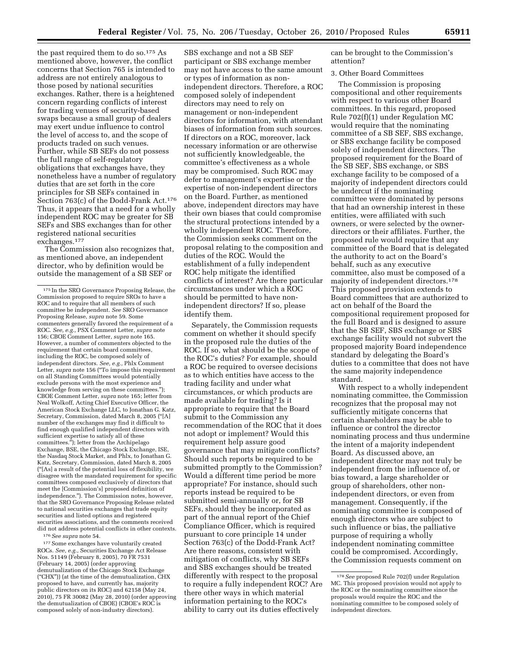the past required them to do so.<sup>175</sup> As mentioned above, however, the conflict concerns that Section 765 is intended to address are not entirely analogous to those posed by national securities exchanges. Rather, there is a heightened concern regarding conflicts of interest for trading venues of security-based swaps because a small group of dealers may exert undue influence to control the level of access to, and the scope of products traded on such venues. Further, while SB SEFs do not possess the full range of self-regulatory obligations that exchanges have, they nonetheless have a number of regulatory duties that are set forth in the core principles for SB SEFs contained in Section 763(c) of the Dodd-Frank Act.176 Thus, it appears that a need for a wholly independent ROC may be greater for SB SEFs and SBS exchanges than for other registered national securities exchanges.177

The Commission also recognizes that, as mentioned above, an independent director, who by definition would be outside the management of a SB SEF or

176*See supra* note 54.

177 Some exchanges have voluntarily created ROCs. *See, e.g.,* Securities Exchange Act Release Nos. 51149 (February 8, 2005), 70 FR 7531 (February 14, 2005) (order approving demutualization of the Chicago Stock Exchange (''CHX'')) (at the time of the demutualization, CHX proposed to have, and currently has, majority public directors on its ROC) and 62158 (May 24, 2010), 75 FR 30082 (May 28, 2010) (order approving the demutualization of CBOE) (CBOE's ROC is composed solely of non-industry directors).

SBS exchange and not a SB SEF participant or SBS exchange member may not have access to the same amount or types of information as nonindependent directors. Therefore, a ROC composed solely of independent directors may need to rely on management or non-independent directors for information, with attendant biases of information from such sources. If directors on a ROC, moreover, lack necessary information or are otherwise not sufficiently knowledgeable, the committee's effectiveness as a whole may be compromised. Such ROC may defer to management's expertise or the expertise of non-independent directors on the Board. Further, as mentioned above, independent directors may have their own biases that could compromise the structural protections intended by a wholly independent ROC. Therefore, the Commission seeks comment on the proposal relating to the composition and duties of the ROC. Would the establishment of a fully independent ROC help mitigate the identified conflicts of interest? Are there particular circumstances under which a ROC should be permitted to have nonindependent directors? If so, please identify them.

Separately, the Commission requests comment on whether it should specify in the proposed rule the duties of the ROC. If so, what should be the scope of the ROC's duties? For example, should a ROC be required to oversee decisions as to which entities have access to the trading facility and under what circumstances, or which products are made available for trading? Is it appropriate to require that the Board submit to the Commission any recommendation of the ROC that it does not adopt or implement? Would this requirement help assure good governance that may mitigate conflicts? Should such reports be required to be submitted promptly to the Commission? Would a different time period be more appropriate? For instance, should such reports instead be required to be submitted semi-annually or, for SB SEFs, should they be incorporated as part of the annual report of the Chief Compliance Officer, which is required pursuant to core principle 14 under Section 763(c) of the Dodd-Frank Act? Are there reasons, consistent with mitigation of conflicts, why SB SEFs and SBS exchanges should be treated differently with respect to the proposal to require a fully independent ROC? Are there other ways in which material information pertaining to the ROC's ability to carry out its duties effectively

can be brought to the Commission's attention?

#### 3. Other Board Committees

The Commission is proposing compositional and other requirements with respect to various other Board committees. In this regard, proposed Rule 702(f)(1) under Regulation MC would require that the nominating committee of a SB SEF, SBS exchange, or SBS exchange facility be composed solely of independent directors. The proposed requirement for the Board of the SB SEF, SBS exchange, or SBS exchange facility to be composed of a majority of independent directors could be undercut if the nominating committee were dominated by persons that had an ownership interest in these entities, were affiliated with such owners, or were selected by the ownerdirectors or their affiliates. Further, the proposed rule would require that any committee of the Board that is delegated the authority to act on the Board's behalf, such as any executive committee, also must be composed of a majority of independent directors.178 This proposed provision extends to Board committees that are authorized to act on behalf of the Board the compositional requirement proposed for the full Board and is designed to assure that the SB SEF, SBS exchange or SBS exchange facility would not subvert the proposed majority Board independence standard by delegating the Board's duties to a committee that does not have the same majority independence standard.

With respect to a wholly independent nominating committee, the Commission recognizes that the proposal may not sufficiently mitigate concerns that certain shareholders may be able to influence or control the director nominating process and thus undermine the intent of a majority independent Board. As discussed above, an independent director may not truly be independent from the influence of, or bias toward, a large shareholder or group of shareholders, other nonindependent directors, or even from management. Consequently, if the nominating committee is composed of enough directors who are subject to such influence or bias, the palliative purpose of requiring a wholly independent nominating committee could be compromised. Accordingly, the Commission requests comment on

<sup>175</sup> In the SRO Governance Proposing Release, the Commission proposed to require SROs to have a ROC and to require that all members of such committee be independent. *See* SRO Governance Proposing Release, *supra* note 59. Some commenters generally favored the requirement of a ROC. *See, e.g.,* PSX Comment Letter, *supra* note 156; CBOE Comment Letter, *supra* note 165. However, a number of commenters objected to the requirement that certain board committees, including the ROC, be composed solely of independent directors. *See, e.g.,* Phlx Comment Letter, *supra* note 156 ("To impose this requirement on all Standing Committees would potentially exclude persons with the most experience and knowledge from serving on these committees.''); CBOE Comment Letter, *supra* note 165; letter from Neal Wolkoff, Acting Chief Executive Officer, the American Stock Exchange LLC, to Jonathan G. Katz, Secretary, Commission, dated March 8, 2005 (''[A] number of the exchanges may find it difficult to find enough qualified independent directors with sufficient expertise to satisfy all of these committees.''); letter from the Archipelago Exchange, BSE, the Chicago Stock Exchange, ISE, the Nasdaq Stock Market, and Phlx, to Jonathan G. Katz, Secretary, Commission, dated March 8, 2005 (''[As] a result of the potential loss of flexibility, we disagree with the mandated requirement for specific committees composed exclusively of directors that meet the [Commission's] proposed definition of independence.''). The Commission notes, however, that the SRO Governance Proposing Release related to national securities exchanges that trade equity securities and listed options and registered securities associations, and the comments received did not address potential conflicts in other contexts.

<sup>178</sup>*See* proposed Rule 702(f) under Regulation MC. This proposed provision would not apply to the ROC or the nominating committee since the proposals would require the ROC and the nominating committee to be composed solely of independent directors.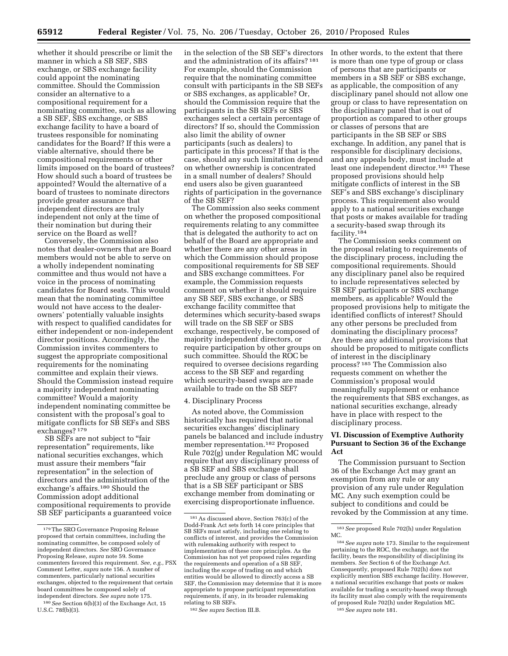whether it should prescribe or limit the manner in which a SB SEF, SBS exchange, or SBS exchange facility could appoint the nominating committee. Should the Commission consider an alternative to a compositional requirement for a nominating committee, such as allowing a SB SEF, SBS exchange, or SBS exchange facility to have a board of trustees responsible for nominating candidates for the Board? If this were a viable alternative, should there be compositional requirements or other limits imposed on the board of trustees? How should such a board of trustees be appointed? Would the alternative of a board of trustees to nominate directors provide greater assurance that independent directors are truly independent not only at the time of their nomination but during their service on the Board as well?

Conversely, the Commission also notes that dealer-owners that are Board members would not be able to serve on a wholly independent nominating committee and thus would not have a voice in the process of nominating candidates for Board seats. This would mean that the nominating committee would not have access to the dealerowners' potentially valuable insights with respect to qualified candidates for either independent or non-independent director positions. Accordingly, the Commission invites commenters to suggest the appropriate compositional requirements for the nominating committee and explain their views. Should the Commission instead require a majority independent nominating committee? Would a majority independent nominating committee be consistent with the proposal's goal to mitigate conflicts for SB SEFs and SBS exchanges? 179

SB SEFs are not subject to "fair" representation'' requirements, like national securities exchanges, which must assure their members ''fair representation'' in the selection of directors and the administration of the exchange's affairs.180 Should the Commission adopt additional compositional requirements to provide SB SEF participants a guaranteed voice

in the selection of the SB SEF's directors and the administration of its affairs? 181 For example, should the Commission require that the nominating committee consult with participants in the SB SEFs or SBS exchanges, as applicable? Or, should the Commission require that the participants in the SB SEFs or SBS exchanges select a certain percentage of directors? If so, should the Commission also limit the ability of owner participants (such as dealers) to participate in this process? If that is the case, should any such limitation depend on whether ownership is concentrated in a small number of dealers? Should end users also be given guaranteed rights of participation in the governance of the SB SEF?

The Commission also seeks comment on whether the proposed compositional requirements relating to any committee that is delegated the authority to act on behalf of the Board are appropriate and whether there are any other areas in which the Commission should propose compositional requirements for SB SEF and SBS exchange committees. For example, the Commission requests comment on whether it should require any SB SEF, SBS exchange, or SBS exchange facility committee that determines which security-based swaps will trade on the SB SEF or SBS exchange, respectively, be composed of majority independent directors, or require participation by other groups on such committee. Should the ROC be required to oversee decisions regarding access to the SB SEF and regarding which security-based swaps are made available to trade on the SB SEF?

#### 4. Disciplinary Process

As noted above, the Commission historically has required that national securities exchanges' disciplinary panels be balanced and include industry member representation.182 Proposed Rule 702(g) under Regulation MC would require that any disciplinary process of a SB SEF and SBS exchange shall preclude any group or class of persons that is a SB SEF participant or SBS exchange member from dominating or exercising disproportionate influence.

In other words, to the extent that there is more than one type of group or class of persons that are participants or members in a SB SEF or SBS exchange, as applicable, the composition of any disciplinary panel should not allow one group or class to have representation on the disciplinary panel that is out of proportion as compared to other groups or classes of persons that are participants in the SB SEF or SBS exchange. In addition, any panel that is responsible for disciplinary decisions, and any appeals body, must include at least one independent director.183 These proposed provisions should help mitigate conflicts of interest in the SB SEF's and SBS exchange's disciplinary process. This requirement also would apply to a national securities exchange that posts or makes available for trading a security-based swap through its facility.184

The Commission seeks comment on the proposal relating to requirements of the disciplinary process, including the compositional requirements. Should any disciplinary panel also be required to include representatives selected by SB SEF participants or SBS exchange members, as applicable? Would the proposed provisions help to mitigate the identified conflicts of interest? Should any other persons be precluded from dominating the disciplinary process? Are there any additional provisions that should be proposed to mitigate conflicts of interest in the disciplinary process? 185 The Commission also requests comment on whether the Commission's proposal would meaningfully supplement or enhance the requirements that SBS exchanges, as national securities exchange, already have in place with respect to the disciplinary process.

#### **VI. Discussion of Exemptive Authority Pursuant to Section 36 of the Exchange Act**

The Commission pursuant to Section 36 of the Exchange Act may grant an exemption from any rule or any provision of any rule under Regulation MC. Any such exemption could be subject to conditions and could be revoked by the Commission at any time.

<sup>179</sup>The SRO Governance Proposing Release proposed that certain committees, including the nominating committee, be composed solely of independent directors. *See* SRO Governance Proposing Release, *supra* note 59. Some commenters favored this requirement. *See, e.g.,* PSX Comment Letter, *supra* note 156. A number of commenters, particularly national securities exchanges, objected to the requirement that certain board committees be composed solely of independent directors. *See supra* note 175.

<sup>180</sup>*See* Section 6(b)(3) of the Exchange Act, 15 U.S.C. 78f(b)(3).

<sup>181</sup>As discussed above, Section 763(c) of the Dodd-Frank Act sets forth 14 core principles that SB SEFs must satisfy, including one relating to conflicts of interest, and provides the Commission with rulemaking authority with respect to implementation of these core principles. As the Commission has not yet proposed rules regarding the requirements and operation of a SB SE including the scope of trading on and which entities would be allowed to directly access a SB SEF, the Commission may determine that it is more appropriate to propose participant representation requirements, if any, in its broader rulemaking relating to SB SEFs.

<sup>182</sup>*See supra* Section III.B.

<sup>183</sup>*See* proposed Rule 702(h) under Regulation MC.

<sup>184</sup>*See supra* note 173. Similar to the requirement pertaining to the ROC, the exchange, not the facility, bears the responsibility of disciplining its members. *See* Section 6 of the Exchange Act. Consequently, proposed Rule 702(h) does not explicitly mention SBS exchange facility. However, a national securities exchange that posts or makes available for trading a security-based swap through its facility must also comply with the requirements of proposed Rule 702(h) under Regulation MC.

<sup>185</sup>*See supra* note 181.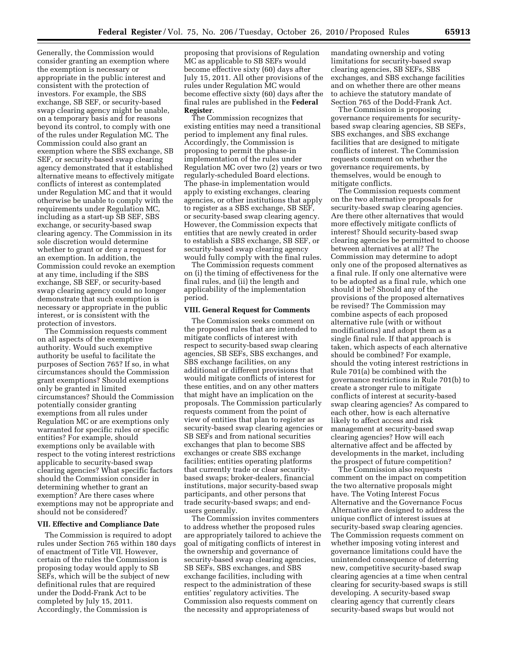Generally, the Commission would consider granting an exemption where the exemption is necessary or appropriate in the public interest and consistent with the protection of investors. For example, the SBS exchange, SB SEF, or security-based swap clearing agency might be unable, on a temporary basis and for reasons beyond its control, to comply with one of the rules under Regulation MC. The Commission could also grant an exemption where the SBS exchange, SB SEF, or security-based swap clearing agency demonstrated that it established alternative means to effectively mitigate conflicts of interest as contemplated under Regulation MC and that it would otherwise be unable to comply with the requirements under Regulation MC, including as a start-up SB SEF, SBS exchange, or security-based swap clearing agency. The Commission in its sole discretion would determine whether to grant or deny a request for an exemption. In addition, the Commission could revoke an exemption at any time, including if the SBS exchange, SB SEF, or security-based swap clearing agency could no longer demonstrate that such exemption is necessary or appropriate in the public interest, or is consistent with the protection of investors.

The Commission requests comment on all aspects of the exemptive authority. Would such exemptive authority be useful to facilitate the purposes of Section 765? If so, in what circumstances should the Commission grant exemptions? Should exemptions only be granted in limited circumstances? Should the Commission potentially consider granting exemptions from all rules under Regulation MC or are exemptions only warranted for specific rules or specific entities? For example, should exemptions only be available with respect to the voting interest restrictions applicable to security-based swap clearing agencies? What specific factors should the Commission consider in determining whether to grant an exemption? Are there cases where exemptions may not be appropriate and should not be considered?

#### **VII. Effective and Compliance Date**

The Commission is required to adopt rules under Section 765 within 180 days of enactment of Title VII. However, certain of the rules the Commission is proposing today would apply to SB SEFs, which will be the subject of new definitional rules that are required under the Dodd-Frank Act to be completed by July 15, 2011. Accordingly, the Commission is

proposing that provisions of Regulation MC as applicable to SB SEFs would become effective sixty (60) days after July 15, 2011. All other provisions of the rules under Regulation MC would become effective sixty (60) days after the final rules are published in the **Federal Register**.

The Commission recognizes that existing entities may need a transitional period to implement any final rules. Accordingly, the Commission is proposing to permit the phase-in implementation of the rules under Regulation MC over two (2) years or two regularly-scheduled Board elections. The phase-in implementation would apply to existing exchanges, clearing agencies, or other institutions that apply to register as a SBS exchange, SB SEF, or security-based swap clearing agency. However, the Commission expects that entities that are newly created in order to establish a SBS exchange, SB SEF, or security-based swap clearing agency would fully comply with the final rules.

The Commission requests comment on (i) the timing of effectiveness for the final rules, and (ii) the length and applicability of the implementation period.

#### **VIII. General Request for Comments**

The Commission seeks comment on the proposed rules that are intended to mitigate conflicts of interest with respect to security-based swap clearing agencies, SB SEFs, SBS exchanges, and SBS exchange facilities, on any additional or different provisions that would mitigate conflicts of interest for these entities, and on any other matters that might have an implication on the proposals. The Commission particularly requests comment from the point of view of entities that plan to register as security-based swap clearing agencies or SB SEFs and from national securities exchanges that plan to become SBS exchanges or create SBS exchange facilities; entities operating platforms that currently trade or clear securitybased swaps; broker-dealers, financial institutions, major security-based swap participants, and other persons that trade security-based swaps; and endusers generally.

The Commission invites commenters to address whether the proposed rules are appropriately tailored to achieve the goal of mitigating conflicts of interest in the ownership and governance of security-based swap clearing agencies, SB SEFs, SBS exchanges, and SBS exchange facilities, including with respect to the administration of these entities' regulatory activities. The Commission also requests comment on the necessity and appropriateness of

mandating ownership and voting limitations for security-based swap clearing agencies, SB SEFs, SBS exchanges, and SBS exchange facilities and on whether there are other means to achieve the statutory mandate of Section 765 of the Dodd-Frank Act.

The Commission is proposing governance requirements for securitybased swap clearing agencies, SB SEFs, SBS exchanges, and SBS exchange facilities that are designed to mitigate conflicts of interest. The Commission requests comment on whether the governance requirements, by themselves, would be enough to mitigate conflicts.

The Commission requests comment on the two alternative proposals for security-based swap clearing agencies. Are there other alternatives that would more effectively mitigate conflicts of interest? Should security-based swap clearing agencies be permitted to choose between alternatives at all? The Commission may determine to adopt only one of the proposed alternatives as a final rule. If only one alternative were to be adopted as a final rule, which one should it be? Should any of the provisions of the proposed alternatives be revised? The Commission may combine aspects of each proposed alternative rule (with or without modifications) and adopt them as a single final rule. If that approach is taken, which aspects of each alternative should be combined? For example, should the voting interest restrictions in Rule 701(a) be combined with the governance restrictions in Rule 701(b) to create a stronger rule to mitigate conflicts of interest at security-based swap clearing agencies? As compared to each other, how is each alternative likely to affect access and risk management at security-based swap clearing agencies? How will each alternative affect and be affected by developments in the market, including the prospect of future competition?

The Commission also requests comment on the impact on competition the two alternative proposals might have. The Voting Interest Focus Alternative and the Governance Focus Alternative are designed to address the unique conflict of interest issues at security-based swap clearing agencies. The Commission requests comment on whether imposing voting interest and governance limitations could have the unintended consequence of deterring new, competitive security-based swap clearing agencies at a time when central clearing for security-based swaps is still developing. A security-based swap clearing agency that currently clears security-based swaps but would not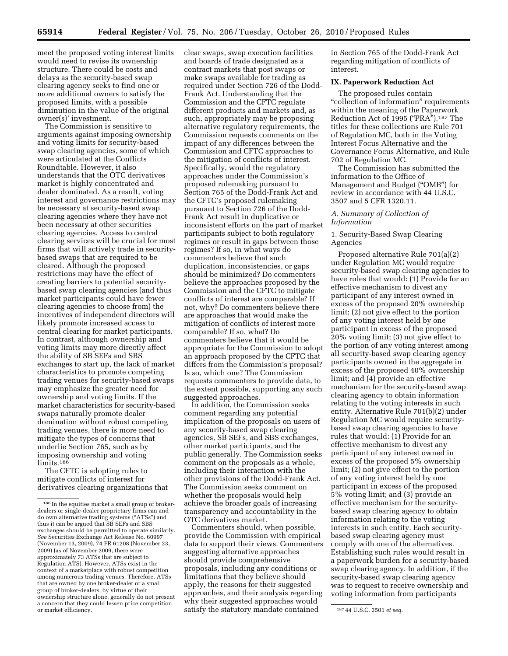meet the proposed voting interest limits would need to revise its ownership structure. There could be costs and delays as the security-based swap clearing agency seeks to find one or more additional owners to satisfy the proposed limits, with a possible diminution in the value of the original

owner(s)' investment. The Commission is sensitive to arguments against imposing ownership and voting limits for security-based swap clearing agencies, some of which were articulated at the Conflicts Roundtable. However, it also understands that the OTC derivatives market is highly concentrated and dealer dominated. As a result, voting interest and governance restrictions may be necessary at security-based swap clearing agencies where they have not been necessary at other securities clearing agencies. Access to central clearing services will be crucial for most firms that will actively trade in securitybased swaps that are required to be cleared. Although the proposed restrictions may have the effect of creating barriers to potential securitybased swap clearing agencies (and thus market participants could have fewer clearing agencies to choose from) the incentives of independent directors will likely promote increased access to central clearing for market participants. In contrast, although ownership and voting limits may more directly affect the ability of SB SEFs and SBS exchanges to start up, the lack of market characteristics to promote competing trading venues for security-based swaps may emphasize the greater need for ownership and voting limits. If the market characteristics for security-based swaps naturally promote dealer domination without robust competing trading venues, there is more need to mitigate the types of concerns that underlie Section 765, such as by imposing ownership and voting limits.<sup>186</sup>

The CFTC is adopting rules to mitigate conflicts of interest for derivatives clearing organizations that clear swaps, swap execution facilities and boards of trade designated as a contract markets that post swaps or make swaps available for trading as required under Section 726 of the Dodd-Frank Act. Understanding that the Commission and the CFTC regulate different products and markets and, as such, appropriately may be proposing alternative regulatory requirements, the Commission requests comments on the impact of any differences between the Commission and CFTC approaches to the mitigation of conflicts of interest. Specifically, would the regulatory approaches under the Commission's proposed rulemaking pursuant to Section 765 of the Dodd-Frank Act and the CFTC's proposed rulemaking pursuant to Section 726 of the Dodd-Frank Act result in duplicative or inconsistent efforts on the part of market participants subject to both regulatory regimes or result in gaps between those regimes? If so, in what ways do commenters believe that such duplication, inconsistencies, or gaps should be minimized? Do commenters believe the approaches proposed by the Commission and the CFTC to mitigate conflicts of interest are comparable? If not, why? Do commenters believe there are approaches that would make the mitigation of conflicts of interest more comparable? If so, what? Do commenters believe that it would be appropriate for the Commission to adopt an approach proposed by the CFTC that differs from the Commission's proposal? Is so, which one? The Commission requests commenters to provide data, to the extent possible, supporting any such suggested approaches.

In addition, the Commission seeks comment regarding any potential implication of the proposals on users of any security-based swap clearing agencies, SB SEFs, and SBS exchanges, other market participants, and the public generally. The Commission seeks comment on the proposals as a whole, including their interaction with the other provisions of the Dodd-Frank Act. The Commission seeks comment on whether the proposals would help achieve the broader goals of increasing transparency and accountability in the OTC derivatives market.

or market efficiency. **187 44 U.S.C.** 3501 *et seq.* **187 44 U.S.C.** 3501 *et seq.* Commenters should, when possible, provide the Commission with empirical data to support their views. Commenters suggesting alternative approaches should provide comprehensive proposals, including any conditions or limitations that they believe should apply, the reasons for their suggested approaches, and their analysis regarding why their suggested approaches would

in Section 765 of the Dodd-Frank Act regarding mitigation of conflicts of interest.

#### **IX. Paperwork Reduction Act**

The proposed rules contain ''collection of information'' requirements within the meaning of the Paperwork Reduction Act of 1995 ("PRA").<sup>187</sup> The titles for these collections are Rule 701 of Regulation MC, both in the Voting Interest Focus Alternative and the Governance Focus Alternative, and Rule 702 of Regulation MC.

The Commission has submitted the information to the Office of Management and Budget (''OMB'') for review in accordance with 44 U.S.C. 3507 and 5 CFR 1320.11.

#### *A. Summary of Collection of Information*

#### 1. Security-Based Swap Clearing Agencies

Proposed alternative Rule 701(a)(2) under Regulation MC would require security-based swap clearing agencies to have rules that would: (1) Provide for an effective mechanism to divest any participant of any interest owned in excess of the proposed 20% ownership limit; (2) not give effect to the portion of any voting interest held by one participant in excess of the proposed 20% voting limit; (3) not give effect to the portion of any voting interest among all security-based swap clearing agency participants owned in the aggregate in excess of the proposed 40% ownership limit; and (4) provide an effective mechanism for the security-based swap clearing agency to obtain information relating to the voting interests in such entity. Alternative Rule 701(b)(2) under Regulation MC would require securitybased swap clearing agencies to have rules that would: (1) Provide for an effective mechanism to divest any participant of any interest owned in excess of the proposed 5% ownership limit; (2) not give effect to the portion of any voting interest held by one participant in excess of the proposed 5% voting limit; and (3) provide an effective mechanism for the securitybased swap clearing agency to obtain information relating to the voting interests in such entity. Each securitybased swap clearing agency must comply with one of the alternatives. Establishing such rules would result in a paperwork burden for a security-based swap clearing agency. In addition, if the security-based swap clearing agency was to request to receive ownership and voting information from participants

<sup>186</sup> In the equities market a small group of brokerdealers or single-dealer proprietary firms can and do own alternative trading systems (''ATSs'') and thus it can be argued that SB SEFs and SBS exchanges should be permitted to operate similarly. *See* Securities Exchange Act Release No. 60997 (November 13, 2009), 74 FR 61208 (November 23, 2009) (as of November 2009, there were approximately 73 ATSs that are subject to Regulation ATS). However, ATSs exist in the context of a marketplace with robust competition among numerous trading venues. Therefore, ATSs that are owned by one broker-dealer or a small group of broker-dealers, by virtue of their ownership structure alone, generally do not present a concern that they could lessen price competition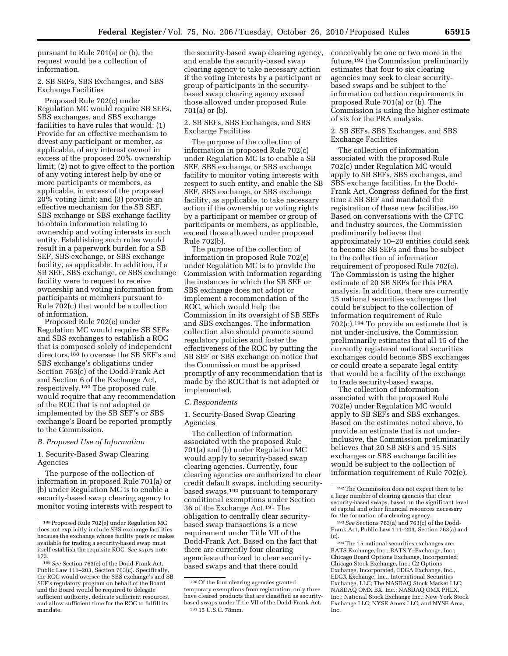pursuant to Rule 701(a) or (b), the request would be a collection of information.

#### 2. SB SEFs, SBS Exchanges, and SBS Exchange Facilities

Proposed Rule 702(c) under Regulation MC would require SB SEFs, SBS exchanges, and SBS exchange facilities to have rules that would: (1) Provide for an effective mechanism to divest any participant or member, as applicable, of any interest owned in excess of the proposed 20% ownership limit; (2) not to give effect to the portion of any voting interest help by one or more participants or members, as applicable, in excess of the proposed 20% voting limit; and (3) provide an effective mechanism for the SB SEF, SBS exchange or SBS exchange facility to obtain information relating to ownership and voting interests in such entity. Establishing such rules would result in a paperwork burden for a SB SEF, SBS exchange, or SBS exchange facility, as applicable. In addition, if a SB SEF, SBS exchange, or SBS exchange facility were to request to receive ownership and voting information from participants or members pursuant to Rule 702(c) that would be a collection of information.

Proposed Rule 702(e) under Regulation MC would require SB SEFs and SBS exchanges to establish a ROC that is composed solely of independent directors,188 to oversee the SB SEF's and SBS exchange's obligations under Section 763(c) of the Dodd-Frank Act and Section 6 of the Exchange Act, respectively.189 The proposed rule would require that any recommendation of the ROC that is not adopted or implemented by the SB SEF's or SBS exchange's Board be reported promptly to the Commission.

#### *B. Proposed Use of Information*

1. Security-Based Swap Clearing Agencies

The purpose of the collection of information in proposed Rule 701(a) or (b) under Regulation MC is to enable a security-based swap clearing agency to monitor voting interests with respect to the security-based swap clearing agency, and enable the security-based swap clearing agency to take necessary action if the voting interests by a participant or group of participants in the securitybased swap clearing agency exceed those allowed under proposed Rule 701(a) or (b).

#### 2. SB SEFs, SBS Exchanges, and SBS Exchange Facilities

The purpose of the collection of information in proposed Rule 702(c) under Regulation MC is to enable a SB SEF, SBS exchange, or SBS exchange facility to monitor voting interests with respect to such entity, and enable the SB SEF, SBS exchange, or SBS exchange facility, as applicable, to take necessary action if the ownership or voting rights by a participant or member or group of participants or members, as applicable, exceed those allowed under proposed Rule 702(b).

The purpose of the collection of information in proposed Rule 702(e) under Regulation MC is to provide the Commission with information regarding the instances in which the SB SEF or SBS exchange does not adopt or implement a recommendation of the ROC, which would help the Commission in its oversight of SB SEFs and SBS exchanges. The information collection also should promote sound regulatory policies and foster the effectiveness of the ROC by putting the SB SEF or SBS exchange on notice that the Commission must be apprised promptly of any recommendation that is made by the ROC that is not adopted or implemented.

#### *C. Respondents*

1. Security-Based Swap Clearing Agencies

The collection of information associated with the proposed Rule 701(a) and (b) under Regulation MC would apply to security-based swap clearing agencies. Currently, four clearing agencies are authorized to clear credit default swaps, including securitybased swaps,<sup>190</sup> pursuant to temporary conditional exemptions under Section 36 of the Exchange Act.191 The obligation to centrally clear securitybased swap transactions is a new requirement under Title VII of the Dodd-Frank Act. Based on the fact that there are currently four clearing agencies authorized to clear securitybased swaps and that there could

conceivably be one or two more in the future,192 the Commission preliminarily estimates that four to six clearing agencies may seek to clear securitybased swaps and be subject to the information collection requirements in proposed Rule 701(a) or (b). The Commission is using the higher estimate of six for the PRA analysis.

#### 2. SB SEFs, SBS Exchanges, and SBS Exchange Facilities

The collection of information associated with the proposed Rule 702(c) under Regulation MC would apply to SB SEFs, SBS exchanges, and SBS exchange facilities. In the Dodd-Frank Act, Congress defined for the first time a SB SEF and mandated the registration of these new facilities.193 Based on conversations with the CFTC and industry sources, the Commission preliminarily believes that approximately 10–20 entities could seek to become SB SEFs and thus be subject to the collection of information requirement of proposed Rule 702(c). The Commission is using the higher estimate of 20 SB SEFs for this PRA analysis. In addition, there are currently 15 national securities exchanges that could be subject to the collection of information requirement of Rule 702(c).194 To provide an estimate that is not under-inclusive, the Commission preliminarily estimates that all 15 of the currently registered national securities exchanges could become SBS exchanges or could create a separate legal entity that would be a facility of the exchange to trade security-based swaps.

The collection of information associated with the proposed Rule 702(e) under Regulation MC would apply to SB SEFs and SBS exchanges. Based on the estimates noted above, to provide an estimate that is not underinclusive, the Commission preliminarily believes that 20 SB SEFs and 15 SBS exchanges or SBS exchange facilities would be subject to the collection of information requirement of Rule 702(e).

194The 15 national securities exchanges are: BATS Exchange, Inc.; BATS Y–Exchange, Inc.; Chicago Board Options Exchange, Incorporated; Chicago Stock Exchange, Inc.; C2 Options Exchange, Incorporated, EDGA Exchange, Inc., EDGX Exchange, Inc., International Securities Exchange, LLC; The NASDAQ Stock Market LLC; NASDAQ OMX BX, Inc.; NASDAQ OMX PHLX, Inc.; National Stock Exchange Inc.; New York Stock Exchange LLC; NYSE Amex LLC; and NYSE Arca, Inc.

<sup>188</sup>Proposed Rule 702(e) under Regulation MC does not explicitly include SBS exchange facilities because the exchange whose facility posts or makes available for trading a security-based swap must itself establish the requisite ROC. *See supra* note 173.

<sup>189</sup>*See* Section 763(c) of the Dodd-Frank Act, Public Law 111–203, Section 763(c). Specifically, the ROC would oversee the SBS exchange's and SB SEF's regulatory program on behalf of the Board and the Board would be required to delegate sufficient authority, dedicate sufficient resources, and allow sufficient time for the ROC to fulfill its mandate.

<sup>190</sup>Of the four clearing agencies granted temporary exemptions from registration, only three have cleared products that are classified as securitybased swaps under Title VII of the Dodd-Frank Act. 191 15 U.S.C. 78mm.

<sup>192</sup>The Commission does not expect there to be a large number of clearing agencies that clear security-based swaps, based on the significant level of capital and other financial resources necessary for the formation of a clearing agency.

<sup>193</sup>*See* Sections 763(a) and 763(c) of the Dodd-Frank Act, Public Law 111–203, Section 763(a) and (c).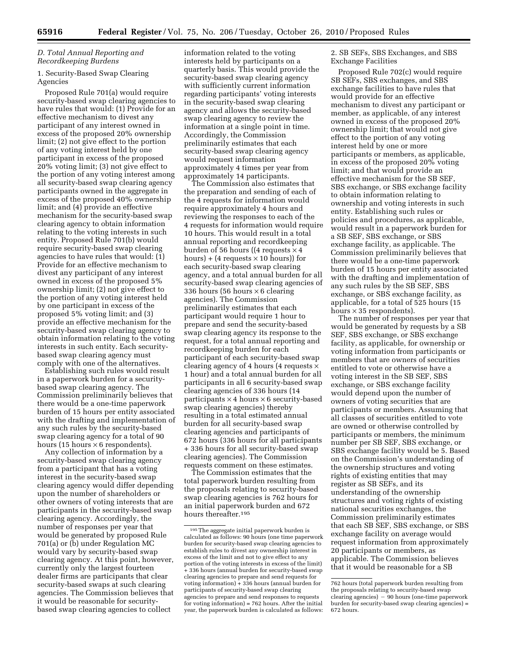#### *D. Total Annual Reporting and Recordkeeping Burdens*

#### 1. Security-Based Swap Clearing Agencies

Proposed Rule 701(a) would require security-based swap clearing agencies to have rules that would: (1) Provide for an effective mechanism to divest any participant of any interest owned in excess of the proposed 20% ownership limit; (2) not give effect to the portion of any voting interest held by one participant in excess of the proposed 20% voting limit; (3) not give effect to the portion of any voting interest among all security-based swap clearing agency participants owned in the aggregate in excess of the proposed 40% ownership limit; and (4) provide an effective mechanism for the security-based swap clearing agency to obtain information relating to the voting interests in such entity. Proposed Rule 701(b) would require security-based swap clearing agencies to have rules that would: (1) Provide for an effective mechanism to divest any participant of any interest owned in excess of the proposed 5% ownership limit; (2) not give effect to the portion of any voting interest held by one participant in excess of the proposed 5% voting limit; and (3) provide an effective mechanism for the security-based swap clearing agency to obtain information relating to the voting interests in such entity. Each securitybased swap clearing agency must comply with one of the alternatives.

Establishing such rules would result in a paperwork burden for a securitybased swap clearing agency. The Commission preliminarily believes that there would be a one-time paperwork burden of 15 hours per entity associated with the drafting and implementation of any such rules by the security-based swap clearing agency for a total of 90 hours (15 hours  $\times$  6 respondents).

Any collection of information by a security-based swap clearing agency from a participant that has a voting interest in the security-based swap clearing agency would differ depending upon the number of shareholders or other owners of voting interests that are participants in the security-based swap clearing agency. Accordingly, the number of responses per year that would be generated by proposed Rule 701(a) or (b) under Regulation MC would vary by security-based swap clearing agency. At this point, however, currently only the largest fourteen dealer firms are participants that clear security-based swaps at such clearing agencies. The Commission believes that it would be reasonable for securitybased swap clearing agencies to collect

information related to the voting interests held by participants on a quarterly basis. This would provide the security-based swap clearing agency with sufficiently current information regarding participants' voting interests in the security-based swap clearing agency and allows the security-based swap clearing agency to review the information at a single point in time. Accordingly, the Commission preliminarily estimates that each security-based swap clearing agency would request information approximately 4 times per year from approximately 14 participants.

The Commission also estimates that the preparation and sending of each of the 4 requests for information would require approximately 4 hours and reviewing the responses to each of the 4 requests for information would require 10 hours. This would result in a total annual reporting and recordkeeping burden of 56 hours ((4 requests  $\times$  4 hours) + (4 requests  $\times$  10 hours)) for each security-based swap clearing agency, and a total annual burden for all security-based swap clearing agencies of 336 hours (56 hours  $\times$  6 clearing agencies). The Commission preliminarily estimates that each participant would require 1 hour to prepare and send the security-based swap clearing agency its response to the request, for a total annual reporting and recordkeeping burden for each participant of each security-based swap clearing agency of 4 hours (4 requests  $\times$ 1 hour) and a total annual burden for all participants in all 6 security-based swap clearing agencies of 336 hours (14 participants  $\times$  4 hours  $\times$  6 security-based swap clearing agencies) thereby resulting in a total estimated annual burden for all security-based swap clearing agencies and participants of 672 hours (336 hours for all participants + 336 hours for all security-based swap clearing agencies). The Commission requests comment on these estimates.

The Commission estimates that the total paperwork burden resulting from the proposals relating to security-based swap clearing agencies is 762 hours for an initial paperwork burden and 672 hours thereafter.195

2. SB SEFs, SBS Exchanges, and SBS Exchange Facilities

Proposed Rule 702(c) would require SB SEFs, SBS exchanges, and SBS exchange facilities to have rules that would provide for an effective mechanism to divest any participant or member, as applicable, of any interest owned in excess of the proposed 20% ownership limit; that would not give effect to the portion of any voting interest held by one or more participants or members, as applicable, in excess of the proposed 20% voting limit; and that would provide an effective mechanism for the SB SEF, SBS exchange, or SBS exchange facility to obtain information relating to ownership and voting interests in such entity. Establishing such rules or policies and procedures, as applicable, would result in a paperwork burden for a SB SEF, SBS exchange, or SBS exchange facility, as applicable. The Commission preliminarily believes that there would be a one-time paperwork burden of 15 hours per entity associated with the drafting and implementation of any such rules by the SB SEF, SBS exchange, or SBS exchange facility, as applicable, for a total of 525 hours (15 hours  $\times$  35 respondents).

The number of responses per year that would be generated by requests by a SB SEF, SBS exchange, or SBS exchange facility, as applicable, for ownership or voting information from participants or members that are owners of securities entitled to vote or otherwise have a voting interest in the SB SEF, SBS exchange, or SBS exchange facility would depend upon the number of owners of voting securities that are participants or members. Assuming that all classes of securities entitled to vote are owned or otherwise controlled by participants or members, the minimum number per SB SEF, SBS exchange, or SBS exchange facility would be 5. Based on the Commission's understanding of the ownership structures and voting rights of existing entities that may register as SB SEFs, and its understanding of the ownership structures and voting rights of existing national securities exchanges, the Commission preliminarily estimates that each SB SEF, SBS exchange, or SBS exchange facility on average would request information from approximately 20 participants or members, as applicable. The Commission believes that it would be reasonable for a SB

<sup>195</sup>The aggregate initial paperwork burden is calculated as follows: 90 hours (one time paperwork burden for security-based swap clearing agencies to establish rules to divest any ownership interest in excess of the limit and not to give effect to any portion of the voting interests in excess of the limit) + 336 hours (annual burden for security-based swap clearing agencies to prepare and send requests for voting information)  $+ 336$  hours (annual burden for participants of security-based swap clearing agencies to prepare and send responses to requests for voting information) = 762 hours. After the initial year, the paperwork burden is calculated as follows:

<sup>762</sup> hours (total paperwork burden resulting from the proposals relating to security-based swap  $clearing\ agents$ )  $-90$  hours (one-time paperwork burden for security-based swap clearing agencies) = 672 hours.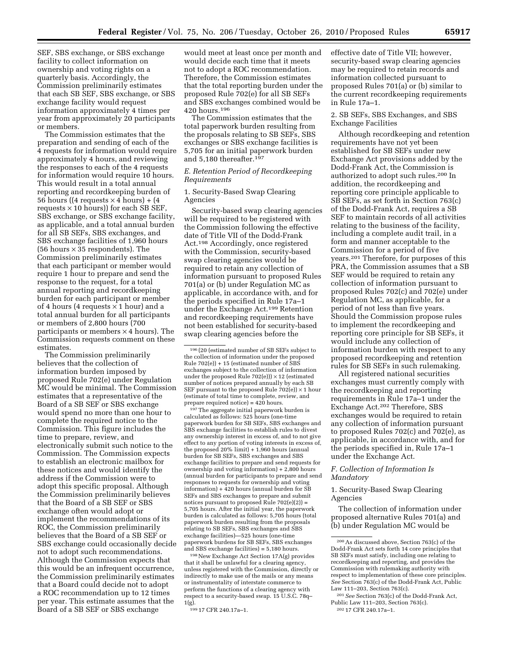SEF, SBS exchange, or SBS exchange facility to collect information on ownership and voting rights on a quarterly basis. Accordingly, the Commission preliminarily estimates that each SB SEF, SBS exchange, or SBS exchange facility would request information approximately 4 times per year from approximately 20 participants or members.

The Commission estimates that the preparation and sending of each of the 4 requests for information would require approximately 4 hours, and reviewing the responses to each of the 4 requests for information would require 10 hours. This would result in a total annual reporting and recordkeeping burden of 56 hours ((4 requests  $\times$  4 hours) + (4 requests  $\times$  10 hours)) for each SB SEF, SBS exchange, or SBS exchange facility, as applicable, and a total annual burden for all SB SEFs, SBS exchanges, and SBS exchange facilities of 1,960 hours (56 hours  $\times$  35 respondents). The Commission preliminarily estimates that each participant or member would require 1 hour to prepare and send the response to the request, for a total annual reporting and recordkeeping burden for each participant or member of 4 hours (4 requests  $\times$  1 hour) and a total annual burden for all participants or members of 2,800 hours (700 participants or members  $\times$  4 hours). The Commission requests comment on these estimates.

The Commission preliminarily believes that the collection of information burden imposed by proposed Rule 702(e) under Regulation MC would be minimal. The Commission estimates that a representative of the Board of a SB SEF or SBS exchange would spend no more than one hour to complete the required notice to the Commission. This figure includes the time to prepare, review, and electronically submit such notice to the Commission. The Commission expects to establish an electronic mailbox for these notices and would identify the address if the Commission were to adopt this specific proposal. Although the Commission preliminarily believes that the Board of a SB SEF or SBS exchange often would adopt or implement the recommendations of its ROC, the Commission preliminarily believes that the Board of a SB SEF or SBS exchange could occasionally decide not to adopt such recommendations. Although the Commission expects that this would be an infrequent occurrence, the Commission preliminarily estimates that a Board could decide not to adopt a ROC recommendation up to 12 times per year. This estimate assumes that the Board of a SB SEF or SBS exchange

would meet at least once per month and would decide each time that it meets not to adopt a ROC recommendation. Therefore, the Commission estimates that the total reporting burden under the proposed Rule 702(e) for all SB SEFs and SBS exchanges combined would be 420 hours.196

The Commission estimates that the total paperwork burden resulting from the proposals relating to SB SEFs, SBS exchanges or SBS exchange facilities is 5,705 for an initial paperwork burden and 5,180 thereafter.197

#### *E. Retention Period of Recordkeeping Requirements*

1. Security-Based Swap Clearing Agencies

Security-based swap clearing agencies will be required to be registered with the Commission following the effective date of Title VII of the Dodd-Frank Act.198 Accordingly, once registered with the Commission, security-based swap clearing agencies would be required to retain any collection of information pursuant to proposed Rules 701(a) or (b) under Regulation MC as applicable, in accordance with, and for the periods specified in Rule 17a–1 under the Exchange Act.199 Retention and recordkeeping requirements have not been established for security-based swap clearing agencies before the

197The aggregate initial paperwork burden is calculated as follows: 525 hours (one-time paperwork burden for SB SEFs, SBS exchanges and SBS exchange facilities to establish rules to divest any ownership interest in excess of, and to not give effect to any portion of voting interests in excess of, the proposed 20% limit) + 1,960 hours (annual burden for SB SEFs, SBS exchanges and SBS exchange facilities to prepare and send requests for ownership and voting information) + 2,800 hours (annual burden for participants to prepare and send responses to requests for ownership and voting information) + 420 hours (annual burden for SB SEFs and SBS exchanges to prepare and submit notices pursuant to proposed Rule 702(e)(2)) = 5,705 hours. After the initial year, the paperwork burden is calculated as follows: 5,705 hours (total paperwork burden resulting from the proposals relating to SB SEFs, SBS exchanges and SBS exchange facilities)—525 hours (one-time paperwork burdens for SB SEFs, SBS exchanges and SBS exchange facilities) = 5,180 hours.

198New Exchange Act Section 17A(g) provides that it shall be unlawful for a clearing agency, unless registered with the Commission, directly or indirectly to make use of the mails or any means or instrumentality of interstate commerce to perform the functions of a clearing agency with respect to a security-based swap. 15 U.S.C. 78q– 1(g).

199 17 CFR 240.17a–1.

effective date of Title VII; however, security-based swap clearing agencies may be required to retain records and information collected pursuant to proposed Rules 701(a) or (b) similar to the current recordkeeping requirements in Rule 17a–1.

#### 2. SB SEFs, SBS Exchanges, and SBS Exchange Facilities

Although recordkeeping and retention requirements have not yet been established for SB SEFs under new Exchange Act provisions added by the Dodd-Frank Act, the Commission is authorized to adopt such rules.200 In addition, the recordkeeping and reporting core principle applicable to SB SEFs, as set forth in Section 763(c) of the Dodd-Frank Act, requires a SB SEF to maintain records of all activities relating to the business of the facility, including a complete audit trail, in a form and manner acceptable to the Commission for a period of five years.201 Therefore, for purposes of this PRA, the Commission assumes that a SB SEF would be required to retain any collection of information pursuant to proposed Rules 702(c) and 702(e) under Regulation MC, as applicable, for a period of not less than five years. Should the Commission propose rules to implement the recordkeeping and reporting core principle for SB SEFs, it would include any collection of information burden with respect to any proposed recordkeeping and retention rules for SB SEFs in such rulemaking.

All registered national securities exchanges must currently comply with the recordkeeping and reporting requirements in Rule 17a–1 under the Exchange Act.202 Therefore, SBS exchanges would be required to retain any collection of information pursuant to proposed Rules 702(c) and 702(e), as applicable, in accordance with, and for the periods specified in, Rule 17a–1 under the Exchange Act.

#### *F. Collection of Information Is Mandatory*

1. Security-Based Swap Clearing Agencies

The collection of information under proposed alternative Rules 701(a) and (b) under Regulation MC would be

<sup>196</sup> (20 (estimated number of SB SEFs subject to the collection of information under the proposed Rule  $702(e)$ ) + 15 (estimated number of SBS exchanges subject to the collection of information under the proposed Rule  $702(e)$ )  $\times$  12 (estimated number of notices prepared annually by each SB SEF pursuant to the proposed Rule  $702(e))\times 1$  hour (estimate of total time to complete, review, and prepare required notice) =  $420$  hours.

<sup>200</sup>As discussed above, Section 763(c) of the Dodd-Frank Act sets forth 14 core principles that SB SEFs must satisfy, including one relating to recordkeeping and reporting, and provides the Commission with rulemaking authority with respect to implementation of these core principles. *See* Section 763(c) of the Dodd-Frank Act, Public Law 111–203, Section 763(c).

<sup>201</sup>*See* Section 763(c) of the Dodd-Frank Act, Public Law 111–203, Section 763(c). 202 17 CFR 240.17a–1.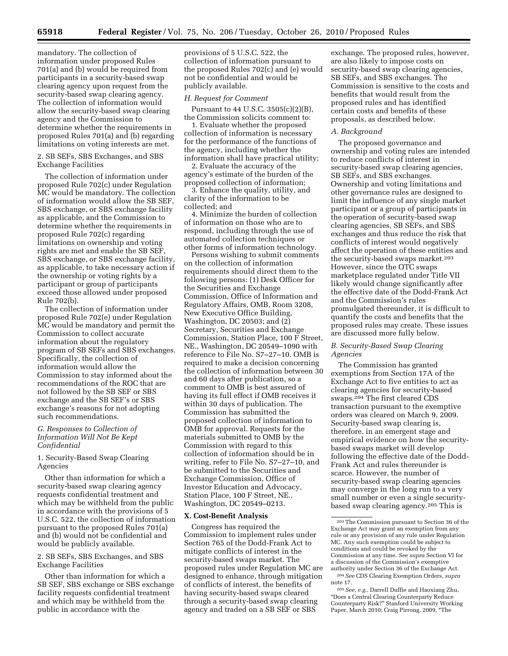mandatory. The collection of information under proposed Rules 701(a) and (b) would be required from participants in a security-based swap clearing agency upon request from the security-based swap clearing agency. The collection of information would allow the security-based swap clearing agency and the Commission to determine whether the requirements in proposed Rules 701(a) and (b) regarding limitations on voting interests are met.

2. SB SEFs, SBS Exchanges, and SBS Exchange Facilities

The collection of information under proposed Rule 702(c) under Regulation MC would be mandatory. The collection of information would allow the SB SEF, SBS exchange, or SBS exchange facility as applicable, and the Commission to determine whether the requirements in proposed Rule 702(c) regarding limitations on ownership and voting rights are met and enable the SB SEF, SBS exchange, or SBS exchange facility, as applicable, to take necessary action if the ownership or voting rights by a participant or group of participants exceed those allowed under proposed Rule 702(b).

The collection of information under proposed Rule 702(e) under Regulation MC would be mandatory and permit the Commission to collect accurate information about the regulatory program of SB SEFs and SBS exchanges. Specifically, the collection of information would allow the Commission to stay informed about the recommendations of the ROC that are not followed by the SB SEF or SBS exchange and the SB SEF's or SBS exchange's reasons for not adopting such recommendations.

#### *G. Responses to Collection of Information Will Not Be Kept Confidential*

1. Security-Based Swap Clearing Agencies

Other than information for which a security-based swap clearing agency requests confidential treatment and which may be withheld from the public in accordance with the provisions of 5 U.S.C. 522, the collection of information pursuant to the proposed Rules 701(a) and (b) would not be confidential and would be publicly available.

#### 2. SB SEFs, SBS Exchanges, and SBS Exchange Facilities

Other than information for which a SB SEF, SBS exchange or SBS exchange facility requests confidential treatment and which may be withheld from the public in accordance with the

provisions of 5 U.S.C. 522, the collection of information pursuant to the proposed Rules 702(c) and (e) would not be confidential and would be publicly available.

#### *H. Request for Comment*

Pursuant to 44 U.S.C. 3505(c)(2)(B), the Commission solicits comment to:

1. Evaluate whether the proposed collection of information is necessary for the performance of the functions of the agency, including whether the information shall have practical utility;

2. Evaluate the accuracy of the agency's estimate of the burden of the proposed collection of information;

3. Enhance the quality, utility, and clarity of the information to be collected; and

4. Minimize the burden of collection of information on those who are to respond, including through the use of automated collection techniques or other forms of information technology.

Persons wishing to submit comments on the collection of information requirements should direct them to the following persons: (1) Desk Officer for the Securities and Exchange Commission, Office of Information and Regulatory Affairs, OMB, Room 3208, New Executive Office Building, Washington, DC 20503; and (2) Secretary, Securities and Exchange Commission, Station Place, 100 F Street, NE., Washington, DC 20549–1090 with reference to File No. S7–27–10. OMB is required to make a decision concerning the collection of information between 30 and 60 days after publication, so a comment to OMB is best assured of having its full effect if OMB receives it within 30 days of publication. The Commission has submitted the proposed collection of information to OMB for approval. Requests for the materials submitted to OMB by the Commission with regard to this collection of information should be in writing, refer to File No. S7–27–10, and be submitted to the Securities and Exchange Commission, Office of Investor Education and Advocacy, Station Place, 100 F Street, NE., Washington, DC 20549–0213.

#### **X. Cost-Benefit Analysis**

Congress has required the Commission to implement rules under Section 765 of the Dodd-Frank Act to mitigate conflicts of interest in the security-based swaps market. The proposed rules under Regulation MC are designed to enhance, through mitigation of conflicts of interest, the benefits of having security-based swaps cleared through a security-based swap clearing agency and traded on a SB SEF or SBS

exchange. The proposed rules, however, are also likely to impose costs on security-based swap clearing agencies, SB SEFs, and SBS exchanges. The Commission is sensitive to the costs and benefits that would result from the proposed rules and has identified certain costs and benefits of these proposals, as described below.

#### *A. Background*

The proposed governance and ownership and voting rules are intended to reduce conflicts of interest in security-based swap clearing agencies, SB SEFs, and SBS exchanges. Ownership and voting limitations and other governance rules are designed to limit the influence of any single market participant or a group of participants in the operation of security-based swap clearing agencies, SB SEFs, and SBS exchanges and thus reduce the risk that conflicts of interest would negatively affect the operation of these entities and the security-based swaps market.203 However, since the OTC swaps marketplace regulated under Title VII likely would change significantly after the effective date of the Dodd-Frank Act and the Commission's rules promulgated thereunder, it is difficult to quantify the costs and benefits that the proposed rules may create. These issues are discussed more fully below.

#### *B. Security-Based Swap Clearing Agencies*

The Commission has granted exemptions from Section 17A of the Exchange Act to five entities to act as clearing agencies for security-based swaps.204 The first cleared CDS transaction pursuant to the exemptive orders was cleared on March 9, 2009. Security-based swap clearing is, therefore, in an emergent stage and empirical evidence on how the securitybased swaps market will develop following the effective date of the Dodd-Frank Act and rules thereunder is scarce. However, the number of security-based swap clearing agencies may converge in the long run to a very small number or even a single securitybased swap clearing agency.205 This is

205*See, e.g.,* Darrell Duffie and Haoxiang Zhu, ''Does a Central Clearing Counterparty Reduce Counterparty Risk?'' Stanford University Working Paper, March 2010; Craig Pirrong, 2009, ''The

<sup>203</sup>The Commission pursuant to Section 36 of the Exchange Act may grant an exemption from any rule or any provision of any rule under Regulation MC. Any such exemption could be subject to conditions and could be revoked by the Commission at any time. *See supra* Section VI for a discussion of the Commission's exemptive authority under Section 36 of the Exchange Act. 204*See* CDS Clearing Exemption Orders, *supra*  note 17.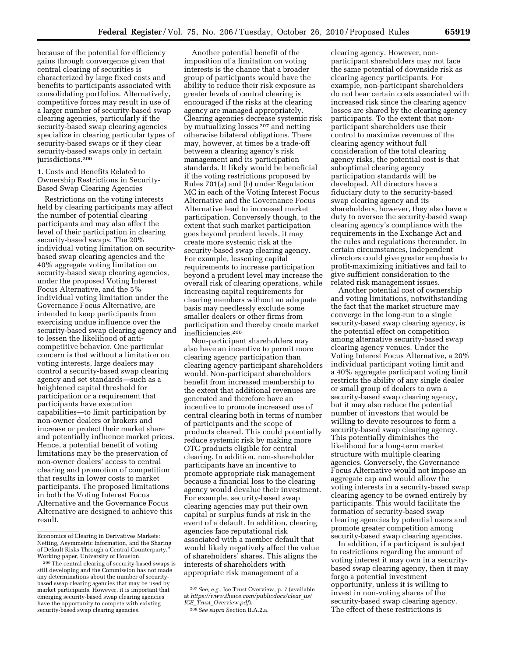because of the potential for efficiency gains through convergence given that central clearing of securities is characterized by large fixed costs and benefits to participants associated with consolidating portfolios. Alternatively, competitive forces may result in use of a larger number of security-based swap clearing agencies, particularly if the security-based swap clearing agencies specialize in clearing particular types of security-based swaps or if they clear security-based swaps only in certain jurisdictions.206

#### 1. Costs and Benefits Related to Ownership Restrictions in Security-Based Swap Clearing Agencies

Restrictions on the voting interests held by clearing participants may affect the number of potential clearing participants and may also affect the level of their participation in clearing security-based swaps. The 20% individual voting limitation on securitybased swap clearing agencies and the 40% aggregate voting limitation on security-based swap clearing agencies, under the proposed Voting Interest Focus Alternative, and the 5% individual voting limitation under the Governance Focus Alternative, are intended to keep participants from exercising undue influence over the security-based swap clearing agency and to lessen the likelihood of anticompetitive behavior. One particular concern is that without a limitation on voting interests, large dealers may control a security-based swap clearing agency and set standards—such as a heightened capital threshold for participation or a requirement that participants have execution capabilities—to limit participation by non-owner dealers or brokers and increase or protect their market share and potentially influence market prices. Hence, a potential benefit of voting limitations may be the preservation of non-owner dealers' access to central clearing and promotion of competition that results in lower costs to market participants. The proposed limitations in both the Voting Interest Focus Alternative and the Governance Focus Alternative are designed to achieve this result.

Another potential benefit of the imposition of a limitation on voting interests is the chance that a broader group of participants would have the ability to reduce their risk exposure as greater levels of central clearing is encouraged if the risks at the clearing agency are managed appropriately. Clearing agencies decrease systemic risk by mutualizing losses 207 and netting otherwise bilateral obligations. There may, however, at times be a trade-off between a clearing agency's risk management and its participation standards. It likely would be beneficial if the voting restrictions proposed by Rules 701(a) and (b) under Regulation MC in each of the Voting Interest Focus Alternative and the Governance Focus Alternative lead to increased market participation. Conversely though, to the extent that such market participation goes beyond prudent levels, it may create more systemic risk at the security-based swap clearing agency. For example, lessening capital requirements to increase participation beyond a prudent level may increase the overall risk of clearing operations, while increasing capital requirements for clearing members without an adequate basis may needlessly exclude some smaller dealers or other firms from participation and thereby create market inefficiencies.208

Non-participant shareholders may also have an incentive to permit more clearing agency participation than clearing agency participant shareholders would. Non-participant shareholders benefit from increased membership to the extent that additional revenues are generated and therefore have an incentive to promote increased use of central clearing both in terms of number of participants and the scope of products cleared. This could potentially reduce systemic risk by making more OTC products eligible for central clearing. In addition, non-shareholder participants have an incentive to promote appropriate risk management because a financial loss to the clearing agency would devalue their investment. For example, security-based swap clearing agencies may put their own capital or surplus funds at risk in the event of a default. In addition, clearing agencies face reputational risk associated with a member default that would likely negatively affect the value of shareholders' shares. This aligns the interests of shareholders with appropriate risk management of a

208*See supra* Section II.A.2.a.

clearing agency. However, nonparticipant shareholders may not face the same potential of downside risk as clearing agency participants. For example, non-participant shareholders do not bear certain costs associated with increased risk since the clearing agency losses are shared by the clearing agency participants. To the extent that nonparticipant shareholders use their control to maximize revenues of the clearing agency without full consideration of the total clearing agency risks, the potential cost is that suboptimal clearing agency participation standards will be developed. All directors have a fiduciary duty to the security-based swap clearing agency and its shareholders, however, they also have a duty to oversee the security-based swap clearing agency's compliance with the requirements in the Exchange Act and the rules and regulations thereunder. In certain circumstances, independent directors could give greater emphasis to profit-maximizing initiatives and fail to give sufficient consideration to the related risk management issues.

Another potential cost of ownership and voting limitations, notwithstanding the fact that the market structure may converge in the long-run to a single security-based swap clearing agency, is the potential effect on competition among alternative security-based swap clearing agency venues. Under the Voting Interest Focus Alternative, a 20% individual participant voting limit and a 40% aggregate participant voting limit restricts the ability of any single dealer or small group of dealers to own a security-based swap clearing agency, but it may also reduce the potential number of investors that would be willing to devote resources to form a security-based swap clearing agency. This potentially diminishes the likelihood for a long-term market structure with multiple clearing agencies. Conversely, the Governance Focus Alternative would not impose an aggregate cap and would allow the voting interests in a security-based swap clearing agency to be owned entirely by participants. This would facilitate the formation of security-based swap clearing agencies by potential users and promote greater competition among security-based swap clearing agencies.

In addition, if a participant is subject to restrictions regarding the amount of voting interest it may own in a securitybased swap clearing agency, then it may forgo a potential investment opportunity, unless it is willing to invest in non-voting shares of the security-based swap clearing agency. The effect of these restrictions is

Economics of Clearing in Derivatives Markets: Netting, Asymmetric Information, and the Sharing of Default Risks Through a Central Counterparty, Working paper, University of Houston.

<sup>206</sup>The central clearing of security-based swaps is still developing and the Commission has not made any determinations about the number of securitybased swap clearing agencies that may be used by market participants. However, it is important that emerging security-based swap clearing agencies have the opportunity to compete with existing security-based swap clearing agencies.

<sup>207</sup>*See, e.g.,* Ice Trust Overview, p. 7 (available at *[https://www.theice.com/publicdocs/clear](https://www.theice.com/publicdocs/clear_us/ICE_Trust_Overview.pdf)*\_*us/ ICE*\_*Trust*\_*[Overview.pdf](https://www.theice.com/publicdocs/clear_us/ICE_Trust_Overview.pdf)*).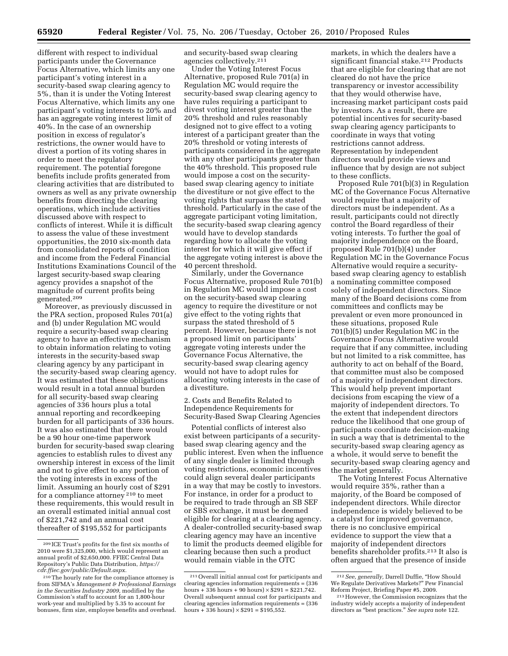different with respect to individual participants under the Governance Focus Alternative, which limits any one participant's voting interest in a security-based swap clearing agency to 5%, than it is under the Voting Interest Focus Alternative, which limits any one participant's voting interests to 20% and has an aggregate voting interest limit of 40%. In the case of an ownership position in excess of regulator's restrictions, the owner would have to divest a portion of its voting shares in order to meet the regulatory requirement. The potential foregone benefits include profits generated from clearing activities that are distributed to owners as well as any private ownership benefits from directing the clearing operations, which include activities discussed above with respect to conflicts of interest. While it is difficult to assess the value of these investment opportunities, the 2010 six-month data from consolidated reports of condition and income from the Federal Financial Institutions Examinations Council of the largest security-based swap clearing agency provides a snapshot of the magnitude of current profits being generated.209

Moreover, as previously discussed in the PRA section, proposed Rules 701(a) and (b) under Regulation MC would require a security-based swap clearing agency to have an effective mechanism to obtain information relating to voting interests in the security-based swap clearing agency by any participant in the security-based swap clearing agency. It was estimated that these obligations would result in a total annual burden for all security-based swap clearing agencies of 336 hours plus a total annual reporting and recordkeeping burden for all participants of 336 hours. It was also estimated that there would be a 90 hour one-time paperwork burden for security-based swap clearing agencies to establish rules to divest any ownership interest in excess of the limit and not to give effect to any portion of the voting interests in excess of the limit. Assuming an hourly cost of \$291 for a compliance attorney 210 to meet these requirements, this would result in an overall estimated initial annual cost of \$221,742 and an annual cost thereafter of \$195,552 for participants

and security-based swap clearing agencies collectively.<sup>211</sup>

Under the Voting Interest Focus Alternative, proposed Rule 701(a) in Regulation MC would require the security-based swap clearing agency to have rules requiring a participant to divest voting interest greater than the 20% threshold and rules reasonably designed not to give effect to a voting interest of a participant greater than the 20% threshold or voting interests of participants considered in the aggregate with any other participants greater than the 40% threshold. This proposed rule would impose a cost on the securitybased swap clearing agency to initiate the divestiture or not give effect to the voting rights that surpass the stated threshold. Particularly in the case of the aggregate participant voting limitation, the security-based swap clearing agency would have to develop standards regarding how to allocate the voting interest for which it will give effect if the aggregate voting interest is above the 40 percent threshold.

Similarly, under the Governance Focus Alternative, proposed Rule 701(b) in Regulation MC would impose a cost on the security-based swap clearing agency to require the divestiture or not give effect to the voting rights that surpass the stated threshold of 5 percent. However, because there is not a proposed limit on participants' aggregate voting interests under the Governance Focus Alternative, the security-based swap clearing agency would not have to adopt rules for allocating voting interests in the case of a divestiture.

2. Costs and Benefits Related to Independence Requirements for Security-Based Swap Clearing Agencies

Potential conflicts of interest also exist between participants of a securitybased swap clearing agency and the public interest. Even when the influence of any single dealer is limited through voting restrictions, economic incentives could align several dealer participants in a way that may be costly to investors. For instance, in order for a product to be required to trade through an SB SEF or SBS exchange, it must be deemed eligible for clearing at a clearing agency. A dealer-controlled security-based swap clearing agency may have an incentive to limit the products deemed eligible for clearing because then such a product would remain viable in the OTC

markets, in which the dealers have a significant financial stake.<sup>212</sup> Products that are eligible for clearing that are not cleared do not have the price transparency or investor accessibility that they would otherwise have, increasing market participant costs paid by investors. As a result, there are potential incentives for security-based swap clearing agency participants to coordinate in ways that voting restrictions cannot address. Representation by independent directors would provide views and influence that by design are not subject to these conflicts.

Proposed Rule 701(b)(3) in Regulation MC of the Governance Focus Alternative would require that a majority of directors must be independent. As a result, participants could not directly control the Board regardless of their voting interests. To further the goal of majority independence on the Board, proposed Rule 701(b)(4) under Regulation MC in the Governance Focus Alternative would require a securitybased swap clearing agency to establish a nominating committee composed solely of independent directors. Since many of the Board decisions come from committees and conflicts may be prevalent or even more pronounced in these situations, proposed Rule 701(b)(5) under Regulation MC in the Governance Focus Alternative would require that if any committee, including but not limited to a risk committee, has authority to act on behalf of the Board, that committee must also be composed of a majority of independent directors. This would help prevent important decisions from escaping the view of a majority of independent directors. To the extent that independent directors reduce the likelihood that one group of participants coordinate decision-making in such a way that is detrimental to the security-based swap clearing agency as a whole, it would serve to benefit the security-based swap clearing agency and the market generally.

The Voting Interest Focus Alternative would require 35%, rather than a majority, of the Board be composed of independent directors. While director independence is widely believed to be a catalyst for improved governance, there is no conclusive empirical evidence to support the view that a majority of independent directors benefits shareholder profits.213 It also is often argued that the presence of inside

<sup>209</sup> ICE Trust's profits for the first six months of 2010 were \$1,325,000, which would represent an annual profit of \$2,650,000. FFIEC Central Data Repository's Public Data Distribution, *[https://](https://cdr.ffiec.gov/public/Default.aspx)  [cdr.ffiec.gov/public/Default.aspx.](https://cdr.ffiec.gov/public/Default.aspx)* 

<sup>210</sup>The hourly rate for the compliance attorney is from SIFMA's *Management & Professional Earnings in the Securities Industry 2009,* modified by the Commission's staff to account for an 1,800-hour work-year and multiplied by 5.35 to account for bonuses, firm size, employee benefits and overhead.

<sup>211</sup>Overall initial annual cost for participants and clearing agencies information requirements = (336 hours + 336 hours + 90 hours)  $\times$  \$291 = \$221,742. Overall subsequent annual cost for participants and clearing agencies information requirements = (336 hours + 336 hours)  $\times$  \$291 = \$195,552.

<sup>212</sup>*See, generally,* Darrell Duffie, ''How Should We Regulate Derivatives Markets?'' Pew Financial

<sup>&</sup>lt;sup>213</sup> However, the Commission recognizes that the industry widely accepts a majority of independent directors as ''best practices.'' *See supra* note 122.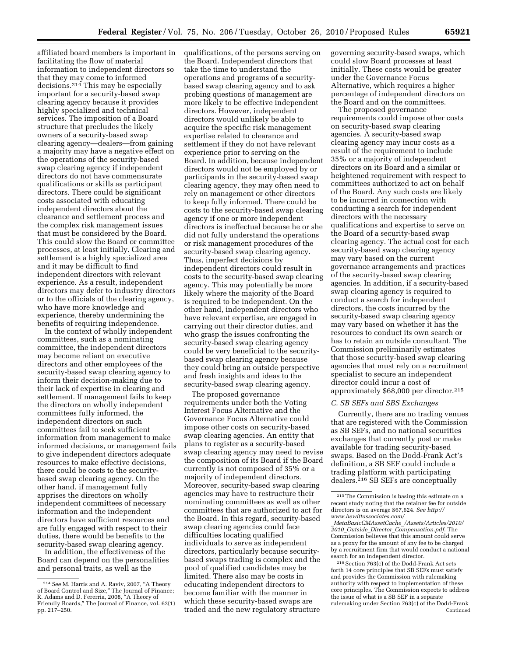affiliated board members is important in facilitating the flow of material information to independent directors so that they may come to informed decisions.214 This may be especially important for a security-based swap clearing agency because it provides highly specialized and technical services. The imposition of a Board structure that precludes the likely owners of a security-based swap clearing agency—dealers—from gaining a majority may have a negative effect on the operations of the security-based swap clearing agency if independent directors do not have commensurate qualifications or skills as participant directors. There could be significant costs associated with educating independent directors about the clearance and settlement process and

the complex risk management issues that must be considered by the Board. This could slow the Board or committee processes, at least initially. Clearing and settlement is a highly specialized area and it may be difficult to find independent directors with relevant experience. As a result, independent directors may defer to industry directors or to the officials of the clearing agency, who have more knowledge and experience, thereby undermining the benefits of requiring independence.

In the context of wholly independent committees, such as a nominating committee, the independent directors may become reliant on executive directors and other employees of the security-based swap clearing agency to inform their decision-making due to their lack of expertise in clearing and settlement. If management fails to keep the directors on wholly independent committees fully informed, the independent directors on such committees fail to seek sufficient information from management to make informed decisions, or management fails to give independent directors adequate resources to make effective decisions, there could be costs to the securitybased swap clearing agency. On the other hand, if management fully apprises the directors on wholly independent committees of necessary information and the independent directors have sufficient resources and are fully engaged with respect to their duties, there would be benefits to the security-based swap clearing agency.

In addition, the effectiveness of the Board can depend on the personalities and personal traits, as well as the

qualifications, of the persons serving on the Board. Independent directors that take the time to understand the operations and programs of a securitybased swap clearing agency and to ask probing questions of management are more likely to be effective independent directors. However, independent directors would unlikely be able to acquire the specific risk management expertise related to clearance and settlement if they do not have relevant experience prior to serving on the Board. In addition, because independent directors would not be employed by or participants in the security-based swap clearing agency, they may often need to rely on management or other directors to keep fully informed. There could be costs to the security-based swap clearing agency if one or more independent directors is ineffectual because he or she did not fully understand the operations or risk management procedures of the security-based swap clearing agency. Thus, imperfect decisions by independent directors could result in costs to the security-based swap clearing agency. This may potentially be more likely where the majority of the Board is required to be independent. On the other hand, independent directors who have relevant expertise, are engaged in carrying out their director duties, and who grasp the issues confronting the security-based swap clearing agency could be very beneficial to the securitybased swap clearing agency because they could bring an outside perspective and fresh insights and ideas to the security-based swap clearing agency.

The proposed governance requirements under both the Voting Interest Focus Alternative and the Governance Focus Alternative could impose other costs on security-based swap clearing agencies. An entity that plans to register as a security-based swap clearing agency may need to revise the composition of its Board if the Board currently is not composed of 35% or a majority of independent directors. Moreover, security-based swap clearing agencies may have to restructure their nominating committees as well as other committees that are authorized to act for the Board. In this regard, security-based swap clearing agencies could face difficulties locating qualified individuals to serve as independent directors, particularly because securitybased swaps trading is complex and the pool of qualified candidates may be limited. There also may be costs in educating independent directors to become familiar with the manner in which these security-based swaps are traded and the new regulatory structure

governing security-based swaps, which could slow Board processes at least initially. These costs would be greater under the Governance Focus Alternative, which requires a higher percentage of independent directors on the Board and on the committees.

The proposed governance requirements could impose other costs on security-based swap clearing agencies. A security-based swap clearing agency may incur costs as a result of the requirement to include 35% or a majority of independent directors on its Board and a similar or heightened requirement with respect to committees authorized to act on behalf of the Board. Any such costs are likely to be incurred in connection with conducting a search for independent directors with the necessary qualifications and expertise to serve on the Board of a security-based swap clearing agency. The actual cost for each security-based swap clearing agency may vary based on the current governance arrangements and practices of the security-based swap clearing agencies. In addition, if a security-based swap clearing agency is required to conduct a search for independent directors, the costs incurred by the security-based swap clearing agency may vary based on whether it has the resources to conduct its own search or has to retain an outside consultant. The Commission preliminarily estimates that those security-based swap clearing agencies that must rely on a recruitment specialist to secure an independent director could incur a cost of approximately \$68,000 per director.215

#### *C. SB SEFs and SBS Exchanges*

Currently, there are no trading venues that are registered with the Commission as SB SEFs, and no national securities exchanges that currently post or make available for trading security-based swaps. Based on the Dodd-Frank Act's definition, a SB SEF could include a trading platform with participating dealers.216 SB SEFs are conceptually

<sup>216</sup> Section 763(c) of the Dodd-Frank Act sets forth 14 core principles that SB SEFs must satisfy and provides the Commission with rulemaking authority with respect to implementation of these core principles. The Commission expects to address the issue of what is a SB SEF in a separate rulemaking under Section 763(c) of the Dodd-Frank Continued

<sup>214</sup>*See* M. Harris and A. Raviv, 2007, ''A Theory of Board Control and Size,'' The Journal of Finance; R. Adams and D. Fererria, 2008, ''A Theory of Friendly Boards,'' The Journal of Finance, vol. 62(1) pp. 217–250.

<sup>215</sup>The Commission is basing this estimate on a recent study noting that the retainer fee for outside directors is on average \$67,624. *See [http://](http://www.hewittassociates.com/_MetaBasicCMAssetCache_/Assets/Articles/2010/2010_Outside_Director_Compensation.pdf)  [www.hewittassociates.com/](http://www.hewittassociates.com/_MetaBasicCMAssetCache_/Assets/Articles/2010/2010_Outside_Director_Compensation.pdf)* 

\_*[MetaBasicCMAssetCache](http://www.hewittassociates.com/_MetaBasicCMAssetCache_/Assets/Articles/2010/2010_Outside_Director_Compensation.pdf)*\_*/Assets/Articles/2010/ 2010*\_*Outside*\_*Director*\_*[Compensation.pdf.](http://www.hewittassociates.com/_MetaBasicCMAssetCache_/Assets/Articles/2010/2010_Outside_Director_Compensation.pdf)* The Commission believes that this amount could serve as a proxy for the amount of any fee to be charged by a recruitment firm that would conduct a national search for an independent director.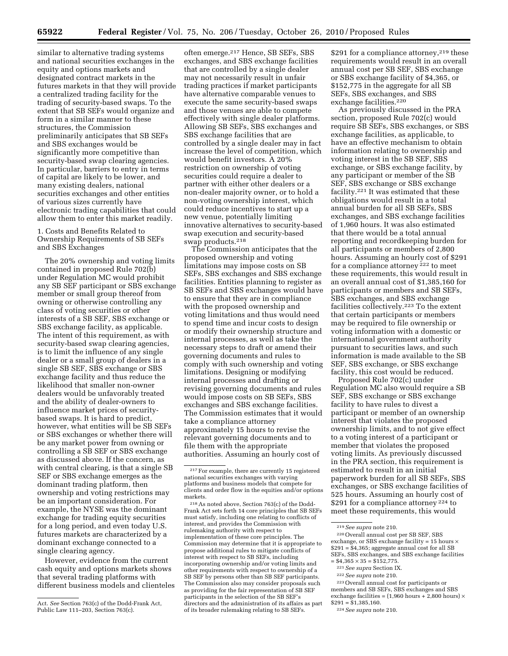similar to alternative trading systems and national securities exchanges in the equity and options markets and designated contract markets in the futures markets in that they will provide a centralized trading facility for the trading of security-based swaps. To the extent that SB SEFs would organize and form in a similar manner to these structures, the Commission preliminarily anticipates that SB SEFs and SBS exchanges would be significantly more competitive than security-based swap clearing agencies. In particular, barriers to entry in terms of capital are likely to be lower, and many existing dealers, national securities exchanges and other entities of various sizes currently have electronic trading capabilities that could allow them to enter this market readily.

#### 1. Costs and Benefits Related to Ownership Requirements of SB SEFs and SBS Exchanges

The 20% ownership and voting limits contained in proposed Rule 702(b) under Regulation MC would prohibit any SB SEF participant or SBS exchange member or small group thereof from owning or otherwise controlling any class of voting securities or other interests of a SB SEF, SBS exchange or SBS exchange facility, as applicable. The intent of this requirement, as with security-based swap clearing agencies, is to limit the influence of any single dealer or a small group of dealers in a single SB SEF, SBS exchange or SBS exchange facility and thus reduce the likelihood that smaller non-owner dealers would be unfavorably treated and the ability of dealer-owners to influence market prices of securitybased swaps. It is hard to predict, however, what entities will be SB SEFs or SBS exchanges or whether there will be any market power from owning or controlling a SB SEF or SBS exchange as discussed above. If the concern, as with central clearing, is that a single SB SEF or SBS exchange emerges as the dominant trading platform, then ownership and voting restrictions may be an important consideration. For example, the NYSE was the dominant exchange for trading equity securities for a long period, and even today U.S. futures markets are characterized by a dominant exchange connected to a single clearing agency.

However, evidence from the current cash equity and options markets shows that several trading platforms with different business models and clienteles

often emerge.217 Hence, SB SEFs, SBS exchanges, and SBS exchange facilities that are controlled by a single dealer may not necessarily result in unfair trading practices if market participants have alternative comparable venues to execute the same security-based swaps and those venues are able to compete effectively with single dealer platforms. Allowing SB SEFs, SBS exchanges and SBS exchange facilities that are controlled by a single dealer may in fact increase the level of competition, which would benefit investors. A 20% restriction on ownership of voting securities could require a dealer to partner with either other dealers or a non-dealer majority owner, or to hold a non-voting ownership interest, which could reduce incentives to start up a new venue, potentially limiting innovative alternatives to security-based swap execution and security-based swap products.218

The Commission anticipates that the proposed ownership and voting limitations may impose costs on SB SEFs, SBS exchanges and SBS exchange facilities. Entities planning to register as SB SEFs and SBS exchanges would have to ensure that they are in compliance with the proposed ownership and voting limitations and thus would need to spend time and incur costs to design or modify their ownership structure and internal processes, as well as take the necessary steps to draft or amend their governing documents and rules to comply with such ownership and voting limitations. Designing or modifying internal processes and drafting or revising governing documents and rules would impose costs on SB SEFs, SBS exchanges and SBS exchange facilities. The Commission estimates that it would take a compliance attorney approximately 15 hours to revise the relevant governing documents and to file them with the appropriate authorities. Assuming an hourly cost of

218As noted above, Section 763(c) of the Dodd-Frank Act sets forth 14 core principles that SB SEFs must satisfy, including one relating to conflicts of interest, and provides the Commission with rulemaking authority with respect to implementation of these core principles. The Commission may determine that it is appropriate to propose additional rules to mitigate conflicts of interest with respect to SB SEFs, including incorporating ownership and/or voting limits and other requirements with respect to ownership of a SB SEF by persons other than SB SEF participants. The Commission also may consider proposals such as providing for the fair representation of SB SEF participants in the selection of the SB SEF's directors and the administration of its affairs as part of its broader rulemaking relating to SB SEFs.

\$291 for a compliance attorney,<sup>219</sup> these requirements would result in an overall annual cost per SB SEF, SBS exchange or SBS exchange facility of \$4,365, or \$152,775 in the aggregate for all SB SEFs, SBS exchanges, and SBS exchange facilities.<sup>220</sup>

As previously discussed in the PRA section, proposed Rule 702(c) would require SB SEFs, SBS exchanges, or SBS exchange facilities, as applicable, to have an effective mechanism to obtain information relating to ownership and voting interest in the SB SEF, SBS exchange, or SBS exchange facility, by any participant or member of the SB SEF, SBS exchange or SBS exchange facility.221 It was estimated that these obligations would result in a total annual burden for all SB SEFs, SBS exchanges, and SBS exchange facilities of 1,960 hours. It was also estimated that there would be a total annual reporting and recordkeeping burden for all participants or members of 2,800 hours. Assuming an hourly cost of \$291 for a compliance attorney<sup>222</sup> to meet these requirements, this would result in an overall annual cost of \$1,385,160 for participants or members and SB SEFs, SBS exchanges, and SBS exchange facilities collectively.223 To the extent that certain participants or members may be required to file ownership or voting information with a domestic or international government authority pursuant to securities laws, and such information is made available to the SB SEF, SBS exchange, or SBS exchange facility, this cost would be reduced.

Proposed Rule 702(c) under Regulation MC also would require a SB SEF, SBS exchange or SBS exchange facility to have rules to divest a participant or member of an ownership interest that violates the proposed ownership limits, and to not give effect to a voting interest of a participant or member that violates the proposed voting limits. As previously discussed in the PRA section, this requirement is estimated to result in an initial paperwork burden for all SB SEFs, SBS exchanges, or SBS exchange facilities of 525 hours. Assuming an hourly cost of \$291 for a compliance attorney <sup>224</sup> to meet these requirements, this would

<sup>219</sup>*See supra* note 210. 220Overall annual cost per SB SEF, SBS exchange, or SBS exchange facility = 15 hours  $\times$ \$291 = \$4,365; aggregate annual cost for all SB SEFs, SBS exchanges, and SBS exchange facilities  $= $4,365 \times 35 = $152,775.$ 

- 221*See supra* Section IX.
- 222*See supra* note 210.

223Overall annual cost for participants or members and SB SEFs, SBS exchanges and SBS exchange facilities =  $(1,960$  hours + 2,800 hours)  $\times$  $$291 = $1,385.160$ .

Act. *See* Section 763(c) of the Dodd-Frank Act, Public Law 111–203, Section 763(c).

<sup>217</sup>For example, there are currently 15 registered national securities exchanges with varying platforms and business models that compete for clients and order flow in the equities and/or options markets.

<sup>224</sup>*See supra* note 210.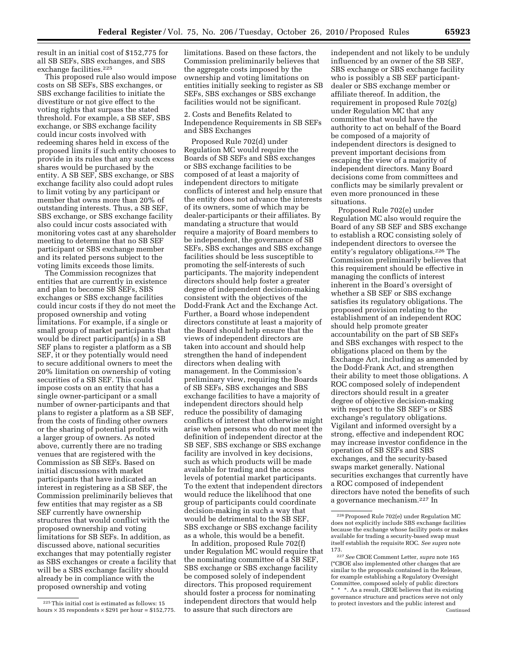result in an initial cost of \$152,775 for all SB SEFs, SBS exchanges, and SBS exchange facilities.<sup>225</sup>

This proposed rule also would impose costs on SB SEFs, SBS exchanges, or SBS exchange facilities to initiate the divestiture or not give effect to the voting rights that surpass the stated threshold. For example, a SB SEF, SBS exchange, or SBS exchange facility could incur costs involved with redeeming shares held in excess of the proposed limits if such entity chooses to provide in its rules that any such excess shares would be purchased by the entity. A SB SEF, SBS exchange, or SBS exchange facility also could adopt rules to limit voting by any participant or member that owns more than 20% of outstanding interests. Thus, a SB SEF, SBS exchange, or SBS exchange facility also could incur costs associated with monitoring votes cast at any shareholder meeting to determine that no SB SEF participant or SBS exchange member and its related persons subject to the voting limits exceeds those limits.

The Commission recognizes that entities that are currently in existence and plan to become SB SEFs, SBS exchanges or SBS exchange facilities could incur costs if they do not meet the proposed ownership and voting limitations. For example, if a single or small group of market participants that would be direct participant(s) in a SB SEF plans to register a platform as a SB SEF, it or they potentially would need to secure additional owners to meet the 20% limitation on ownership of voting securities of a SB SEF. This could impose costs on an entity that has a single owner-participant or a small number of owner-participants and that plans to register a platform as a SB SEF, from the costs of finding other owners or the sharing of potential profits with a larger group of owners. As noted above, currently there are no trading venues that are registered with the Commission as SB SEFs. Based on initial discussions with market participants that have indicated an interest in registering as a SB SEF, the Commission preliminarily believes that few entities that may register as a SB SEF currently have ownership structures that would conflict with the proposed ownership and voting limitations for SB SEFs. In addition, as discussed above, national securities exchanges that may potentially register as SBS exchanges or create a facility that will be a SBS exchange facility should already be in compliance with the proposed ownership and voting

limitations. Based on these factors, the Commission preliminarily believes that the aggregate costs imposed by the ownership and voting limitations on entities initially seeking to register as SB SEFs, SBS exchanges or SBS exchange facilities would not be significant.

2. Costs and Benefits Related to Independence Requirements in SB SEFs and SBS Exchanges

Proposed Rule 702(d) under Regulation MC would require the Boards of SB SEFs and SBS exchanges or SBS exchange facilities to be composed of at least a majority of independent directors to mitigate conflicts of interest and help ensure that the entity does not advance the interests of its owners, some of which may be dealer-participants or their affiliates. By mandating a structure that would require a majority of Board members to be independent, the governance of SB SEFs, SBS exchanges and SBS exchange facilities should be less susceptible to promoting the self-interests of such participants. The majority independent directors should help foster a greater degree of independent decision-making consistent with the objectives of the Dodd-Frank Act and the Exchange Act. Further, a Board whose independent directors constitute at least a majority of the Board should help ensure that the views of independent directors are taken into account and should help strengthen the hand of independent directors when dealing with management. In the Commission's preliminary view, requiring the Boards of SB SEFs, SBS exchanges and SBS exchange facilities to have a majority of independent directors should help reduce the possibility of damaging conflicts of interest that otherwise might arise when persons who do not meet the definition of independent director at the SB SEF, SBS exchange or SBS exchange facility are involved in key decisions, such as which products will be made available for trading and the access levels of potential market participants. To the extent that independent directors would reduce the likelihood that one group of participants could coordinate decision-making in such a way that would be detrimental to the SB SEF, SBS exchange or SBS exchange facility as a whole, this would be a benefit.

In addition, proposed Rule 702(f) under Regulation MC would require that the nominating committee of a SB SEF, SBS exchange or SBS exchange facility be composed solely of independent directors. This proposed requirement should foster a process for nominating independent directors that would help to assure that such directors are

independent and not likely to be unduly influenced by an owner of the SB SEF, SBS exchange or SBS exchange facility who is possibly a SB SEF participantdealer or SBS exchange member or affiliate thereof. In addition, the requirement in proposed Rule 702(g) under Regulation MC that any committee that would have the authority to act on behalf of the Board be composed of a majority of independent directors is designed to prevent important decisions from escaping the view of a majority of independent directors. Many Board decisions come from committees and conflicts may be similarly prevalent or even more pronounced in these situations.

Proposed Rule 702(e) under Regulation MC also would require the Board of any SB SEF and SBS exchange to establish a ROC consisting solely of independent directors to oversee the entity's regulatory obligations.226 The Commission preliminarily believes that this requirement should be effective in managing the conflicts of interest inherent in the Board's oversight of whether a SB SEF or SBS exchange satisfies its regulatory obligations. The proposed provision relating to the establishment of an independent ROC should help promote greater accountability on the part of SB SEFs and SBS exchanges with respect to the obligations placed on them by the Exchange Act, including as amended by the Dodd-Frank Act, and strengthen their ability to meet those obligations. A ROC composed solely of independent directors should result in a greater degree of objective decision-making with respect to the SB SEF's or SBS exchange's regulatory obligations. Vigilant and informed oversight by a strong, effective and independent ROC may increase investor confidence in the operation of SB SEFs and SBS exchanges, and the security-based swaps market generally. National securities exchanges that currently have a ROC composed of independent directors have noted the benefits of such a governance mechanism.227 In

 $\rm ^{225}$  This initial cost is estimated as follows: 15 hours  $\times$  35 respondents  $\times$  \$291 per hour = \$152,775.

<sup>226</sup>Proposed Rule 702(e) under Regulation MC does not explicitly include SBS exchange facilities because the exchange whose facility posts or makes available for trading a security-based swap must itself establish the requisite ROC. *See supra* note 173.

<sup>227</sup>*See* CBOE Comment Letter, *supra* note 165 (''CBOE also implemented other changes that are similar to the proposals contained in the Release, for example establishing a Regulatory Oversight Committee, composed solely of public directors \* \* \*. As a result, CBOE believes that its existing governance structure and practices serve not only to protect investors and the public interest and Continued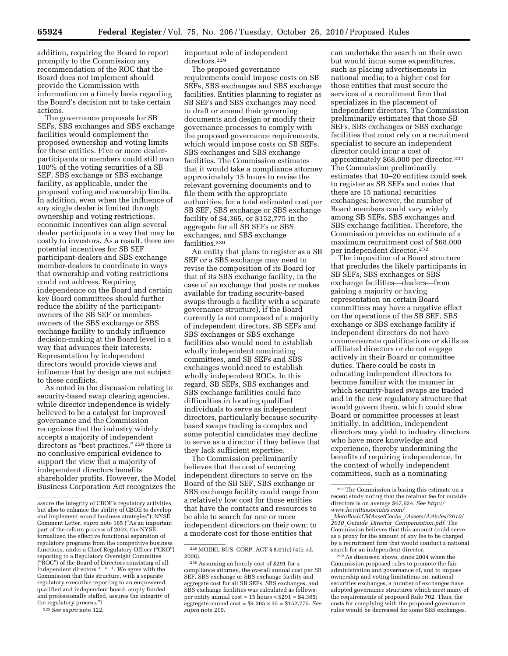addition, requiring the Board to report promptly to the Commission any recommendation of the ROC that the Board does not implement should provide the Commission with information on a timely basis regarding the Board's decision not to take certain actions.

The governance proposals for SB SEFs, SBS exchanges and SBS exchange facilities would complement the proposed ownership and voting limits for these entities. Five or more dealerparticipants or members could still own 100% of the voting securities of a SB SEF, SBS exchange or SBS exchange facility, as applicable, under the proposed voting and ownership limits. In addition, even when the influence of any single dealer is limited through ownership and voting restrictions, economic incentives can align several dealer participants in a way that may be costly to investors. As a result, there are potential incentives for SB SEF participant-dealers and SBS exchange member-dealers to coordinate in ways that ownership and voting restrictions could not address. Requiring independence on the Board and certain key Board committees should further reduce the ability of the participantowners of the SB SEF or memberowners of the SBS exchange or SBS exchange facility to unduly influence decision-making at the Board level in a way that advances their interests. Representation by independent directors would provide views and influence that by design are not subject to these conflicts.

As noted in the discussion relating to security-based swap clearing agencies, while director independence is widely believed to be a catalyst for improved governance and the Commission recognizes that the industry widely accepts a majority of independent directors as "best practices," <sup>228</sup> there is no conclusive empirical evidence to support the view that a majority of independent directors benefits shareholder profits. However, the Model Business Corporation Act recognizes the important role of independent directors.229

The proposed governance requirements could impose costs on SB SEFs, SBS exchanges and SBS exchange facilities. Entities planning to register as SB SEFs and SBS exchanges may need to draft or amend their governing documents and design or modify their governance processes to comply with the proposed governance requirements, which would impose costs on SB SEFs, SBS exchanges and SBS exchange facilities. The Commission estimates that it would take a compliance attorney approximately 15 hours to revise the relevant governing documents and to file them with the appropriate authorities, for a total estimated cost per SB SEF, SBS exchange or SBS exchange facility of \$4,365, or \$152,775 in the aggregate for all SB SEFs or SBS exchanges, and SBS exchange facilities.230

An entity that plans to register as a SB SEF or a SBS exchange may need to revise the composition of its Board (or that of its SBS exchange facility, in the case of an exchange that posts or makes available for trading security-based swaps through a facility with a separate governance structure), if the Board currently is not composed of a majority of independent directors. SB SEFs and SBS exchanges or SBS exchange facilities also would need to establish wholly independent nominating committees, and SB SEFs and SBS exchanges would need to establish wholly independent ROCs. In this regard, SB SEFs, SBS exchanges and SBS exchange facilities could face difficulties in locating qualified individuals to serve as independent directors, particularly because securitybased swaps trading is complex and some potential candidates may decline to serve as a director if they believe that they lack sufficient expertise.

The Commission preliminarily believes that the cost of securing independent directors to serve on the Board of the SB SEF, SBS exchange or SBS exchange facility could range from a relatively low cost for those entities that have the contacts and resources to be able to search for one or more independent directors on their own; to a moderate cost for those entities that

can undertake the search on their own but would incur some expenditures, such as placing advertisements in national media; to a higher cost for those entities that must secure the services of a recruitment firm that specializes in the placement of independent directors. The Commission preliminarily estimates that those SB SEFs, SBS exchanges or SBS exchange facilities that must rely on a recruitment specialist to secure an independent director could incur a cost of approximately \$68,000 per director.231 The Commission preliminarily estimates that 10–20 entities could seek to register as SB SEFs and notes that there are 15 national securities exchanges; however, the number of Board members could vary widely among SB SEFs, SBS exchanges and SBS exchange facilities. Therefore, the Commission provides an estimate of a maximum recruitment cost of \$68,000 per independent director.232

The imposition of a Board structure that precludes the likely participants in SB SEFs, SBS exchanges or SBS exchange facilities—dealers—from gaining a majority or having representation on certain Board committees may have a negative effect on the operations of the SB SEF, SBS exchange or SBS exchange facility if independent directors do not have commensurate qualifications or skills as affiliated directors or do not engage actively in their Board or committee duties. There could be costs in educating independent directors to become familiar with the manner in which security-based swaps are traded and in the new regulatory structure that would govern them, which could slow Board or committee processes at least initially. In addition, independent directors may yield to industry directors who have more knowledge and experience, thereby undermining the benefits of requiring independence. In the context of wholly independent committees, such as a nominating

232As discussed above, since 2004 when the Commission proposed rules to promote the fair administration and governance of, and to impose ownership and voting limitations on, national securities exchanges, a number of exchanges have adopted governance structures which meet many of the requirements of proposed Rule 702. Thus, the costs for complying with the proposed governance rules would be decreased for some SBS exchanges.

assure the integrity of CBOE's regulatory activities, but also to enhance the ability of CBOE to develop and implement sound business strategies''); NYSE Comment Letter, *supra* note 165 (''As an important part of the reform process of 2003, the NYSE formalized the effective functional separation of regulatory programs from the competitive business functions, under a Chief Regulatory Officer (''CRO'') reporting to a Regulatory Oversight Committee (''ROC'') of the Board of Directors consisting of all independent directors \* \* \*. We agree with the Commission that this structure, with a separate regulatory executive reporting to an empowered, qualified and independent board, amply funded and professionally staffed, assures the integrity of the regulatory process.'')

<sup>228</sup>*See supra* note 122.

<sup>229</sup>MODEL BUS. CORP. ACT § 8.01(c) (4th ed. 2008).

<sup>230</sup>Assuming an hourly cost of \$291 for a compliance attorney, the overall annual cost per SB SEF, SBS exchange or SBS exchange facility and aggregate cost for all SB SEFs, SBS exchanges, and SBS exchange facilities was calculated as follows: per entity annual cost =  $15$  hours  $\times$  \$291 = \$4,365; aggregate annual cost = \$4,365 × 35 = \$152,775. *See supra* note 210.

<sup>231</sup>The Commission is basing this estimate on a recent study noting that the retainer fee for outside directors is on average \$67,624. *See [http://](http://www.hewittassociates.com/_MetaBasicCMAssetCache_/Assets/Articles/2010/2010_Outside_Director_Compensation.pdf)  [www.hewittassociates.com/](http://www.hewittassociates.com/_MetaBasicCMAssetCache_/Assets/Articles/2010/2010_Outside_Director_Compensation.pdf)* 

\_*[MetaBasicCMAssetCache](http://www.hewittassociates.com/_MetaBasicCMAssetCache_/Assets/Articles/2010/2010_Outside_Director_Compensation.pdf)*\_*/Assets/Articles/2010/ 2010*\_*Outside*\_*Director*\_*[Compensation.pdf.](http://www.hewittassociates.com/_MetaBasicCMAssetCache_/Assets/Articles/2010/2010_Outside_Director_Compensation.pdf)* The Commission believes that this amount could serve as a proxy for the amount of any fee to be charged by a recruitment firm that would conduct a national search for an independent director.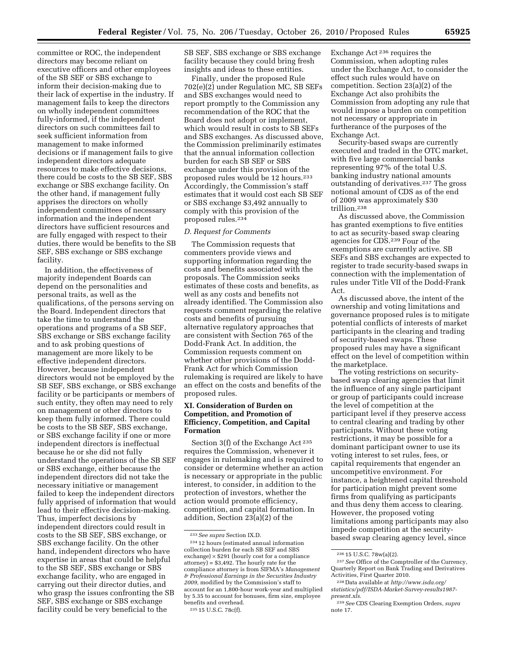committee or ROC, the independent directors may become reliant on executive officers and other employees of the SB SEF or SBS exchange to inform their decision-making due to their lack of expertise in the industry. If management fails to keep the directors on wholly independent committees fully-informed, if the independent directors on such committees fail to seek sufficient information from management to make informed decisions or if management fails to give independent directors adequate resources to make effective decisions, there could be costs to the SB SEF, SBS exchange or SBS exchange facility. On the other hand, if management fully apprises the directors on wholly independent committees of necessary information and the independent directors have sufficient resources and are fully engaged with respect to their duties, there would be benefits to the SB SEF, SBS exchange or SBS exchange facility.

In addition, the effectiveness of majority independent Boards can depend on the personalities and personal traits, as well as the qualifications, of the persons serving on the Board. Independent directors that take the time to understand the operations and programs of a SB SEF, SBS exchange or SBS exchange facility and to ask probing questions of management are more likely to be effective independent directors. However, because independent directors would not be employed by the SB SEF, SBS exchange, or SBS exchange facility or be participants or members of such entity, they often may need to rely on management or other directors to keep them fully informed. There could be costs to the SB SEF, SBS exchange, or SBS exchange facility if one or more independent directors is ineffectual because he or she did not fully understand the operations of the SB SEF or SBS exchange, either because the independent directors did not take the necessary initiative or management failed to keep the independent directors fully apprised of information that would lead to their effective decision-making. Thus, imperfect decisions by independent directors could result in costs to the SB SEF, SBS exchange, or SBS exchange facility. On the other hand, independent directors who have expertise in areas that could be helpful to the SB SEF, SBS exchange or SBS exchange facility, who are engaged in carrying out their director duties, and who grasp the issues confronting the SB SEF, SBS exchange or SBS exchange facility could be very beneficial to the

SB SEF, SBS exchange or SBS exchange facility because they could bring fresh insights and ideas to these entities.

Finally, under the proposed Rule 702(e)(2) under Regulation MC, SB SEFs and SBS exchanges would need to report promptly to the Commission any recommendation of the ROC that the Board does not adopt or implement, which would result in costs to SB SEFs and SBS exchanges. As discussed above, the Commission preliminarily estimates that the annual information collection burden for each SB SEF or SBS exchange under this provision of the proposed rules would be 12 hours.233 Accordingly, the Commission's staff estimates that it would cost each SB SEF or SBS exchange \$3,492 annually to comply with this provision of the proposed rules.234

#### *D. Request for Comments*

The Commission requests that commenters provide views and supporting information regarding the costs and benefits associated with the proposals. The Commission seeks estimates of these costs and benefits, as well as any costs and benefits not already identified. The Commission also requests comment regarding the relative costs and benefits of pursuing alternative regulatory approaches that are consistent with Section 765 of the Dodd-Frank Act. In addition, the Commission requests comment on whether other provisions of the Dodd-Frank Act for which Commission rulemaking is required are likely to have an effect on the costs and benefits of the proposed rules.

#### **XI. Consideration of Burden on Competition, and Promotion of Efficiency, Competition, and Capital Formation**

Section 3(f) of the Exchange Act<sup>235</sup> requires the Commission, whenever it engages in rulemaking and is required to consider or determine whether an action is necessary or appropriate in the public interest, to consider, in addition to the protection of investors, whether the action would promote efficiency, competition, and capital formation. In addition, Section 23(a)(2) of the

Exchange Act 236 requires the Commission, when adopting rules under the Exchange Act, to consider the effect such rules would have on competition. Section 23(a)(2) of the Exchange Act also prohibits the Commission from adopting any rule that would impose a burden on competition not necessary or appropriate in furtherance of the purposes of the Exchange Act.

Security-based swaps are currently executed and traded in the OTC market, with five large commercial banks representing 97% of the total U.S. banking industry national amounts outstanding of derivatives.237 The gross notional amount of CDS as of the end of 2009 was approximately \$30 trillion.238

As discussed above, the Commission has granted exemptions to five entities to act as security-based swap clearing agencies for CDS.239 Four of the exemptions are currently active. SB SEFs and SBS exchanges are expected to register to trade security-based swaps in connection with the implementation of rules under Title VII of the Dodd-Frank Act.

As discussed above, the intent of the ownership and voting limitations and governance proposed rules is to mitigate potential conflicts of interests of market participants in the clearing and trading of security-based swaps. These proposed rules may have a significant effect on the level of competition within the marketplace.

The voting restrictions on securitybased swap clearing agencies that limit the influence of any single participant or group of participants could increase the level of competition at the participant level if they preserve access to central clearing and trading by other participants. Without these voting restrictions, it may be possible for a dominant participant owner to use its voting interest to set rules, fees, or capital requirements that engender an uncompetitive environment. For instance, a heightened capital threshold for participation might prevent some firms from qualifying as participants and thus deny them access to clearing. However, the proposed voting limitations among participants may also impede competition at the securitybased swap clearing agency level, since

<sup>233</sup>*See supra* Section IX.D.

<sup>234</sup> 12 hours (estimated annual information collection burden for each SB SEF and SBS exchange) × \$291 (hourly cost for a compliance attorney) = \$3,492. The hourly rate for the compliance attorney is from SIFMA's *Management & Professional Earnings in the Securities Industry 2009,* modified by the Commission's staff to account for an 1,800-hour work-year and multiplied by 5.35 to account for bonuses, firm size, employee benefits and overhead.

<sup>235</sup> 15 U.S.C. 78c(f).

 $23615$  U.S.C. 78w(a)(2).

<sup>237</sup>*See* Office of the Comptroller of the Currency, Quarterly Report on Bank Trading and Derivatives Activities, First Quarter 2010.

<sup>238</sup> Data available at *[http://www.isda.org/](http://www.isda.org/statistics/pdf/ISDA-Market-Survey-results1987-present.xls)  [statistics/pdf/ISDA-Market-Survey-results1987](http://www.isda.org/statistics/pdf/ISDA-Market-Survey-results1987-present.xls) [present.xls.](http://www.isda.org/statistics/pdf/ISDA-Market-Survey-results1987-present.xls)* 

<sup>239</sup>*See* CDS Clearing Exemption Orders, *supra*  note 17.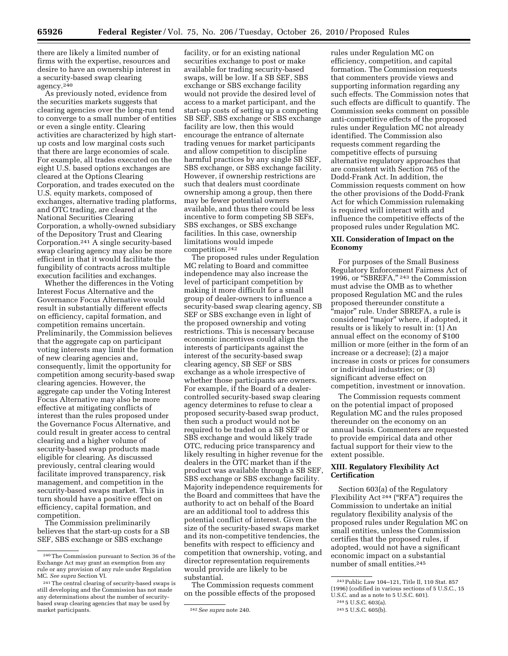there are likely a limited number of firms with the expertise, resources and desire to have an ownership interest in a security-based swap clearing agency.240

As previously noted, evidence from the securities markets suggests that clearing agencies over the long-run tend to converge to a small number of entities or even a single entity. Clearing activities are characterized by high startup costs and low marginal costs such that there are large economies of scale. For example, all trades executed on the eight U.S. based options exchanges are cleared at the Options Clearing Corporation, and trades executed on the U.S. equity markets, composed of exchanges, alternative trading platforms, and OTC trading, are cleared at the National Securities Clearing Corporation, a wholly-owned subsidiary of the Depository Trust and Clearing Corporation.241 A single security-based swap clearing agency may also be more efficient in that it would facilitate the fungibility of contracts across multiple execution facilities and exchanges.

Whether the differences in the Voting Interest Focus Alternative and the Governance Focus Alternative would result in substantially different effects on efficiency, capital formation, and competition remains uncertain. Preliminarily, the Commission believes that the aggregate cap on participant voting interests may limit the formation of new clearing agencies and, consequently, limit the opportunity for competition among security-based swap clearing agencies. However, the aggregate cap under the Voting Interest Focus Alternative may also be more effective at mitigating conflicts of interest than the rules proposed under the Governance Focus Alternative, and could result in greater access to central clearing and a higher volume of security-based swap products made eligible for clearing. As discussed previously, central clearing would facilitate improved transparency, risk management, and competition in the security-based swaps market. This in turn should have a positive effect on efficiency, capital formation, and competition.

The Commission preliminarily believes that the start-up costs for a SB SEF, SBS exchange or SBS exchange

facility, or for an existing national securities exchange to post or make available for trading security-based swaps, will be low. If a SB SEF, SBS exchange or SBS exchange facility would not provide the desired level of access to a market participant, and the start-up costs of setting up a competing SB SEF, SBS exchange or SBS exchange facility are low, then this would encourage the entrance of alternate trading venues for market participants and allow competition to discipline harmful practices by any single SB SEF, SBS exchange, or SBS exchange facility. However, if ownership restrictions are such that dealers must coordinate ownership among a group, then there may be fewer potential owners available, and thus there could be less incentive to form competing SB SEFs, SBS exchanges, or SBS exchange facilities. In this case, ownership limitations would impede competition.242

The proposed rules under Regulation MC relating to Board and committee independence may also increase the level of participant competition by making it more difficult for a small group of dealer-owners to influence a security-based swap clearing agency, SB SEF or SBS exchange even in light of the proposed ownership and voting restrictions. This is necessary because economic incentives could align the interests of participants against the interest of the security-based swap clearing agency, SB SEF or SBS exchange as a whole irrespective of whether those participants are owners. For example, if the Board of a dealercontrolled security-based swap clearing agency determines to refuse to clear a proposed security-based swap product, then such a product would not be required to be traded on a SB SEF or SBS exchange and would likely trade OTC, reducing price transparency and likely resulting in higher revenue for the dealers in the OTC market than if the product was available through a SB SEF, SBS exchange or SBS exchange facility. Majority independence requirements for the Board and committees that have the authority to act on behalf of the Board are an additional tool to address this potential conflict of interest. Given the size of the security-based swaps market and its non-competitive tendencies, the benefits with respect to efficiency and competition that ownership, voting, and director representation requirements would provide are likely to be substantial.

The Commission requests comment on the possible effects of the proposed

rules under Regulation MC on efficiency, competition, and capital formation. The Commission requests that commenters provide views and supporting information regarding any such effects. The Commission notes that such effects are difficult to quantify. The Commission seeks comment on possible anti-competitive effects of the proposed rules under Regulation MC not already identified. The Commission also requests comment regarding the competitive effects of pursuing alternative regulatory approaches that are consistent with Section 765 of the Dodd-Frank Act. In addition, the Commission requests comment on how the other provisions of the Dodd-Frank Act for which Commission rulemaking is required will interact with and influence the competitive effects of the proposed rules under Regulation MC.

#### **XII. Consideration of Impact on the Economy**

For purposes of the Small Business Regulatory Enforcement Fairness Act of 1996, or ''SBREFA,'' 243 the Commission must advise the OMB as to whether proposed Regulation MC and the rules proposed thereunder constitute a ''major'' rule. Under SBREFA, a rule is considered ''major'' where, if adopted, it results or is likely to result in: (1) An annual effect on the economy of \$100 million or more (either in the form of an increase or a decrease); (2) a major increase in costs or prices for consumers or individual industries; or (3) significant adverse effect on competition, investment or innovation.

The Commission requests comment on the potential impact of proposed Regulation MC and the rules proposed thereunder on the economy on an annual basis. Commenters are requested to provide empirical data and other factual support for their view to the extent possible.

#### **XIII. Regulatory Flexibility Act Certification**

Section 603(a) of the Regulatory Flexibility Act<sup>244</sup> ("RFA") requires the Commission to undertake an initial regulatory flexibility analysis of the proposed rules under Regulation MC on small entities, unless the Commission certifies that the proposed rules, if adopted, would not have a significant economic impact on a substantial number of small entities.245

<sup>240</sup>The Commission pursuant to Section 36 of the Exchange Act may grant an exemption from any rule or any provision of any rule under Regulation MC. *See supra* Section VI.

<sup>241</sup>The central clearing of security-based swaps is still developing and the Commission has not made any determinations about the number of securitybased swap clearing agencies that may be used by

<sup>&</sup>lt;sup>242</sup> See supra note 240.

<sup>243</sup>Public Law 104–121, Title II, 110 Stat. 857 (1996) (codified in various sections of 5 U.S.C., 15 U.S.C. and as a note to 5 U.S.C. 601).

<sup>244</sup> 5 U.S.C. 603(a).

<sup>245</sup> 5 U.S.C. 605(b).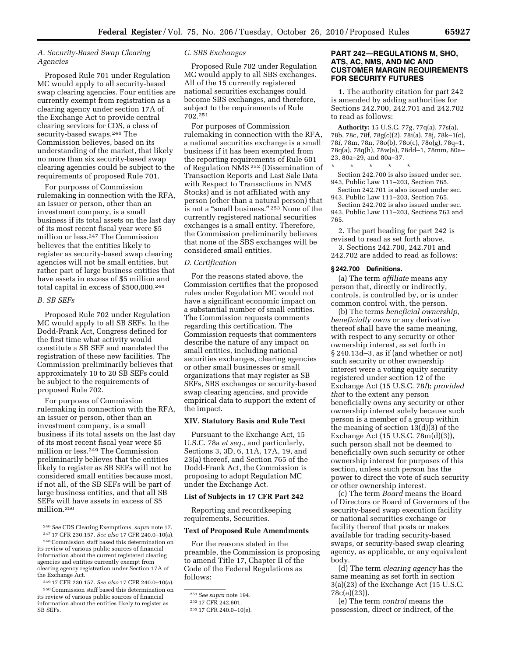#### *A. Security-Based Swap Clearing Agencies*

Proposed Rule 701 under Regulation MC would apply to all security-based swap clearing agencies. Four entities are currently exempt from registration as a clearing agency under section 17A of the Exchange Act to provide central clearing services for CDS, a class of security-based swaps.246 The Commission believes, based on its understanding of the market, that likely no more than six security-based swap clearing agencies could be subject to the requirements of proposed Rule 701.

For purposes of Commission rulemaking in connection with the RFA, an issuer or person, other than an investment company, is a small business if its total assets on the last day of its most recent fiscal year were \$5 million or less.247 The Commission believes that the entities likely to register as security-based swap clearing agencies will not be small entities, but rather part of large business entities that have assets in excess of \$5 million and total capital in excess of \$500,000.248

#### *B. SB SEFs*

Proposed Rule 702 under Regulation MC would apply to all SB SEFs. In the Dodd-Frank Act, Congress defined for the first time what activity would constitute a SB SEF and mandated the registration of these new facilities. The Commission preliminarily believes that approximately 10 to 20 SB SEFs could be subject to the requirements of proposed Rule 702.

For purposes of Commission rulemaking in connection with the RFA, an issuer or person, other than an investment company, is a small business if its total assets on the last day of its most recent fiscal year were \$5 million or less.249 The Commission preliminarily believes that the entities likely to register as SB SEFs will not be considered small entities because most, if not all, of the SB SEFs will be part of large business entities, and that all SB SEFs will have assets in excess of \$5 million.250

the Exchange Act. 249 17 CFR 230.157. *See also* 17 CFR 240.0–10(a). 250Commission staff based this determination on

#### *C. SBS Exchanges*

Proposed Rule 702 under Regulation MC would apply to all SBS exchanges. All of the 15 currently registered national securities exchanges could become SBS exchanges, and therefore, subject to the requirements of Rule 702.251

For purposes of Commission rulemaking in connection with the RFA, a national securities exchange is a small business if it has been exempted from the reporting requirements of Rule 601 of Regulation NMS 252 (Dissemination of Transaction Reports and Last Sale Data with Respect to Transactions in NMS Stocks) and is not affiliated with any person (other than a natural person) that is not a "small business." <sup>253</sup> None of the currently registered national securities exchanges is a small entity. Therefore, the Commission preliminarily believes that none of the SBS exchanges will be considered small entities.

#### *D. Certification*

For the reasons stated above, the Commission certifies that the proposed rules under Regulation MC would not have a significant economic impact on a substantial number of small entities. The Commission requests comments regarding this certification. The Commission requests that commenters describe the nature of any impact on small entities, including national securities exchanges, clearing agencies or other small businesses or small organizations that may register as SB SEFs, SBS exchanges or security-based swap clearing agencies, and provide empirical data to support the extent of the impact.

#### **XIV. Statutory Basis and Rule Text**

Pursuant to the Exchange Act, 15 U.S.C. 78a *et seq.,* and particularly, Sections 3, 3D, 6, 11A, 17A, 19, and 23(a) thereof, and Section 765 of the Dodd-Frank Act, the Commission is proposing to adopt Regulation MC under the Exchange Act.

#### **List of Subjects in 17 CFR Part 242**

Reporting and recordkeeping requirements, Securities.

#### **Text of Proposed Rule Amendments**

For the reasons stated in the preamble, the Commission is proposing to amend Title 17, Chapter II of the Code of the Federal Regulations as follows:

#### **PART 242—REGULATIONS M, SHO, ATS, AC, NMS, AND MC AND CUSTOMER MARGIN REQUIREMENTS FOR SECURITY FUTURES**

1. The authority citation for part 242 is amended by adding authorities for Sections 242.700, 242.701 and 242.702 to read as follows:

**Authority:** 15 U.S.C. 77g, 77q(a), 77s(a), 78b, 78c, 78f, 78g(c)(2), 78i(a), 78j, 78k–1(c), 78*l,* 78m, 78n, 78o(b), 78o(c), 78o(g), 78q–1, 78q(a), 78q(h), 78w(a), 78dd–1, 78mm, 80a– 23, 80a–29, and 80a–37.

\* \* \* \* \* Section 242.700 is also issued under sec. 943, Public Law 111–203, Section 765.

Section 242.701 is also issued under sec. 943, Public Law 111–203, Section 765.

Section 242.702 is also issued under sec. 943, Public Law 111–203, Sections 763 and 765.

2. The part heading for part 242 is revised to read as set forth above. 3. Sections 242.700, 242.701 and 242.702 are added to read as follows:

#### **§ 242.700 Definitions.**

(a) The term *affiliate* means any person that, directly or indirectly, controls, is controlled by, or is under common control with, the person.

(b) The terms *beneficial ownership, beneficially owns* or any derivative thereof shall have the same meaning, with respect to any security or other ownership interest, as set forth in § 240.13d–3, as if (and whether or not) such security or other ownership interest were a voting equity security registered under section 12 of the Exchange Act (15 U.S.C. 78*l*); *provided that* to the extent any person beneficially owns any security or other ownership interest solely because such person is a member of a group within the meaning of section 13(d)(3) of the Exchange Act (15 U.S.C. 78m(d)(3)), such person shall not be deemed to beneficially own such security or other ownership interest for purposes of this section, unless such person has the power to direct the vote of such security or other ownership interest.

(c) The term *Board* means the Board of Directors or Board of Governors of the security-based swap execution facility or national securities exchange or facility thereof that posts or makes available for trading security-based swaps, or security-based swap clearing agency, as applicable, or any equivalent body.

(d) The term *clearing agency* has the same meaning as set forth in section 3(a)(23) of the Exchange Act (15 U.S.C. 78c(a)(23)).

(e) The term *control* means the possession, direct or indirect, of the

<sup>246</sup>*See* CDS Clearing Exemptions, *supra* note 17.

<sup>247</sup> 17 CFR 230.157. *See also* 17 CFR 240.0–10(a). 248Commission staff based this determination on its review of various public sources of financial information about the current registered clearing agencies and entities currently exempt from clearing agency registration under Section 17A of

its review of various public sources of financial information about the entities likely to register as SB SEFs.

<sup>251</sup>*See supra* note 194.

<sup>252</sup> 17 CFR 242.601.

<sup>253</sup> 17 CFR 240.0–10(e).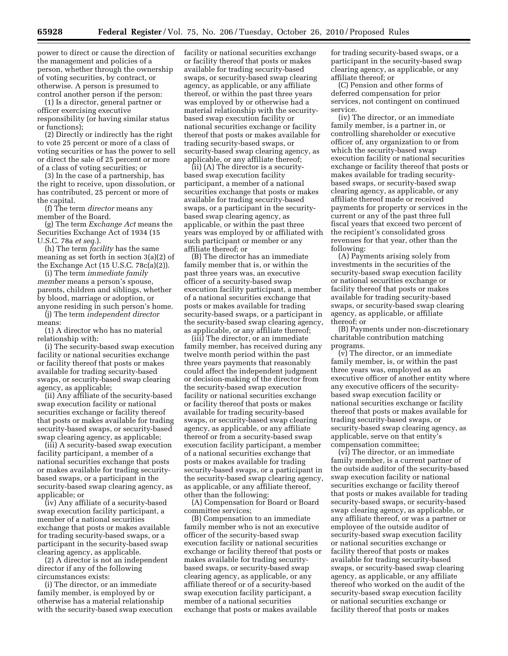power to direct or cause the direction of the management and policies of a person, whether through the ownership of voting securities, by contract, or otherwise. A person is presumed to control another person if the person:

(1) Is a director, general partner or officer exercising executive responsibility (or having similar status or functions);

(2) Directly or indirectly has the right to vote 25 percent or more of a class of voting securities or has the power to sell or direct the sale of 25 percent or more of a class of voting securities; or

(3) In the case of a partnership, has the right to receive, upon dissolution, or has contributed, 25 percent or more of the capital.

(f) The term *director* means any member of the Board.

(g) The term *Exchange Act* means the Securities Exchange Act of 1934 (15 U.S.C. 78a *et seq.*).

(h) The term *facility* has the same meaning as set forth in section 3(a)(2) of the Exchange Act (15 U.S.C. 78c(a)(2)).

(i) The term *immediate family member* means a person's spouse, parents, children and siblings, whether by blood, marriage or adoption, or anyone residing in such person's home.

(j) The term *independent director*  means:

(1) A director who has no material relationship with:

(i) The security-based swap execution facility or national securities exchange or facility thereof that posts or makes available for trading security-based swaps, or security-based swap clearing agency, as applicable;

(ii) Any affiliate of the security-based swap execution facility or national securities exchange or facility thereof that posts or makes available for trading security-based swaps, or security-based swap clearing agency, as applicable;

(iii) A security-based swap execution facility participant, a member of a national securities exchange that posts or makes available for trading securitybased swaps, or a participant in the security-based swap clearing agency, as applicable; or

(iv) Any affiliate of a security-based swap execution facility participant, a member of a national securities exchange that posts or makes available for trading security-based swaps, or a participant in the security-based swap clearing agency, as applicable.

(2) A director is not an independent director if any of the following circumstances exists:

(i) The director, or an immediate family member, is employed by or otherwise has a material relationship with the security-based swap execution facility or national securities exchange or facility thereof that posts or makes available for trading security-based swaps, or security-based swap clearing agency, as applicable, or any affiliate thereof, or within the past three years was employed by or otherwise had a material relationship with the securitybased swap execution facility or national securities exchange or facility thereof that posts or makes available for trading security-based swaps, or security-based swap clearing agency, as applicable, or any affiliate thereof;

(ii) (A) The director is a securitybased swap execution facility participant, a member of a national securities exchange that posts or makes available for trading security-based swaps, or a participant in the securitybased swap clearing agency, as applicable, or within the past three years was employed by or affiliated with such participant or member or any affiliate thereof; or

(B) The director has an immediate family member that is, or within the past three years was, an executive officer of a security-based swap execution facility participant, a member of a national securities exchange that posts or makes available for trading security-based swaps, or a participant in the security-based swap clearing agency, as applicable, or any affiliate thereof;

(iii) The director, or an immediate family member, has received during any twelve month period within the past three years payments that reasonably could affect the independent judgment or decision-making of the director from the security-based swap execution facility or national securities exchange or facility thereof that posts or makes available for trading security-based swaps, or security-based swap clearing agency, as applicable, or any affiliate thereof or from a security-based swap execution facility participant, a member of a national securities exchange that posts or makes available for trading security-based swaps, or a participant in the security-based swap clearing agency, as applicable, or any affiliate thereof, other than the following:

(A) Compensation for Board or Board committee services;

(B) Compensation to an immediate family member who is not an executive officer of the security-based swap execution facility or national securities exchange or facility thereof that posts or makes available for trading securitybased swaps, or security-based swap clearing agency, as applicable, or any affiliate thereof or of a security-based swap execution facility participant, a member of a national securities exchange that posts or makes available

for trading security-based swaps, or a participant in the security-based swap clearing agency, as applicable, or any affiliate thereof; or

(C) Pension and other forms of deferred compensation for prior services, not contingent on continued service.

(iv) The director, or an immediate family member, is a partner in, or controlling shareholder or executive officer of, any organization to or from which the security-based swap execution facility or national securities exchange or facility thereof that posts or makes available for trading securitybased swaps, or security-based swap clearing agency, as applicable, or any affiliate thereof made or received payments for property or services in the current or any of the past three full fiscal years that exceed two percent of the recipient's consolidated gross revenues for that year, other than the following:

(A) Payments arising solely from investments in the securities of the security-based swap execution facility or national securities exchange or facility thereof that posts or makes available for trading security-based swaps, or security-based swap clearing agency, as applicable, or affiliate thereof; or

(B) Payments under non-discretionary charitable contribution matching programs.

(v) The director, or an immediate family member, is, or within the past three years was, employed as an executive officer of another entity where any executive officers of the securitybased swap execution facility or national securities exchange or facility thereof that posts or makes available for trading security-based swaps, or security-based swap clearing agency, as applicable, serve on that entity's compensation committee;

(vi) The director, or an immediate family member, is a current partner of the outside auditor of the security-based swap execution facility or national securities exchange or facility thereof that posts or makes available for trading security-based swaps, or security-based swap clearing agency, as applicable, or any affiliate thereof, or was a partner or employee of the outside auditor of security-based swap execution facility or national securities exchange or facility thereof that posts or makes available for trading security-based swaps, or security-based swap clearing agency, as applicable, or any affiliate thereof who worked on the audit of the security-based swap execution facility or national securities exchange or facility thereof that posts or makes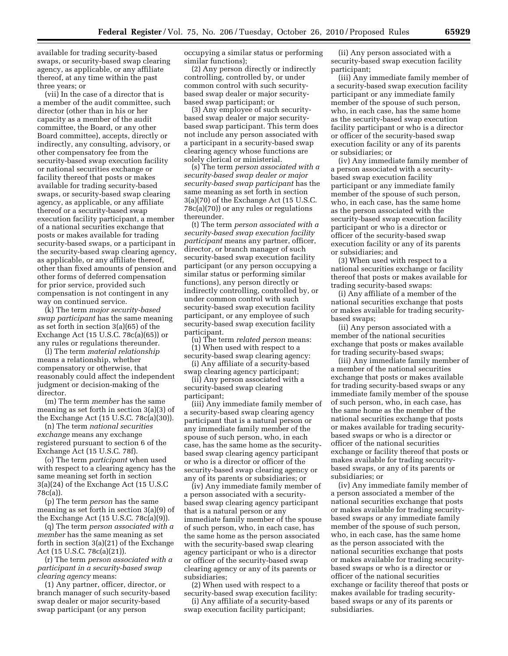available for trading security-based swaps, or security-based swap clearing agency, as applicable, or any affiliate thereof, at any time within the past three years; or

(vii) In the case of a director that is a member of the audit committee, such director (other than in his or her capacity as a member of the audit committee, the Board, or any other Board committee), accepts, directly or indirectly, any consulting, advisory, or other compensatory fee from the security-based swap execution facility or national securities exchange or facility thereof that posts or makes available for trading security-based swaps, or security-based swap clearing agency, as applicable, or any affiliate thereof or a security-based swap execution facility participant, a member of a national securities exchange that posts or makes available for trading security-based swaps, or a participant in the security-based swap clearing agency, as applicable, or any affiliate thereof, other than fixed amounts of pension and other forms of deferred compensation for prior service, provided such compensation is not contingent in any way on continued service.

(k) The term *major security-based swap participant* has the same meaning as set forth in section 3(a)(65) of the Exchange Act (15 U.S.C. 78c(a)(65)) or any rules or regulations thereunder.

(l) The term *material relationship*  means a relationship, whether compensatory or otherwise, that reasonably could affect the independent judgment or decision-making of the director.

(m) The term *member* has the same meaning as set forth in section 3(a)(3) of the Exchange Act (15 U.S.C. 78c(a)(30)).

(n) The term *national securities exchange* means any exchange registered pursuant to section 6 of the Exchange Act (15 U.S.C. 78f).

(o) The term *participant* when used with respect to a clearing agency has the same meaning set forth in section 3(a)(24) of the Exchange Act (15 U.S.C 78c(a)).

(p) The term *person* has the same meaning as set forth in section 3(a)(9) of the Exchange Act (15 U.S.C. 78c(a)(9)).

(q) The term *person associated with a member* has the same meaning as set forth in section 3(a)(21) of the Exchange Act (15 U.S.C. 78c(a)(21)).

(r) The term *person associated with a participant in a security-based swap clearing agency* means:

(1) Any partner, officer, director, or branch manager of such security-based swap dealer or major security-based swap participant (or any person

occupying a similar status or performing similar functions);

(2) Any person directly or indirectly controlling, controlled by, or under common control with such securitybased swap dealer or major securitybased swap participant; or

(3) Any employee of such securitybased swap dealer or major securitybased swap participant. This term does not include any person associated with a participant in a security-based swap clearing agency whose functions are solely clerical or ministerial.

(s) The term *person associated with a security-based swap dealer or major security-based swap participant* has the same meaning as set forth in section 3(a)(70) of the Exchange Act (15 U.S.C. 78c(a)(70)) or any rules or regulations thereunder.

(t) The term *person associated with a security-based swap execution facility participant* means any partner, officer, director, or branch manager of such security-based swap execution facility participant (or any person occupying a similar status or performing similar functions), any person directly or indirectly controlling, controlled by, or under common control with such security-based swap execution facility participant, or any employee of such security-based swap execution facility participant.

(u) The term *related person* means:

(1) When used with respect to a security-based swap clearing agency: (i) Any affiliate of a security-based

swap clearing agency participant; (ii) Any person associated with a security-based swap clearing

participant;

(iii) Any immediate family member of a security-based swap clearing agency participant that is a natural person or any immediate family member of the spouse of such person, who, in each case, has the same home as the securitybased swap clearing agency participant or who is a director or officer of the security-based swap clearing agency or any of its parents or subsidiaries; or

(iv) Any immediate family member of a person associated with a securitybased swap clearing agency participant that is a natural person or any immediate family member of the spouse of such person, who, in each case, has the same home as the person associated with the security-based swap clearing agency participant or who is a director or officer of the security-based swap clearing agency or any of its parents or subsidiaries;

(2) When used with respect to a security-based swap execution facility:

(i) Any affiliate of a security-based swap execution facility participant;

(ii) Any person associated with a security-based swap execution facility participant;

(iii) Any immediate family member of a security-based swap execution facility participant or any immediate family member of the spouse of such person, who, in each case, has the same home as the security-based swap execution facility participant or who is a director or officer of the security-based swap execution facility or any of its parents or subsidiaries; or

(iv) Any immediate family member of a person associated with a securitybased swap execution facility participant or any immediate family member of the spouse of such person, who, in each case, has the same home as the person associated with the security-based swap execution facility participant or who is a director or officer of the security-based swap execution facility or any of its parents or subsidiaries; and

(3) When used with respect to a national securities exchange or facility thereof that posts or makes available for trading security-based swaps:

(i) Any affiliate of a member of the national securities exchange that posts or makes available for trading securitybased swaps;

(ii) Any person associated with a member of the national securities exchange that posts or makes available for trading security-based swaps;

(iii) Any immediate family member of a member of the national securities exchange that posts or makes available for trading security-based swaps or any immediate family member of the spouse of such person, who, in each case, has the same home as the member of the national securities exchange that posts or makes available for trading securitybased swaps or who is a director or officer of the national securities exchange or facility thereof that posts or makes available for trading securitybased swaps, or any of its parents or subsidiaries; or

(iv) Any immediate family member of a person associated a member of the national securities exchange that posts or makes available for trading securitybased swaps or any immediate family member of the spouse of such person, who, in each case, has the same home as the person associated with the national securities exchange that posts or makes available for trading securitybased swaps or who is a director or officer of the national securities exchange or facility thereof that posts or makes available for trading securitybased swaps or any of its parents or subsidiaries.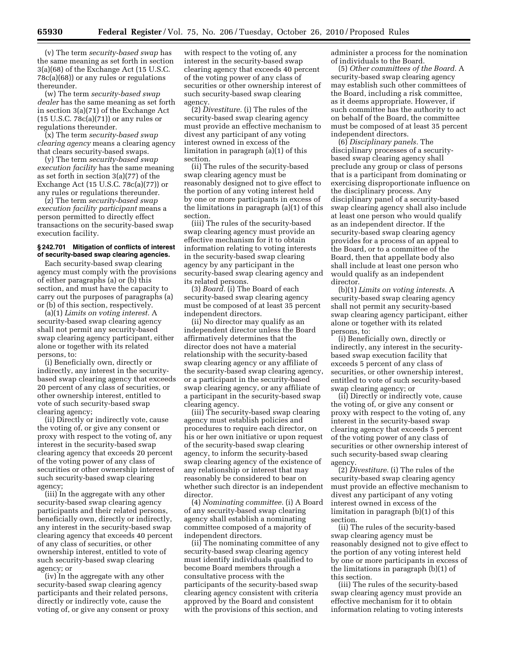(v) The term *security-based swap* has the same meaning as set forth in section 3(a)(68) of the Exchange Act (15 U.S.C. 78c(a)(68)) or any rules or regulations thereunder.

(w) The term *security-based swap dealer* has the same meaning as set forth in section 3(a)(71) of the Exchange Act (15 U.S.C. 78c(a)(71)) or any rules or regulations thereunder.

(x) The term *security-based swap clearing agency* means a clearing agency that clears security-based swaps.

(y) The term *security-based swap execution facility* has the same meaning as set forth in section 3(a)(77) of the Exchange Act (15 U.S.C. 78c(a)(77)) or any rules or regulations thereunder.

(z) The term *security-based swap execution facility participant* means a person permitted to directly effect transactions on the security-based swap execution facility.

#### **§ 242.701 Mitigation of conflicts of interest of security-based swap clearing agencies.**

Each security-based swap clearing agency must comply with the provisions of either paragraphs (a) or (b) this section, and must have the capacity to carry out the purposes of paragraphs (a) or (b) of this section, respectively.

(a)(1) *Limits on voting interest.* A security-based swap clearing agency shall not permit any security-based swap clearing agency participant, either alone or together with its related persons, to:

(i) Beneficially own, directly or indirectly, any interest in the securitybased swap clearing agency that exceeds 20 percent of any class of securities, or other ownership interest, entitled to vote of such security-based swap clearing agency;

(ii) Directly or indirectly vote, cause the voting of, or give any consent or proxy with respect to the voting of, any interest in the security-based swap clearing agency that exceeds 20 percent of the voting power of any class of securities or other ownership interest of such security-based swap clearing agency;

(iii) In the aggregate with any other security-based swap clearing agency participants and their related persons, beneficially own, directly or indirectly, any interest in the security-based swap clearing agency that exceeds 40 percent of any class of securities, or other ownership interest, entitled to vote of such security-based swap clearing agency; or

(iv) In the aggregate with any other security-based swap clearing agency participants and their related persons, directly or indirectly vote, cause the voting of, or give any consent or proxy

with respect to the voting of, any interest in the security-based swap clearing agency that exceeds 40 percent of the voting power of any class of securities or other ownership interest of such security-based swap clearing agency.

(2) *Divestiture.* (i) The rules of the security-based swap clearing agency must provide an effective mechanism to divest any participant of any voting interest owned in excess of the limitation in paragraph (a)(1) of this section.

(ii) The rules of the security-based swap clearing agency must be reasonably designed not to give effect to the portion of any voting interest held by one or more participants in excess of the limitations in paragraph (a)(1) of this section.

(iii) The rules of the security-based swap clearing agency must provide an effective mechanism for it to obtain information relating to voting interests in the security-based swap clearing agency by any participant in the security-based swap clearing agency and its related persons.

(3) *Board.* (i) The Board of each security-based swap clearing agency must be composed of at least 35 percent independent directors.

(ii) No director may qualify as an independent director unless the Board affirmatively determines that the director does not have a material relationship with the security-based swap clearing agency or any affiliate of the security-based swap clearing agency, or a participant in the security-based swap clearing agency, or any affiliate of a participant in the security-based swap clearing agency.

(iii) The security-based swap clearing agency must establish policies and procedures to require each director, on his or her own initiative or upon request of the security-based swap clearing agency, to inform the security-based swap clearing agency of the existence of any relationship or interest that may reasonably be considered to bear on whether such director is an independent director.

(4) *Nominating committee.* (i) A Board of any security-based swap clearing agency shall establish a nominating committee composed of a majority of independent directors.

(ii) The nominating committee of any security-based swap clearing agency must identify individuals qualified to become Board members through a consultative process with the participants of the security-based swap clearing agency consistent with criteria approved by the Board and consistent with the provisions of this section, and

administer a process for the nomination of individuals to the Board.

(5) *Other committees of the Board.* A security-based swap clearing agency may establish such other committees of the Board, including a risk committee, as it deems appropriate. However, if such committee has the authority to act on behalf of the Board, the committee must be composed of at least 35 percent independent directors.

(6) *Disciplinary panels.* The disciplinary processes of a securitybased swap clearing agency shall preclude any group or class of persons that is a participant from dominating or exercising disproportionate influence on the disciplinary process. Any disciplinary panel of a security-based swap clearing agency shall also include at least one person who would qualify as an independent director. If the security-based swap clearing agency provides for a process of an appeal to the Board, or to a committee of the Board, then that appellate body also shall include at least one person who would qualify as an independent director.

(b)(1) *Limits on voting interests.* A security-based swap clearing agency shall not permit any security-based swap clearing agency participant, either alone or together with its related persons, to:

(i) Beneficially own, directly or indirectly, any interest in the securitybased swap execution facility that exceeds 5 percent of any class of securities, or other ownership interest, entitled to vote of such security-based swap clearing agency; or

(ii) Directly or indirectly vote, cause the voting of, or give any consent or proxy with respect to the voting of, any interest in the security-based swap clearing agency that exceeds 5 percent of the voting power of any class of securities or other ownership interest of such security-based swap clearing agency.

(2) *Divestiture.* (i) The rules of the security-based swap clearing agency must provide an effective mechanism to divest any participant of any voting interest owned in excess of the limitation in paragraph (b)(1) of this section.

(ii) The rules of the security-based swap clearing agency must be reasonably designed not to give effect to the portion of any voting interest held by one or more participants in excess of the limitations in paragraph (b)(1) of this section.

(iii) The rules of the security-based swap clearing agency must provide an effective mechanism for it to obtain information relating to voting interests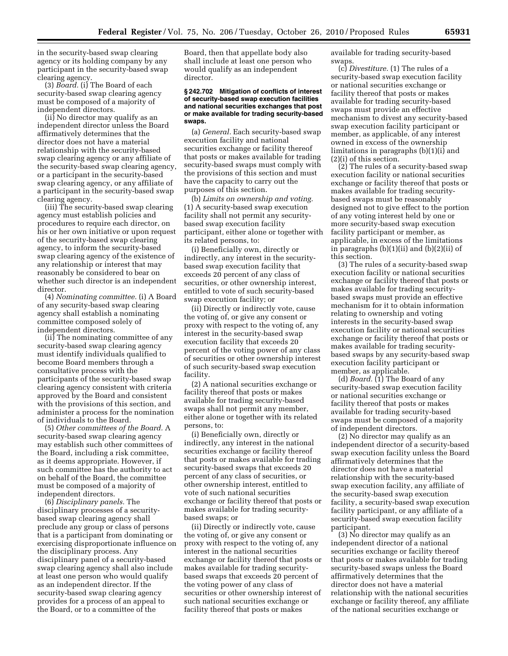in the security-based swap clearing agency or its holding company by any participant in the security-based swap clearing agency.

(3) *Board.* (i) The Board of each security-based swap clearing agency must be composed of a majority of independent directors.

(ii) No director may qualify as an independent director unless the Board affirmatively determines that the director does not have a material relationship with the security-based swap clearing agency or any affiliate of the security-based swap clearing agency, or a participant in the security-based swap clearing agency, or any affiliate of a participant in the security-based swap clearing agency.

(iii) The security-based swap clearing agency must establish policies and procedures to require each director, on his or her own initiative or upon request of the security-based swap clearing agency, to inform the security-based swap clearing agency of the existence of any relationship or interest that may reasonably be considered to bear on whether such director is an independent director.

(4) *Nominating committee.* (i) A Board of any security-based swap clearing agency shall establish a nominating committee composed solely of independent directors.

(ii) The nominating committee of any security-based swap clearing agency must identify individuals qualified to become Board members through a consultative process with the participants of the security-based swap clearing agency consistent with criteria approved by the Board and consistent with the provisions of this section, and administer a process for the nomination of individuals to the Board.

(5) *Other committees of the Board.* A security-based swap clearing agency may establish such other committees of the Board, including a risk committee, as it deems appropriate. However, if such committee has the authority to act on behalf of the Board, the committee must be composed of a majority of independent directors.

(6) *Disciplinary panels.* The disciplinary processes of a securitybased swap clearing agency shall preclude any group or class of persons that is a participant from dominating or exercising disproportionate influence on the disciplinary process. Any disciplinary panel of a security-based swap clearing agency shall also include at least one person who would qualify as an independent director. If the security-based swap clearing agency provides for a process of an appeal to the Board, or to a committee of the

Board, then that appellate body also shall include at least one person who would qualify as an independent director.

#### **§ 242.702 Mitigation of conflicts of interest of security-based swap execution facilities and national securities exchanges that post or make available for trading security-based swaps.**

(a) *General.* Each security-based swap execution facility and national securities exchange or facility thereof that posts or makes available for trading security-based swaps must comply with the provisions of this section and must have the capacity to carry out the purposes of this section.

(b) *Limits on ownership and voting.*  (1) A security-based swap execution facility shall not permit any securitybased swap execution facility participant, either alone or together with its related persons, to:

(i) Beneficially own, directly or indirectly, any interest in the securitybased swap execution facility that exceeds 20 percent of any class of securities, or other ownership interest, entitled to vote of such security-based swap execution facility; or

(ii) Directly or indirectly vote, cause the voting of, or give any consent or proxy with respect to the voting of, any interest in the security-based swap execution facility that exceeds 20 percent of the voting power of any class of securities or other ownership interest of such security-based swap execution facility.

(2) A national securities exchange or facility thereof that posts or makes available for trading security-based swaps shall not permit any member, either alone or together with its related persons, to:

(i) Beneficially own, directly or indirectly, any interest in the national securities exchange or facility thereof that posts or makes available for trading security-based swaps that exceeds 20 percent of any class of securities, or other ownership interest, entitled to vote of such national securities exchange or facility thereof that posts or makes available for trading securitybased swaps; or

(ii) Directly or indirectly vote, cause the voting of, or give any consent or proxy with respect to the voting of, any interest in the national securities exchange or facility thereof that posts or makes available for trading securitybased swaps that exceeds 20 percent of the voting power of any class of securities or other ownership interest of such national securities exchange or facility thereof that posts or makes

available for trading security-based swaps.

(c) *Divestiture.* (1) The rules of a security-based swap execution facility or national securities exchange or facility thereof that posts or makes available for trading security-based swaps must provide an effective mechanism to divest any security-based swap execution facility participant or member, as applicable, of any interest owned in excess of the ownership limitations in paragraphs (b)(1)(i) and (2)(i) of this section.

(2) The rules of a security-based swap execution facility or national securities exchange or facility thereof that posts or makes available for trading securitybased swaps must be reasonably designed not to give effect to the portion of any voting interest held by one or more security-based swap execution facility participant or member, as applicable, in excess of the limitations in paragraphs (b)(1)(ii) and (b)(2)(ii) of this section.

(3) The rules of a security-based swap execution facility or national securities exchange or facility thereof that posts or makes available for trading securitybased swaps must provide an effective mechanism for it to obtain information relating to ownership and voting interests in the security-based swap execution facility or national securities exchange or facility thereof that posts or makes available for trading securitybased swaps by any security-based swap execution facility participant or member, as applicable.

(d) *Board.* (1) The Board of any security-based swap execution facility or national securities exchange or facility thereof that posts or makes available for trading security-based swaps must be composed of a majority of independent directors.

(2) No director may qualify as an independent director of a security-based swap execution facility unless the Board affirmatively determines that the director does not have a material relationship with the security-based swap execution facility, any affiliate of the security-based swap execution facility, a security-based swap execution facility participant, or any affiliate of a security-based swap execution facility participant.

(3) No director may qualify as an independent director of a national securities exchange or facility thereof that posts or makes available for trading security-based swaps unless the Board affirmatively determines that the director does not have a material relationship with the national securities exchange or facility thereof, any affiliate of the national securities exchange or